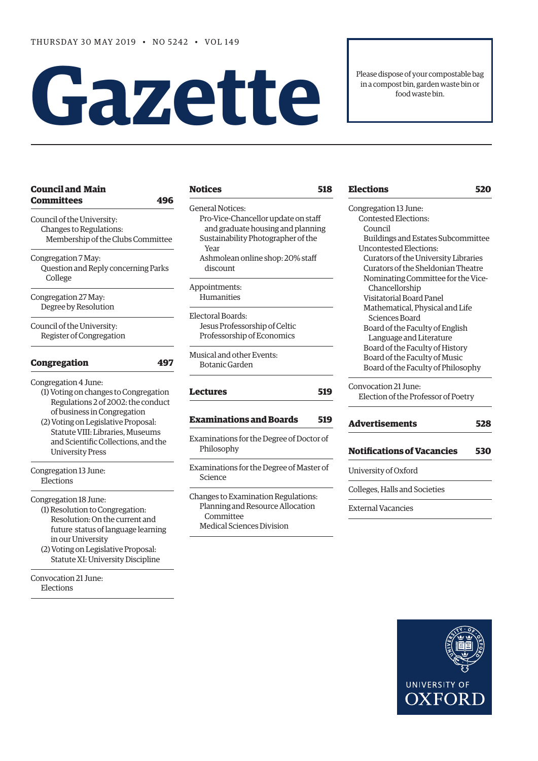# **Gazet te**

Please dispose of your compostable bag in a compost bin, garden waste bin or food waste bin.

| <b>Council and Main</b><br>Committees<br>496                                                                                                                                                                                                                                    |
|---------------------------------------------------------------------------------------------------------------------------------------------------------------------------------------------------------------------------------------------------------------------------------|
| Council of the University:<br>Changes to Regulations:<br>Membership of the Clubs Committee                                                                                                                                                                                      |
| Congregation 7 May:<br>Question and Reply concerning Parks<br>College                                                                                                                                                                                                           |
| Congregation 27 May:<br>Degree by Resolution                                                                                                                                                                                                                                    |
| Council of the University:<br>Register of Congregation                                                                                                                                                                                                                          |
| <b>Congregation</b><br>497                                                                                                                                                                                                                                                      |
| Congregation 4 June:<br>(1) Voting on changes to Congregation<br>Regulations 2 of 2002: the conduct<br>of business in Congregation<br>(2) Voting on Legislative Proposal:<br>Statute VIII: Libraries, Museums<br>and Scientific Collections, and the<br><b>University Press</b> |
| Congregation 13 June:<br>Elections                                                                                                                                                                                                                                              |
| Congregation 18 June:<br>(1) Resolution to Congregation:<br>Resolution: On the current and<br>future status of language learning<br>in our University<br>(2) Voting on Legislative Proposal:<br>Statute XI: University Discipline                                               |

[Convocation 21 June](#page-23-0): [Elections](#page-23-0) 

# **[Notices 518](#page-23-0)**

[General Notices](#page-23-0): [Pro-Vice-Chancellor update on staff](#page-23-0)   [and graduate housing and planning](#page-23-0) [Sustainability Photographer of the](#page-23-0)   [Year](#page-23-0) [Ashmolean online shop: 20% staff](#page-23-0) 

 [discount](#page-23-0) 

[Appointments:](#page-23-0) [Humanities](#page-23-0)

[Electoral Boards](#page-24-0): Jesus Professorship of Celtic Professorship of Economics

[Musical and other Events](#page-24-0): [Botanic Garden](#page-24-0)

# **[Lectures 519](#page-24-0)**

# **[E](#page-24-0)[xaminations and Boards 519](#page-25-0)**

[Examinations for the Degree of Doctor of](#page-25-0)  [Philosophy](#page-25-0)

[Examinations for the Degree of Master of](#page-25-0)  [Science](#page-25-0)

[Changes to Examination Regulations:](#page-25-0) [Planning and Resource Allocation](#page-25-0)   [Committee](#page-25-0) [Medical Sciences Division](#page-25-0)

# **[Elections 520](#page-25-0)**

| Congregation 13 June:                |
|--------------------------------------|
| Contested Elections:                 |
| Council                              |
| Buildings and Estates Subcommittee   |
| Uncontested Elections:               |
| Curators of the University Libraries |
| Curators of the Sheldonian Theatre   |
| Nominating Committee for the Vice-   |
| Chancellorship                       |
| Visitatorial Board Panel             |
| Mathematical, Physical and Life      |
| Sciences Board                       |
| Board of the Faculty of English      |
| Language and Literature              |
| Board of the Faculty of History      |
| Board of the Faculty of Music        |
| Board of the Faculty of Philosophy   |

[Convocation 21 June:](#page-29-0) [Election of the Professor of Poetry](#page-29-0) 

# **[Advertisements 528](#page-33-0)**

**[Notifications of Vacancies 530](#page-35-0)**

[University of Oxford](#page-35-0)

[Colleges, Halls and Societies](#page-35-0)

[External Vacancies](#page-35-0)

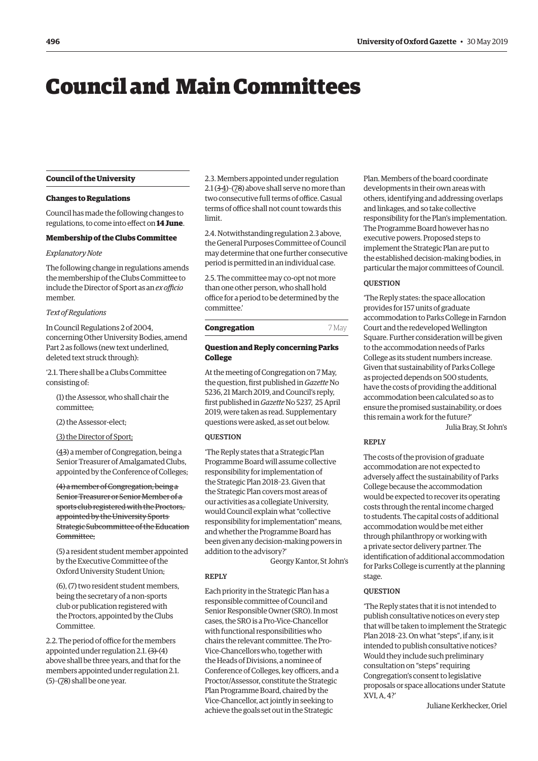# <span id="page-1-0"></span>Council and Main Committees

# **Council of the University**

#### **Changes to Regulations**

Council has made the following changes to regulations, to come into effect on **14 June**.

#### **Membership of the Clubs Committee**

# *Explanatory Note*

The following change in regulations amends the membership of the Clubs Committee to include the Director of Sport as an *ex officio* member.

# *Text of Regulations*

In Council Regulations 2 of 2004, concerning Other University Bodies, amend Part 2 as follows (new text underlined, deleted text struck through):

'2.1. There shall be a Clubs Committee consisting of:

(1) the Assessor, who shall chair the committee;

(2) the Assessor-elect;

(3) the Director of Sport;

(43) a member of Congregation, being a Senior Treasurer of Amalgamated Clubs, appointed by the Conference of Colleges;

(4) a member of Congregation, being a Senior Treasurer or Senior Member of a sports club registered with the Proctors, appointed by the University Sports Strategic Subcommittee of the Education Committee;

(5) a resident student member appointed by the Executive Committee of the Oxford University Student Union;

(6), (7) two resident student members, being the secretary of a non-sports club or publication registered with the Proctors, appointed by the Clubs Committee.

2.2. The period of office for the members appointed under regulation  $2.1$ .  $(3)$ - $(4)$ above shall be three years, and that for the members appointed under regulation 2.1. (5)–(78) shall be one year.

2.3. Members appointed under regulation  $2.1$  (3- $4$ )-(78) above shall serve no more than two consecutive full terms of office. Casual terms of office shall not count towards this limit.

2.4. Notwithstanding regulation 2.3 above, the General Purposes Committee of Council may determine that one further consecutive period is permitted in an individual case.

2.5. The committee may co-opt not more than one other person, who shall hold office for a period to be determined by the committee.'

# **Congregation** 7 May

# **Question and Reply concerning Parks College**

At the meeting of Congregation on 7 May, the question, first published in *Gazette* No [5236, 21 March 2019, and Council's reply,](https://gazette.web.ox.ac.uk/sites/default/files/gazette/documents/media/21_march_2019_-_no_5236_redacted.pdf#page=3)  first published in *Gazette* No 5237, 25 April [2019, were taken as read. Supplementary](https://gazette.web.ox.ac.uk/sites/default/files/gazette/documents/media/25_april_2019_-_no_5237_redacted.pdf#page=3)  questions were asked, as set out below.

#### **OUESTION**

'The Reply states that a Strategic Plan Programme Board will assume collective responsibility for implementation of the Strategic Plan 2018–23. Given that the Strategic Plan covers most areas of our activities as a collegiate University, would Council explain what "collective responsibility for implementation" means, and whether the Programme Board has been given any decision-making powers in addition to the advisory?'

Georgy Kantor, St John's

#### REPLY

Each priority in the Strategic Plan has a responsible committee of Council and Senior Responsible Owner (SRO). In most cases, the SRO is a Pro-Vice-Chancellor with functional responsibilities who chairs the relevant committee. The Pro-Vice-Chancellors who, together with the Heads of Divisions, a nominee of Conference of Colleges, key officers, and a Proctor/Assessor, constitute the Strategic Plan Programme Board, chaired by the Vice-Chancellor, act jointly in seeking to achieve the goals set out in the Strategic

Plan. Members of the board coordinate developments in their own areas with others, identifying and addressing overlaps and linkages, and so take collective responsibility for the Plan's implementation. The Programme Board however has no executive powers. Proposed steps to implement the Strategic Plan are put to the established decision-making bodies, in particular the major committees of Council.

#### **OUESTION**

'The Reply states: the space allocation provides for 157 units of graduate accommodation to Parks College in Farndon Court and the redeveloped Wellington Square. Further consideration will be given to the accommodation needs of Parks College as its student numbers increase. Given that sustainability of Parks College as projected depends on 500 students, have the costs of providing the additional accommodation been calculated so as to ensure the promised sustainability, or does this remain a work for the future?'

Julia Bray, St John's

# REPLY

The costs of the provision of graduate accommodation are not expected to adversely affect the sustainability of Parks College because the accommodation would be expected to recover its operating costs through the rental income charged to students. The capital costs of additional accommodation would be met either through philanthropy or working with a private sector delivery partner. The identification of additional accommodation for Parks College is currently at the planning stage.

#### **OUESTION**

'The Reply states that it is not intended to publish consultative notices on every step that will be taken to implement the Strategic Plan 2018–23. On what "steps", if any, is it intended to publish consultative notices? Would they include such preliminary consultation on "steps" requiring Congregation's consent to legislative proposals or space allocations under Statute XVI, A, 4?'

Juliane Kerkhecker, Oriel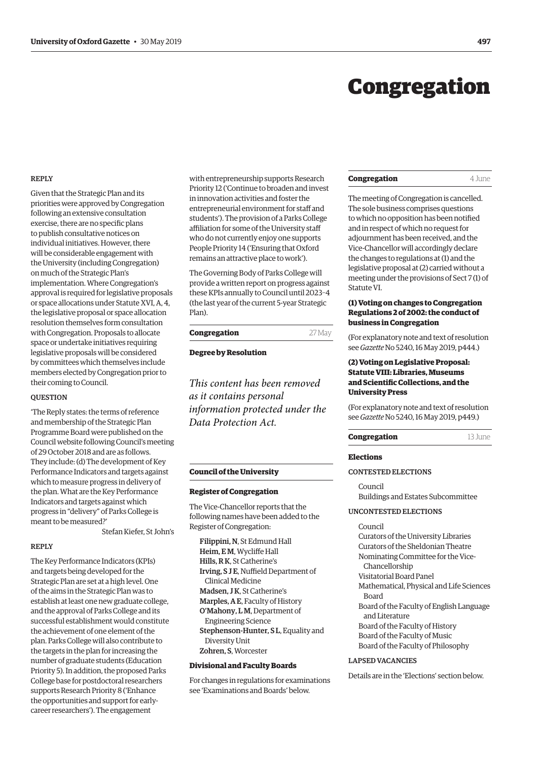# Congregation

#### <span id="page-2-0"></span>REPLY

Given that the Strategic Plan and its priorities were approved by Congregation following an extensive consultation exercise, there are no specific plans to publish consultative notices on individual initiatives. However, there will be considerable engagement with the University (including Congregation) on much of the Strategic Plan's implementation. Where Congregation's approval is required for legislative proposals or space allocations under Statute XVI, A, 4, the legislative proposal or space allocation resolution themselves form consultation with Congregation. Proposals to allocate space or undertake initiatives requiring legislative proposals will be considered by committees which themselves include members elected by Congregation prior to their coming to Council.

#### **OUESTION**

'The Reply states: the terms of reference and membership of the Strategic Plan Programme Board were published on the Council website following Council's meeting of 29 October 2018 and are as follows. They include: (d) The development of Key Performance Indicators and targets against which to measure progress in delivery of the plan. What are the Key Performance Indicators and targets against which progress in "delivery" of Parks College is meant to be measured?'

Stefan Kiefer, St John's

#### REPLY

The Key Performance Indicators (KPIs) and targets being developed for the Strategic Plan are set at a high level. One of the aims in the Strategic Plan was to establish at least one new graduate college, and the approval of Parks College and its successful establishment would constitute the achievement of one element of the plan. Parks College will also contribute to the targets in the plan for increasing the number of graduate students (Education Priority 5). In addition, the proposed Parks College base for postdoctoral researchers supports Research Priority 8 ('Enhance the opportunities and support for earlycareer researchers'). The engagement

with entrepreneurship supports Research Priority 12 ('Continue to broaden and invest in innovation activities and foster the entrepreneurial environment for staff and students'). The provision of a Parks College affiliation for some of the University staff who do not currently enjoy one supports People Priority 14 ('Ensuring that Oxford remains an attractive place to work').

The Governing Body of Parks College will provide a written report on progress against these KPIs annually to Council until 2023–4 (the last year of the current 5-year Strategic Plan).

| Congregation | 27 May |
|--------------|--------|
|              |        |

**Degree by Resolution**

*This content has been removed as it contains personal information protected under the Data Protection Act.*

# **Council of the University**

#### **Register of Congregation**

The Vice-Chancellor reports that the following names have been added to the Register of Congregation:

Filippini, N, St Edmund Hall Heim, E M, Wycliffe Hall Hills, R K, St Catherine's Irving, S J E, Nuffield Department of Clinical Medicine Madsen, J K, St Catherine's Marples, A E, Faculty of History O'Mahony, L M, Department of Engineering Science Stephenson-Hunter, S L, Equality and Diversity Unit Zohren, S, Worcester

#### **Divisional and Faculty Boards**

For changes in regulations for examinations see 'Examinations and Boards' below.

#### **Congregation** 4 June

The meeting of Congregation is cancelled. The sole business comprises questions to which no opposition has been notified and in respect of which no request for adjournment has been received, and the Vice-Chancellor will accordingly declare the changes to regulations at (1) and the legislative proposal at (2) carried without a meeting under the provisions of Sect 7 (1) of Statute VI.

## **(1) Voting on changes to Congregation Regulations 2 of 2002: the conduct of business in Congregation**

(For explanatory note and text of resolution see *Gazette* [No 5240, 16 May 2019, p444.\)](https://gazette.web.ox.ac.uk/sites/default/files/gazette/documents/media/16_may_2019_-_no_5240_redacted.pdf#page=2)

# **(2) Voting on Legislative Proposal: Statute VIII: Libraries, Museums and Scientific Collections, and the University Press**

(For explanatory note and text of resolution see *Gazette* [No 5240, 16 May 2019, p449.\)](https://gazette.web.ox.ac.uk/sites/default/files/gazette/documents/media/16_may_2019_-_no_5240_redacted.pdf#page=7)

#### **Congregation** 13 June

#### **Elections**

#### CONTESTED ELECTIONS

Council Buildings and Estates Subcommittee

#### UNCONTESTED ELECTIONS

Council Curators of the University Libraries Curators of the Sheldonian Theatre Nominating Committee for the Vice-Chancellorship Visitatorial Board Panel Mathematical, Physical and Life Sciences Board Board of the Faculty of English Language and Literature Board of the Faculty of History Board of the Faculty of Music Board of the Faculty of Philosophy

# LAPSED VACANCIES

Details are in the 'Elections' section below.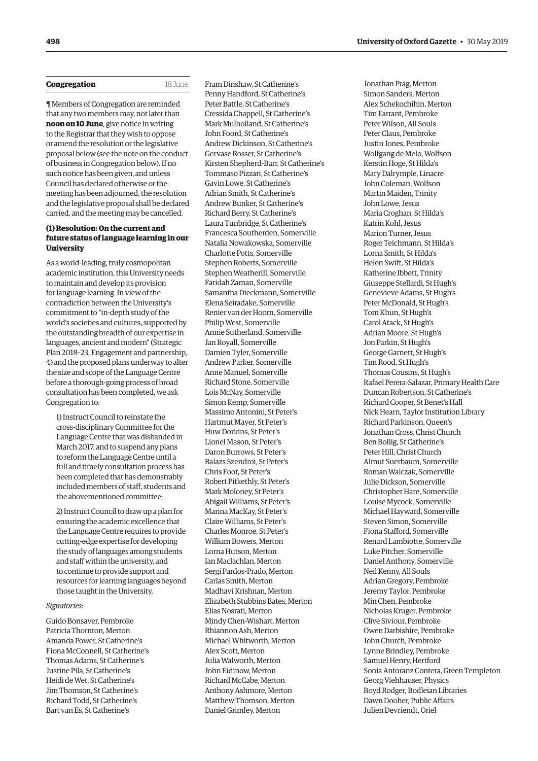<span id="page-3-0"></span>

| Congregation |  |
|--------------|--|
|--------------|--|

¶ Members of Congregation are reminded that any two members may, not later than **noon on 10 June**, give notice in writing to the Registrar that they wish to oppose or amend the resolution or the legislative proposal below (see the note on the conduct of business in Congregation below). If no such notice has been given, and unless Council has declared otherwise or the meeting has been adjourned, the resolution and the legislative proposal shall be declared carried, and the meeting may be cancelled.

**Congregation** 18 June

# **(1) Resolution: On the current and future status of language learning in our University**

As a world-leading, truly cosmopolitan academic institution, this University needs to maintain and develop its provision for language learning. In view of the contradiction between the University's commitment to "in-depth study of the world's societies and cultures, supported by the outstanding breadth of our expertise in languages, ancient and modern" (Strategic Plan 2018–23, Engagement and partnership, 4) and the proposed plans underway to alter the size and scope of the Language Centre before a thorough-going process of broad consultation has been completed, we ask Congregation to:

1) Instruct Council to reinstate the cross-disciplinary Committee for the Language Centre that was disbanded in March 2017, and to suspend any plans to reform the Language Centre until a full and timely consultation process has been completed that has demonstrably included members of staff, students and the abovementioned committee;

2) Instruct Council to draw up a plan for ensuring the academic excellence that the Language Centre requires to provide cutting-edge expertise for developing the study of languages among students and staff within the university, and to continue to provide support and resources for learning languages beyond those taught in the University.

#### *Signatories*:

Guido Bonsaver, Pembroke Patricia Thornton, Merton Amanda Power, St Catherine's Fiona McConnell, St Catherine's Thomas Adams, St Catherine's Justine Pila, St Catherine's Heidi de Wet, St Catherine's Jim Thomson, St Catherine's Richard Todd, St Catherine's Bart van Es, St Catherine's

Fram Dinshaw, St Catherine's Penny Handford, St Catherine's Peter Battle, St Catherine's Cressida Chappell, St Catherine's Mark Mulholland, St Catherine's John Foord, St Catherine's Andrew Dickinson, St Catherine's Gervase Rosser, St Catherine's Kirsten Shepherd-Barr, St Catherine's Tommaso Pizzari, St Catherine's Gavin Lowe, St Catherine's Adrian Smith, St Catherine's Andrew Bunker, St Catherine's Richard Berry, St Catherine's Laura Tunbridge, St Catherine's Francesca Southerden, Somerville Natalia Nowakowska, Somerville Charlotte Potts, Somerville Stephen Roberts, Somerville Stephen Weatherill, Somerville Faridah Zaman, Somerville Samantha Dieckmann, Somerville Elena Seiradake, Somerville Renier van der Hoorn, Somerville Philip West, Somerville Annie Sutherland, Somerville Jan Royall, Somerville Damien Tyler, Somerville Andrew Parker, Somerville Anne Manuel, Somerville Richard Stone, Somerville Lois McNay, Somerville Simon Kemp, Somerville Massimo Antonini, St Peter's Hartmut Mayer, St Peter's Huw Dorkins, St Peter's Lionel Mason, St Peter's Daron Burrows, St Peter's Balazs Szendroi, St Peter's Chris Foot, St Peter's Robert Pitkethly, St Peter's Mark Moloney, St Peter's Abigail Williams, St Peter's Marina MacKay, St Peter's Claire Williams, St Peter's Charles Monroe, St Peter's William Bowers, Merton Lorna Hutson, Merton Ian Maclachlan, Merton Sergi Pardos-Prado, Merton Carlas Smith, Merton Madhavi Krishnan, Merton Elizabeth Stubbins Bates, Merton Elias Nosrati, Merton Mindy Chen-Wishart, Merton Rhiannon Ash, Merton Michael Whitworth, Merton Alex Scott, Merton Julia Walworth, Merton John Eidinow, Merton Richard McCabe, Merton Anthony Ashmore, Merton Matthew Thomson, Merton Daniel Grimley, Merton

Jonathan Prag, Merton Simon Sanders, Merton Alex Schekochihin, Merton Tim Farrant, Pembroke Peter Wilson, All Souls Peter Claus, Pembroke Justin Jones, Pembroke Wolfgang de Melo, Wolfson Kerstin Hoge, St Hilda's Mary Dalrymple, Linacre John Coleman, Wolfson Martin Maiden, Trinity John Lowe, Jesus Maria Croghan, St Hilda's Katrin Kohl, Jesus Marion Turner, Jesus Roger Teichmann, St Hilda's Lorna Smith, St Hilda's Helen Swift, St Hilda's Katherine Ibbett, Trinity Giuseppe Stellardi, St Hugh's Genevieve Adams, St Hugh's Peter McDonald, St Hugh's Tom Khun, St Hugh's Carol Atack, St Hugh's Adrian Moore, St Hugh's Jon Parkin, St Hugh's George Garnett, St Hugh's Tim Rood, St Hugh's Thomas Cousins, St Hugh's Rafael Perera-Salazar, Primary Health Care Duncan Robertson, St Catherine's Richard Cooper, St Benet's Hall Nick Hearn, Taylor Institution Library Richard Parkinson, Queen's Jonathan Cross, Christ Church Ben Bollig, St Catherine's Peter Hill, Christ Church Almut Suerbaum, Somerville Roman Walczak, Somerville Julie Dickson, Somerville Christopher Hare, Somerville Louise Mycock, Somerville Michael Hayward, Somerville Steven Simon, Somerville Fiona Stafford, Somerville Renard Lambiotte, Somerville Luke Pitcher, Somerville Daniel Anthony, Somerville Neil Kenny, All Souls Adrian Gregory, Pembroke Jeremy Taylor, Pembroke Min Chen, Pembroke Nicholas Kruger, Pembroke Clive Siviour, Pembroke Owen Darbishire, Pembroke John Church, Pembroke Lynne Brindley, Pembroke Samuel Henry, Hertford Sonia Antoranz Contera, Green Templeton Georg Viehhauser, Physics Boyd Rodger, Bodleian Libraries Dawn Dooher, Public Affairs Julien Devriendt, Oriel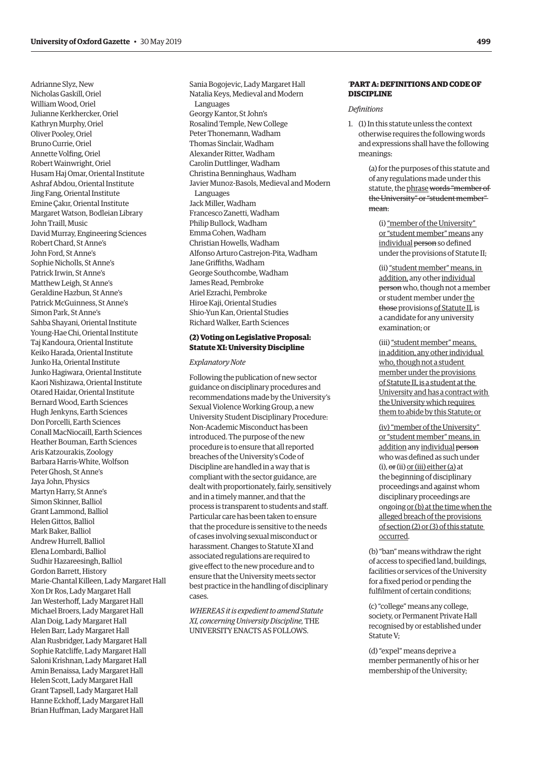<span id="page-4-0"></span>Adrianne Slyz, New Nicholas Gaskill, Oriel William Wood, Oriel Julianne Kerkhercker, Oriel Kathryn Murphy, Oriel Oliver Pooley, Oriel Bruno Currie, Oriel Annette Volfing, Oriel Robert Wainwright, Oriel Husam Haj Omar, Oriental Institute Ashraf Abdou, Oriental Institute Jing Fang, Oriental Institute Emine Çakır, Oriental Institute Margaret Watson, Bodleian Library John Traill, Music David Murray, Engineering Sciences Robert Chard, St Anne's John Ford, St Anne's Sophie Nicholls, St Anne's Patrick Irwin, St Anne's Matthew Leigh, St Anne's Geraldine Hazbun, St Anne's Patrick McGuinness, St Anne's Simon Park, St Anne's Sahba Shayani, Oriental Institute Young-Hae Chi, Oriental Institute Taj Kandoura, Oriental Institute Keiko Harada, Oriental Institute Junko Ha, Oriental Institute Junko Hagiwara, Oriental Institute Kaori Nishizawa, Oriental Institute Otared Haidar, Oriental Institute Bernard Wood, Earth Sciences Hugh Jenkyns, Earth Sciences Don Porcelli, Earth Sciences Conall MacNiocaill, Earth Sciences Heather Bouman, Earth Sciences Aris Katzourakis, Zoology Barbara Harris-White, Wolfson Peter Ghosh, St Anne's Jaya John, Physics Martyn Harry, St Anne's Simon Skinner, Balliol Grant Lammond, Balliol Helen Gittos, Balliol Mark Baker, Balliol Andrew Hurrell, Balliol Elena Lombardi, Balliol Sudhir Hazareesingh, Balliol Gordon Barrett, History Marie-Chantal Killeen, Lady Margaret Hall Xon Dr Ros, Lady Margaret Hall Jan Westerhoff, Lady Margaret Hall Michael Broers, Lady Margaret Hall Alan Doig, Lady Margaret Hall Helen Barr, Lady Margaret Hall Alan Rusbridger, Lady Margaret Hall Sophie Ratcliffe, Lady Margaret Hall Saloni Krishnan, Lady Margaret Hall Amin Benaissa, Lady Margaret Hall Helen Scott, Lady Margaret Hall Grant Tapsell, Lady Margaret Hall Hanne Eckhoff, Lady Margaret Hall Brian Huffman, Lady Margaret Hall

Sania Bogojevic, Lady Margaret Hall Natalia Keys, Medieval and Modern Languages Georgy Kantor, St John's Rosalind Temple, New College Peter Thonemann, Wadham Thomas Sinclair, Wadham Alexander Ritter, Wadham Carolin Duttlinger, Wadham Christina Benninghaus, Wadham Javier Munoz-Basols, Medieval and Modern Languages Jack Miller, Wadham Francesco Zanetti, Wadham Philip Bullock, Wadham Emma Cohen, Wadham Christian Howells, Wadham Alfonso Arturo Castrejon-Pita, Wadham Jane Griffiths, Wadham George Southcombe, Wadham James Read, Pembroke Ariel Ezrachi, Pembroke Hiroe Kaji, Oriental Studies Shio-Yun Kan, Oriental Studies Richard Walker, Earth Sciences

# **(2) Voting on Legislative Proposal: Statute XI: University Discipline**

#### *Explanatory Note*

Following the publication of new sector guidance on disciplinary procedures and recommendations made by the University's Sexual Violence Working Group, a new University Student Disciplinary Procedure: Non-Academic Misconduct has been introduced. The purpose of the new procedure is to ensure that all reported breaches of the University's Code of Discipline are handled in a way that is compliant with the sector guidance, are dealt with proportionately, fairly, sensitively and in a timely manner, and that the process is transparent to students and staff. Particular care has been taken to ensure that the procedure is sensitive to the needs of cases involving sexual misconduct or harassment. Changes to Statute XI and associated regulations are required to give effect to the new procedure and to ensure that the University meets sector best practice in the handling of disciplinary cases.

*WHEREAS it is expedient to amend Statute XI, concerning University Discipline,* THE UNIVERSITY ENACTS AS FOLLOWS.

# '**PART A: DEFINITIONS AND CODE OF DISCIPLINE**

#### *Definitions*

1. (1) In this statute unless the context otherwise requires the following words and expressions shall have the following meanings:

> (a) for the purposes of this statute and of any regulations made under this statute, the phrase words "member of the University" or "student member" mean:

(i) "member of the University" or "student member" means any individual person so defined under the provisions of Statute II;

(ii) "student member" means, in addition, any other individual person who, though not a member or student member under the those provisions of Statute II, is a candidate for any university examination; or

(iii) "student member" means, in addition, any other individual who, though not a student member under the provisions of Statute II, is a student at the University and has a contract with the University which requires them to abide by this Statute; or

(iv) "member of the University" or "student member" means, in addition any individual person who was defined as such under  $(i)$ ,  $\Theta$ r $(ii)$  or  $(iii)$  either (a) at the beginning of disciplinary proceedings and against whom disciplinary proceedings are ongoing or (b) at the time when the alleged breach of the provisions of section (2) or (3) of this statute occurred.

(b) "ban" means withdraw the right of access to specified land, buildings, facilities or services of the University for a fixed period or pending the fulfilment of certain conditions;

(c) "college" means any college, society, or Permanent Private Hall recognised by or established under Statute V;

(d) "expel" means deprive a member permanently of his or her membership of the University;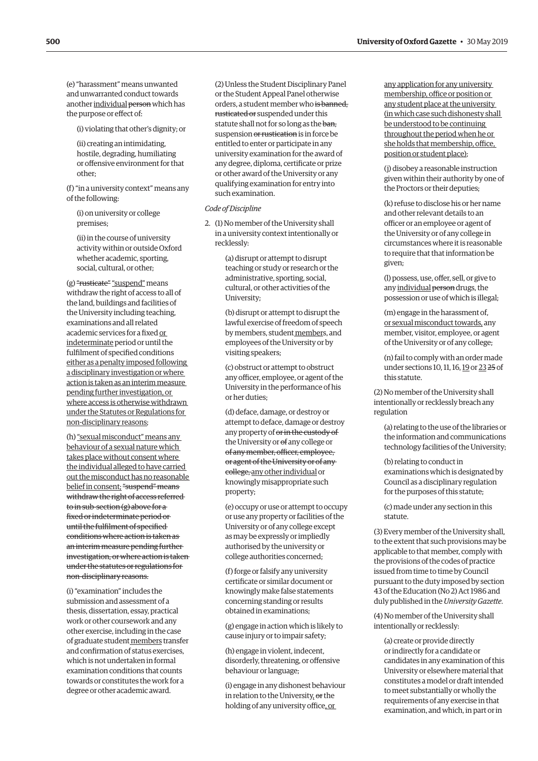(e) "harassment" means unwanted and unwarranted conduct towards another individual person which has the purpose or effect of:

(i) violating that other's dignity; or

(ii) creating an intimidating, hostile, degrading, humiliating or offensive environment for that other;

(f) "in a university context" means any of the following:

(i) on university or college premises;

(ii) in the course of university activity within or outside Oxford whether academic, sporting, social, cultural, or other;

 $(g)$  "rusticate" "suspend" means withdraw the right of access to all of the land, buildings and facilities of the University including teaching, examinations and all related academic services for a fixed or indeterminate period or until the fulfilment of specified conditions either as a penalty imposed following a disciplinary investigation or where action is taken as an interim measure pending further investigation, or where access is otherwise withdrawn under the Statutes or Regulations for non-disciplinary reasons;

(h) "sexual misconduct" means any behaviour of a sexual nature which takes place without consent where the individual alleged to have carried out the misconduct has no reasonable belief in consent; "suspend" means withdraw the right of access referred to in sub-section (g) above for a fixed or indeterminate period or until the fulfilment of specified conditions where action is taken as an interim measure pending further investigation, or where action is taken under the statutes or regulations for non-disciplinary reasons.

(i) "examination" includes the submission and assessment of a thesis, dissertation, essay, practical work or other coursework and any other exercise, including in the case of graduate student members transfer and confirmation of status exercises, which is not undertaken in formal examination conditions that counts towards or constitutes the work for a degree or other academic award.

(2) Unless the Student Disciplinary Panel or the Student Appeal Panel otherwise orders, a student member who is banned, rusticated or suspended under this statute shall not for so long as the ban, suspension or rustication is in force be entitled to enter or participate in any university examination for the award of any degree, diploma, certificate or prize or other award of the University or any qualifying examination for entry into such examination.

# *Code of Discipline*

2. (1) No member of the University shall in a university context intentionally or recklessly:

> (a) disrupt or attempt to disrupt teaching or study or research or the administrative, sporting, social, cultural, or other activities of the University;

(b) disrupt or attempt to disrupt the lawful exercise of freedom of speech by members, student members, and employees of the University or by visiting speakers;

(c) obstruct or attempt to obstruct any officer, employee, or agent of the University in the performance of his or her duties;

(d) deface, damage, or destroy or attempt to deface, damage or destroy any property of or in the custody of the University or <del>of</del> any college or of any member, officer, employee, or agent of the University or of any college, any other individual or knowingly misappropriate such property;

(e) occupy or use or attempt to occupy or use any property or facilities of the University or of any college except as may be expressly or impliedly authorised by the university or college authorities concerned;

(f) forge or falsify any university certificate or similar document or knowingly make false statements concerning standing or results obtained in examinations;

(g) engage in action which is likely to cause injury or to impair safety;

(h) engage in violent, indecent, disorderly, threatening, or offensive behaviour or language;

(i) engage in any dishonest behaviour in relation to the University, or the holding of any university office, or

any application for any university membership, office or position or any student place at the university (in which case such dishonesty shall be understood to be continuing throughout the period when he or she holds that membership, office, position or student place);

(j) disobey a reasonable instruction given within their authority by one of the Proctors or their deputies;

(k) refuse to disclose his or her name and other relevant details to an officer or an employee or agent of the University or of any college in circumstances where it is reasonable to require that that information be given;

(l) possess, use, offer, sell, or give to any individual person drugs, the possession or use of which is illegal;

(m) engage in the harassment of, or sexual misconduct towards, any member, visitor, employee, or agent of the University or of any college;

(n) fail to comply with an order made under sections 10, 11, 16, 19 or 23 25 of this statute.

(2) No member of the University shall intentionally or recklessly breach any regulation

(a) relating to the use of the libraries or the information and communications technology facilities of the University;

(b) relating to conduct in examinations which is designated by Council as a disciplinary regulation for the purposes of this statute;

(c) made under any section in this statute.

(3) Every member of the University shall, to the extent that such provisions may be applicable to that member, comply with the provisions of the codes of practice issued from time to time by Council pursuant to the duty imposed by section 43 of the Education (No 2) Act 1986 and duly published in the *University Gazette*.

(4) No member of the University shall intentionally or recklessly:

(a) create or provide directly or indirectly for a candidate or candidates in any examination of this University or elsewhere material that constitutes a model or draft intended to meet substantially or wholly the requirements of any exercise in that examination, and which, in part or in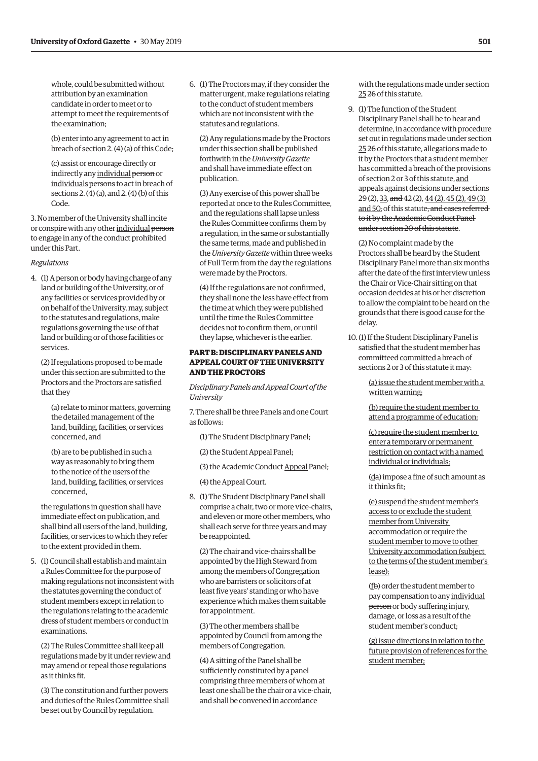whole, could be submitted without attribution by an examination candidate in order to meet or to attempt to meet the requirements of the examination;

(b) enter into any agreement to act in breach of section 2. (4) (a) of this Code;

(c) assist or encourage directly or indirectly any individual person or individuals persons to act in breach of sections 2. (4) (a), and 2. (4) (b) of this Code.

3. No member of the University shall incite or conspire with any other individual person to engage in any of the conduct prohibited under this Part.

#### *Regulations*

4. (1) A person or body having charge of any land or building of the University, or of any facilities or services provided by or on behalf of the University, may, subject to the statutes and regulations, make regulations governing the use of that land or building or of those facilities or services.

(2) If regulations proposed to be made under this section are submitted to the Proctors and the Proctors are satisfied that they

(a) relate to minor matters, governing the detailed management of the land, building, facilities, or services concerned, and

(b) are to be published in such a way as reasonably to bring them to the notice of the users of the land, building, facilities, or services concerned,

the regulations in question shall have immediate effect on publication, and shall bind all users of the land, building, facilities, or services to which they refer to the extent provided in them.

5. (1) Council shall establish and maintain a Rules Committee for the purpose of making regulations not inconsistent with the statutes governing the conduct of student members except in relation to the regulations relating to the academic dress of student members or conduct in examinations.

(2) The Rules Committee shall keep all regulations made by it under review and may amend or repeal those regulations as it thinks fit.

(3) The constitution and further powers and duties of the Rules Committee shall be set out by Council by regulation.

6. (1) The Proctors may, if they consider the matter urgent, make regulations relating to the conduct of student members which are not inconsistent with the statutes and regulations.

(2) Any regulations made by the Proctors under this section shall be published forthwith in the *University Gazette* and shall have immediate effect on publication.

(3) Any exercise of this power shall be reported at once to the Rules Committee, and the regulations shall lapse unless the Rules Committee confirms them by a regulation, in the same or substantially the same terms, made and published in the *University Gazette* within three weeks of Full Term from the day the regulations were made by the Proctors.

(4) If the regulations are not confirmed, they shall none the less have effect from the time at which they were published until the time the Rules Committee decides not to confirm them, or until they lapse, whichever is the earlier.

# **PART B: DISCIPLINARY PANELS AND APPEAL COURT OF THE UNIVERSITY AND THE PROCTORS**

*Disciplinary Panels and Appeal Court of the University*

7. There shall be three Panels and one Court as follows:

(1) The Student Disciplinary Panel;

(2) the Student Appeal Panel;

(3) the Academic Conduct Appeal Panel;

(4) the Appeal Court.

8. (1) The Student Disciplinary Panel shall comprise a chair, two or more vice-chairs, and eleven or more other members, who shall each serve for three years and may be reappointed.

(2) The chair and vice-chairs shall be appointed by the High Steward from among the members of Congregation who are barristers or solicitors of at least five years' standing or who have experience which makes them suitable for appointment.

(3) The other members shall be appointed by Council from among the members of Congregation.

(4) A sitting of the Panel shall be sufficiently constituted by a panel comprising three members of whom at least one shall be the chair or a vice-chair, and shall be convened in accordance

with the regulations made under section 25 26 of this statute.

9. (1) The function of the Student Disciplinary Panel shall be to hear and determine, in accordance with procedure set out in regulations made under section 25 26 of this statute, allegations made to it by the Proctors that a student member has committed a breach of the provisions of section 2 or 3 of this statute, and appeals against decisions under sections 29 (2), 33, and 42 (2), 44 (2), 45 (2), 49 (3) and 50, of this statute, and cases referred to it by the Academic Conduct Panel under section 20 of this statute.

(2) No complaint made by the Proctors shall be heard by the Student Disciplinary Panel more than six months after the date of the first interview unless the Chair or Vice-Chair sitting on that occasion decides at his or her discretion to allow the complaint to be heard on the grounds that there is good cause for the delay.

10. (1) If the Student Disciplinary Panel is satisfied that the student member has committeed committed a breach of sections 2 or 3 of this statute it may:

> (a) issue the student member with a written warning;

(b) require the student member to attend a programme of education;

(c) require the student member to enter a temporary or permanent restriction on contact with a named individual or individuals;

(da) impose a fine of such amount as it thinks fit;

(e) suspend the student member's access to or exclude the student member from University accommodation or require the student member to move to other University accommodation (subject to the terms of the student member's lease);

(fb) order the student member to pay compensation to any individual person or body suffering injury, damage, or loss as a result of the student member's conduct;

(g) issue directions in relation to the future provision of references for the student member;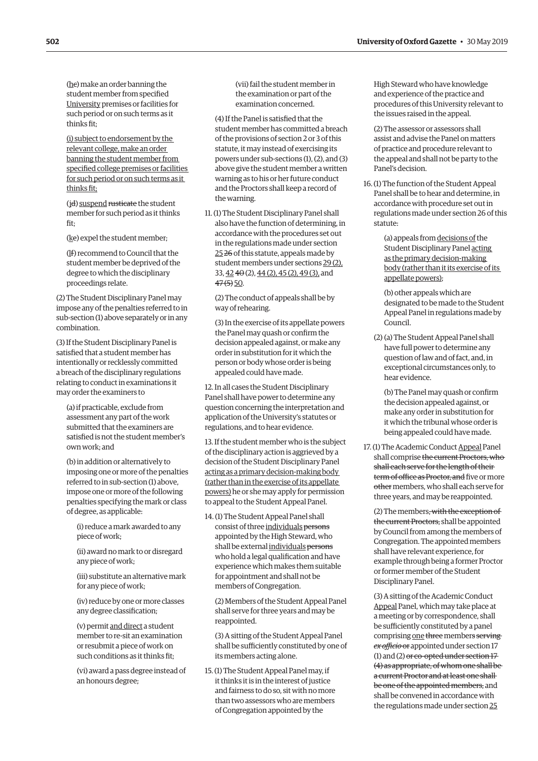(hc) make an order banning the student member from specified University premises or facilities for such period or on such terms as it thinks fit;

(i) subject to endorsement by the relevant college, make an order banning the student member from specified college premises or facilities for such period or on such terms as it thinks fit;

(jd) suspend rusticate the student member for such period as it thinks fit;

(ke) expel the student member;

(lf) recommend to Council that the student member be deprived of the degree to which the disciplinary proceedings relate.

(2) The Student Disciplinary Panel may impose any of the penalties referred to in sub-section (1) above separately or in any combination.

(3) If the Student Disciplinary Panel is satisfied that a student member has intentionally or recklessly committed a breach of the disciplinary regulations relating to conduct in examinations it may order the examiners to

(a) if practicable, exclude from assessment any part of the work submitted that the examiners are satisfied is not the student member's own work; and

(b) in addition or alternatively to imposing one or more of the penalties referred to in sub-section (1) above, impose one or more of the following penalties specifying the mark or class of degree, as applicable:

(i) reduce a mark awarded to any piece of work;

- (ii) award no mark to or disregard any piece of work;
- (iii) substitute an alternative mark for any piece of work;

(iv) reduce by one or more classes any degree classification;

(v) permit and direct a student member to re-sit an examination or resubmit a piece of work on such conditions as it thinks fit;

(vi) award a pass degree instead of an honours degree;

(vii) fail the student member in the examination or part of the examination concerned.

(4) If the Panel is satisfied that the student member has committed a breach of the provisions of section 2 or 3 of this statute, it may instead of exercising its powers under sub-sections (1), (2), and (3) above give the student member a written warning as to his or her future conduct and the Proctors shall keep a record of the warning.

11. (1) The Student Disciplinary Panel shall also have the function of determining, in accordance with the procedures set out in the regulations made under section 25 26 of this statute, appeals made by student members under sections 29 (2), 33, 42 40 (2), 44 (2), 45 (2), 49 (3), and  $47(5)$  50.

(2) The conduct of appeals shall be by way of rehearing.

(3) In the exercise of its appellate powers the Panel may quash or confirm the decision appealed against, or make any order in substitution for it which the person or body whose order is being appealed could have made.

12. In all cases the Student Disciplinary Panel shall have power to determine any question concerning the interpretation and application of the University's statutes or regulations, and to hear evidence.

13. If the student member who is the subject of the disciplinary action is aggrieved by a decision of the Student Disciplinary Panel acting as a primary decision-making body (rather than in the exercise of its appellate powers) he or she may apply for permission to appeal to the Student Appeal Panel.

14. (1) The Student Appeal Panel shall consist of three individuals persons appointed by the High Steward, who shall be external individuals persons who hold a legal qualification and have experience which makes them suitable for appointment and shall not be members of Congregation.

(2) Members of the Student Appeal Panel shall serve for three years and may be reappointed.

(3) A sitting of the Student Appeal Panel shall be sufficiently constituted by one of its members acting alone.

15. (1) The Student Appeal Panel may, if it thinks it is in the interest of justice and fairness to do so, sit with no more than two assessors who are members of Congregation appointed by the

High Steward who have knowledge and experience of the practice and procedures of this University relevant to the issues raised in the appeal.

(2) The assessor or assessors shall assist and advise the Panel on matters of practice and procedure relevant to the appeal and shall not be party to the Panel's decision.

16. (1) The function of the Student Appeal Panel shall be to hear and determine, in accordance with procedure set out in regulations made under section 26 of this statute:

> (a) appeals from decisions of the Student Disciplinary Panel acting as the primary decision-making body (rather than it its exercise of its appellate powers);

(b) other appeals which are designated to be made to the Student Appeal Panel in regulations made by Council.

(2) (a) The Student Appeal Panel shall have full power to determine any question of law and of fact, and, in exceptional circumstances only, to hear evidence.

(b) The Panel may quash or confirm the decision appealed against, or make any order in substitution for it which the tribunal whose order is being appealed could have made.

17. (1) The Academic Conduct Appeal Panel shall comprise the current Proctors, who shall each serve for the length of their term of office as Proctor, and five or more other members, who shall each serve for three years, and may be reappointed.

(2) The members, with the exception of the current Proctors, shall be appointed by Council from among the members of Congregation. The appointed members shall have relevant experience, for example through being a former Proctor or former member of the Student Disciplinary Panel.

(3) A sitting of the Academic Conduct Appeal Panel, which may take place at a meeting or by correspondence, shall be sufficiently constituted by a panel comprising one three members serving *ex officio* or appointed under section 17 (1) and (2) or co-opted under section 17 (4) as appropriate, of whom one shall be a current Proctor and at least one shall be one of the appointed members, and shall be convened in accordance with the regulations made under section 25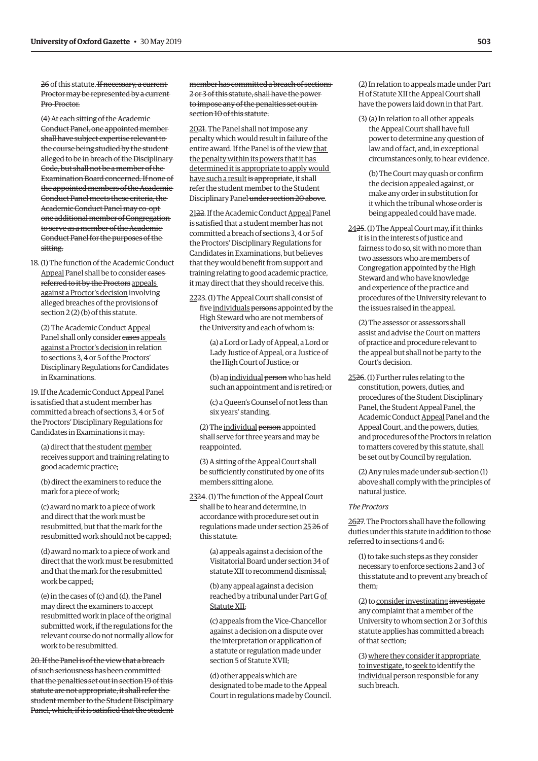26 of this statute. If necessary, a current Proctor may be represented by a current Pro-Proctor.

(4) At each sitting of the Academic Conduct Panel, one appointed member shall have subject expertise relevant to the course being studied by the student alleged to be in breach of the Disciplinary Code, but shall not be a member of the Examination Board concerned. If none of the appointed members of the Academic Conduct Panel meets these criteria, the Academic Conduct Panel may co-opt one additional member of Congregation to serve as a member of the Academic Conduct Panel for the purposes of the sitting.

18. (1) The function of the Academic Conduct Appeal Panel shall be to consider cases referred to it by the Proctors appeals against a Proctor's decision involving alleged breaches of the provisions of section 2 (2) (b) of this statute.

(2) The Academic Conduct Appeal Panel shall only consider cases appeals against a Proctor's decision in relation to sections 3, 4 or 5 of the Proctors' Disciplinary Regulations for Candidates in Examinations.

19. If the Academic Conduct Appeal Panel is satisfied that a student member has committed a breach of sections 3, 4 or 5 of the Proctors' Disciplinary Regulations for Candidates in Examinations it may:

(a) direct that the student member receives support and training relating to good academic practice;

(b) direct the examiners to reduce the mark for a piece of work;

(c) award no mark to a piece of work and direct that the work must be resubmitted, but that the mark for the resubmitted work should not be capped;

(d) award no mark to a piece of work and direct that the work must be resubmitted and that the mark for the resubmitted work be capped;

(e) in the cases of (c) and (d), the Panel may direct the examiners to accept resubmitted work in place of the original submitted work, if the regulations for the relevant course do not normally allow for work to be resubmitted.

20. If the Panel is of the view that a breach of such seriousness has been committed that the penalties set out in section 19 of this statute are not appropriate, it shall refer the student member to the Student Disciplinary Panel, which, if it is satisfied that the student member has committed a breach of sections 2 or 3 of this statute, shall have the power to impose any of the penalties set out in section 10 of this statute.

2021. The Panel shall not impose any penalty which would result in failure of the entire award. If the Panel is of the view that the penalty within its powers that it has determined it is appropriate to apply would have such a result is appropriate, it shall refer the student member to the Student Disciplinary Panel under section 20 above.

2122. If the Academic Conduct Appeal Panel is satisfied that a student member has not committed a breach of sections 3, 4 or 5 of the Proctors' Disciplinary Regulations for Candidates in Examinations, but believes that they would benefit from support and training relating to good academic practice, it may direct that they should receive this.

2223. (1) The Appeal Court shall consist of five individuals persons appointed by the High Steward who are not members of the University and each of whom is:

> (a) a Lord or Lady of Appeal, a Lord or Lady Justice of Appeal, or a Justice of the High Court of Justice; or

(b) an individual person who has held such an appointment and is retired; or

(c) a Queen's Counsel of not less than six years' standing.

(2) The individual person appointed shall serve for three years and may be reappointed.

(3) A sitting of the Appeal Court shall be sufficiently constituted by one of its members sitting alone.

2324. (1) The function of the Appeal Court shall be to hear and determine, in accordance with procedure set out in regulations made under section 25 26 of this statute:

> (a) appeals against a decision of the Visitatorial Board under section 34 of statute XII to recommend dismissal;

(b) any appeal against a decision reached by a tribunal under Part G of Statute XII;

(c) appeals from the Vice-Chancellor against a decision on a dispute over the interpretation or application of a statute or regulation made under section 5 of Statute XVII;

(d) other appeals which are designated to be made to the Appeal Court in regulations made by Council. (2) In relation to appeals made under Part H of Statute XII the Appeal Court shall have the powers laid down in that Part.

(3) (a) In relation to all other appeals the Appeal Court shall have full power to determine any question of law and of fact, and, in exceptional circumstances only, to hear evidence.

(b) The Court may quash or confirm the decision appealed against, or make any order in substitution for it which the tribunal whose order is being appealed could have made.

2425. (1) The Appeal Court may, if it thinks it is in the interests of justice and fairness to do so, sit with no more than two assessors who are members of Congregation appointed by the High Steward and who have knowledge and experience of the practice and procedures of the University relevant to the issues raised in the appeal.

(2) The assessor or assessors shall assist and advise the Court on matters of practice and procedure relevant to the appeal but shall not be party to the Court's decision.

2526. (1) Further rules relating to the constitution, powers, duties, and procedures of the Student Disciplinary Panel, the Student Appeal Panel, the Academic Conduct Appeal Panel and the Appeal Court, and the powers, duties, and procedures of the Proctors in relation to matters covered by this statute, shall be set out by Council by regulation.

(2) Any rules made under sub-section (1) above shall comply with the principles of natural justice.

#### *The Proctors*

2627. The Proctors shall have the following duties under this statute in addition to those referred to in sections 4 and 6:

(1) to take such steps as they consider necessary to enforce sections 2 and 3 of this statute and to prevent any breach of them;

(2) to consider investigating investigate any complaint that a member of the University to whom section 2 or 3 of this statute applies has committed a breach of that section;

(3) where they consider it appropriate to investigate, to seek to identify the individual person responsible for any such breach.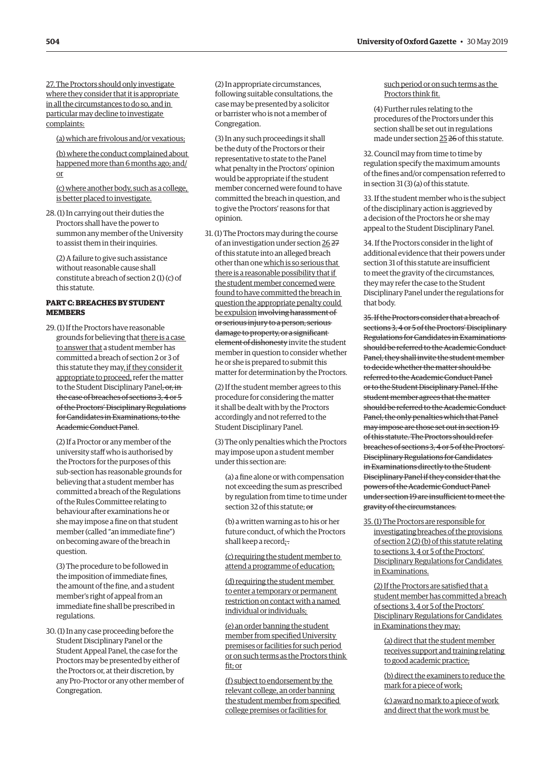27. The Proctors should only investigate where they consider that it is appropriate in all the circumstances to do so, and in particular may decline to investigate complaints:

(a) which are frivolous and/or vexatious;

(b) where the conduct complained about happened more than 6 months ago; and/ or

(c) where another body, such as a college, is better placed to investigate.

28. (1) In carrying out their duties the Proctors shall have the power to summon any member of the University to assist them in their inquiries.

(2) A failure to give such assistance without reasonable cause shall constitute a breach of section 2 (1) (c) of this statute.

# **PART C: BREACHES BY STUDENT MEMBERS**

29. (1) If the Proctors have reasonable grounds for believing that there is a case to answer that a student member has committed a breach of section 2 or 3 of this statute they may, if they consider it appropriate to proceed, refer the matter to the Student Disciplinary Panel, or, inthe case of breaches of sections 3, 4 or 5 of the Proctors' Disciplinary Regulations for Candidates in Examinations, to the Academic Conduct Panel.

(2) If a Proctor or any member of the university staff who is authorised by the Proctors for the purposes of this sub-section has reasonable grounds for believing that a student member has committed a breach of the Regulations of the Rules Committee relating to behaviour after examinations he or she may impose a fine on that student member (called "an immediate fine") on becoming aware of the breach in question.

(3) The procedure to be followed in the imposition of immediate fines, the amount of the fine, and a student member's right of appeal from an immediate fine shall be prescribed in regulations.

30. (1) In any case proceeding before the Student Disciplinary Panel or the Student Appeal Panel, the case for the Proctors may be presented by either of the Proctors or, at their discretion, by any Pro-Proctor or any other member of Congregation.

(2) In appropriate circumstances, following suitable consultations, the case may be presented by a solicitor or barrister who is not a member of Congregation.

(3) In any such proceedings it shall be the duty of the Proctors or their representative to state to the Panel what penalty in the Proctors' opinion would be appropriate if the student member concerned were found to have committed the breach in question, and to give the Proctors' reasons for that opinion.

31. (1) The Proctors may during the course of an investigation under section 26 27 of this statute into an alleged breach other than one which is so serious that there is a reasonable possibility that if the student member concerned were found to have committed the breach in question the appropriate penalty could be expulsion involving harassment of or serious injury to a person, serious damage to property, or a significant element of dishonesty invite the student member in question to consider whether he or she is prepared to submit this matter for determination by the Proctors.

(2) If the student member agrees to this procedure for considering the matter it shall be dealt with by the Proctors accordingly and not referred to the Student Disciplinary Panel.

(3) The only penalties which the Proctors may impose upon a student member under this section are:

(a) a fine alone or with compensation not exceeding the sum as prescribed by regulation from time to time under section 32 of this statute; or

(b) a written warning as to his or her future conduct, of which the Proctors shall keep a record; $\pm$ 

(c) requiring the student member to attend a programme of education;

(d) requiring the student member to enter a temporary or permanent restriction on contact with a named individual or individuals;

(e) an order banning the student member from specified University premises or facilities for such period or on such terms as the Proctors think fit; or

(f) subject to endorsement by the relevant college, an order banning the student member from specified college premises or facilities for

such period or on such terms as the Proctors think fit.

(4) Further rules relating to the procedures of the Proctors under this section shall be set out in regulations made under section 25 26 of this statute.

32. Council may from time to time by regulation specify the maximum amounts of the fines and/or compensation referred to in section 31 (3) (a) of this statute.

33. If the student member who is the subject of the disciplinary action is aggrieved by a decision of the Proctors he or she may appeal to the Student Disciplinary Panel.

34. If the Proctors consider in the light of additional evidence that their powers under section 31 of this statute are insufficient to meet the gravity of the circumstances, they may refer the case to the Student Disciplinary Panel under the regulations for that body.

35. If the Proctors consider that a breach of sections 3, 4 or 5 of the Proctors' Disciplinary Regulations for Candidates in Examinations should be referred to the Academic Conduct Panel, they shall invite the student member to decide whether the matter should be referred to the Academic Conduct Panel or to the Student Disciplinary Panel. If the student member agrees that the matter should be referred to the Academic Conduct Panel, the only penalties which that Panel may impose are those set out in section 19 of this statute. The Proctors should refer breaches of sections 3, 4 or 5 of the Proctors' Disciplinary Regulations for Candidates in Examinations directly to the Student Disciplinary Panel if they consider that the powers of the Academic Conduct Panel under section 19 are insufficient to meet the gravity of the circumstances.

35. (1) The Proctors are responsible for investigating breaches of the provisions of section 2 (2) (b) of this statute relating to sections 3, 4 or 5 of the Proctors' Disciplinary Regulations for Candidates in Examinations.

(2) If the Proctors are satisfied that a student member has committed a breach of sections 3, 4 or 5 of the Proctors' Disciplinary Regulations for Candidates in Examinations they may:

(a) direct that the student member receives support and training relating to good academic practice;

(b) direct the examiners to reduce the mark for a piece of work;

(c) award no mark to a piece of work and direct that the work must be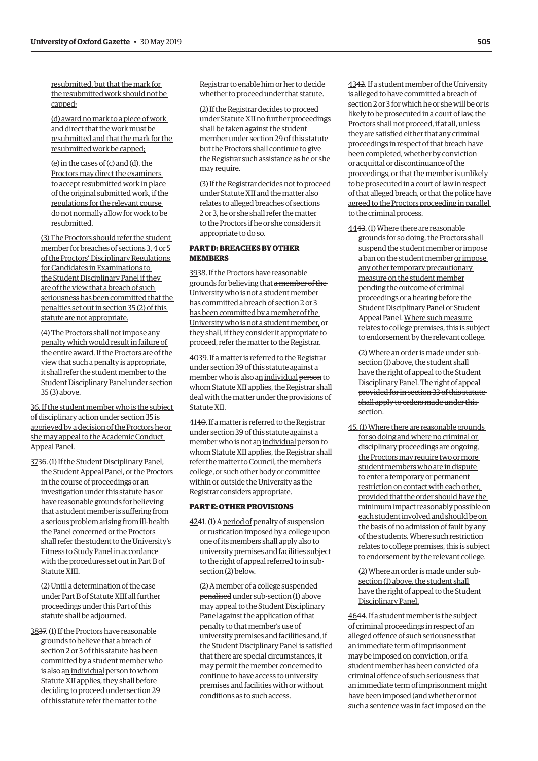resubmitted, but that the mark for the resubmitted work should not be capped;

(d) award no mark to a piece of work and direct that the work must be resubmitted and that the mark for the resubmitted work be capped;

(e) in the cases of (c) and (d), the Proctors may direct the examiners to accept resubmitted work in place of the original submitted work, if the regulations for the relevant course do not normally allow for work to be resubmitted.

(3) The Proctors should refer the student member for breaches of sections 3, 4 or 5 of the Proctors' Disciplinary Regulations for Candidates in Examinations to the Student Disciplinary Panel if they are of the view that a breach of such seriousness has been committed that the penalties set out in section 35 (2) of this statute are not appropriate.

(4) The Proctors shall not impose any penalty which would result in failure of the entire award. If the Proctors are of the view that such a penalty is appropriate, it shall refer the student member to the Student Disciplinary Panel under section 35 (3) above.

36. If the student member who is the subject of disciplinary action under section 35 is aggrieved by a decision of the Proctors he or she may appeal to the Academic Conduct Appeal Panel.

3736. (1) If the Student Disciplinary Panel, the Student Appeal Panel, or the Proctors in the course of proceedings or an investigation under this statute has or have reasonable grounds for believing that a student member is suffering from a serious problem arising from ill-health the Panel concerned or the Proctors shall refer the student to the University's Fitness to Study Panel in accordance with the procedures set out in Part B of Statute XIII.

(2) Until a determination of the case under Part B of Statute XIII all further proceedings under this Part of this statute shall be adjourned.

3837. (1) If the Proctors have reasonable grounds to believe that a breach of section 2 or 3 of this statute has been committed by a student member who is also an individual person to whom Statute XII applies, they shall before deciding to proceed under section 29 of this statute refer the matter to the

Registrar to enable him or her to decide whether to proceed under that statute.

(2) If the Registrar decides to proceed under Statute XII no further proceedings shall be taken against the student member under section 29 of this statute but the Proctors shall continue to give the Registrar such assistance as he or she may require.

(3) If the Registrar decides not to proceed under Statute XII and the matter also relates to alleged breaches of sections 2 or 3, he or she shall refer the matter to the Proctors if he or she considers it appropriate to do so.

# **PART D: BREACHES BY OTHER MEMBERS**

3938. If the Proctors have reasonable grounds for believing that a member of the University who is not a student member has committed a breach of section 2 or 3 has been committed by a member of the University who is not a student member, or they shall, if they consider it appropriate to proceed, refer the matter to the Registrar.

4039. If a matter is referred to the Registrar under section 39 of this statute against a member who is also an individual person to whom Statute XII applies, the Registrar shall deal with the matter under the provisions of Statute XII.

4140. If a matter is referred to the Registrar under section 39 of this statute against a member who is not an individual person to whom Statute XII applies, the Registrar shall refer the matter to Council, the member's college, or such other body or committee within or outside the University as the Registrar considers appropriate.

# **PART E: OTHER PROVISIONS**

4241. (1) A period of penalty of suspension or rustication imposed by a college upon one of its members shall apply also to university premises and facilities subject to the right of appeal referred to in subsection (2) below.

(2) A member of a college suspended penalised under sub-section (1) above may appeal to the Student Disciplinary Panel against the application of that penalty to that member's use of university premises and facilities and, if the Student Disciplinary Panel is satisfied that there are special circumstances, it may permit the member concerned to continue to have access to university premises and facilities with or without conditions as to such access.

4342. If a student member of the University is alleged to have committed a breach of section 2 or 3 for which he or she will be or is likely to be prosecuted in a court of law, the Proctors shall not proceed, if at all, unless they are satisfied either that any criminal proceedings in respect of that breach have been completed, whether by conviction or acquittal or discontinuance of the proceedings, or that the member is unlikely to be prosecuted in a court of law in respect of that alleged breach, or that the police have agreed to the Proctors proceeding in parallel to the criminal process.

4443. (1) Where there are reasonable grounds for so doing, the Proctors shall suspend the student member or impose a ban on the student member or impose any other temporary precautionary measure on the student member pending the outcome of criminal proceedings or a hearing before the Student Disciplinary Panel or Student Appeal Panel. Where such measure relates to college premises, this is subject to endorsement by the relevant college.

(2) Where an order is made under subsection (1) above, the student shall have the right of appeal to the Student Disciplinary Panel. The right of appeal provided for in section 33 of this statute shall apply to orders made under this section.

45. (1) Where there are reasonable grounds for so doing and where no criminal or disciplinary proceedings are ongoing, the Proctors may require two or more student members who are in dispute to enter a temporary or permanent restriction on contact with each other, provided that the order should have the minimum impact reasonably possible on each student involved and should be on the basis of no admission of fault by any of the students. Where such restriction relates to college premises, this is subject to endorsement by the relevant college.

(2) Where an order is made under subsection (1) above, the student shall have the right of appeal to the Student Disciplinary Panel.

4644. If a student member is the subject of criminal proceedings in respect of an alleged offence of such seriousness that an immediate term of imprisonment may be imposed on conviction, or if a student member has been convicted of a criminal offence of such seriousness that an immediate term of imprisonment might have been imposed (and whether or not such a sentence was in fact imposed on the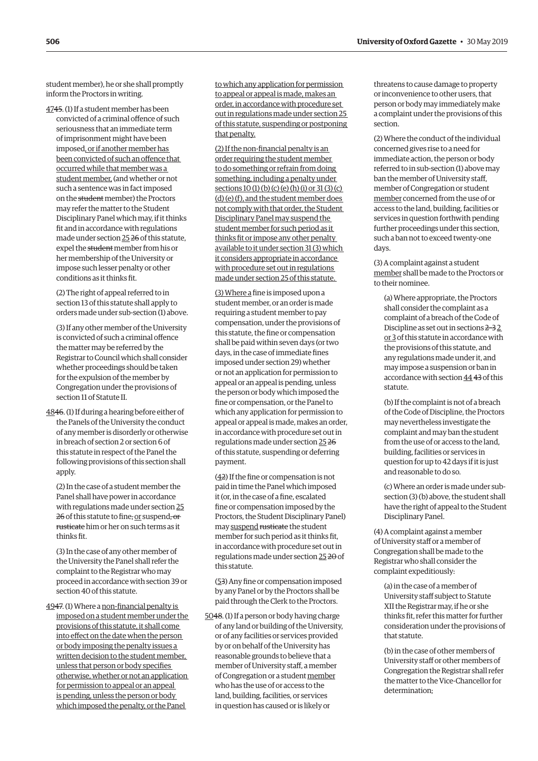student member), he or she shall promptly inform the Proctors in writing.

4745. (1) If a student member has been convicted of a criminal offence of such seriousness that an immediate term of imprisonment might have been imposed, or if another member has been convicted of such an offence that occurred while that member was a student member, (and whether or not such a sentence was in fact imposed on the student member) the Proctors may refer the matter to the Student Disciplinary Panel which may, if it thinks fit and in accordance with regulations made under section 25 26 of this statute, expel the student member from his or her membership of the University or impose such lesser penalty or other conditions as it thinks fit.

(2) The right of appeal referred to in section 13 of this statute shall apply to orders made under sub-section (1) above.

(3) If any other member of the University is convicted of such a criminal offence the matter may be referred by the Registrar to Council which shall consider whether proceedings should be taken for the expulsion of the member by Congregation under the provisions of section 11 of Statute II.

4846. (1) If during a hearing before either of the Panels of the University the conduct of any member is disorderly or otherwise in breach of section 2 or section 6 of this statute in respect of the Panel the following provisions of this section shall apply.

(2) In the case of a student member the Panel shall have power in accordance with regulations made under section 25 26 of this statute to fine, or suspend, or rusticate him or her on such terms as it thinks fit.

(3) In the case of any other member of the University the Panel shall refer the complaint to the Registrar who may proceed in accordance with section 39 or section 40 of this statute.

4947. (1) Where a non-financial penalty is imposed on a student member under the provisions of this statute, it shall come into effect on the date when the person or body imposing the penalty issues a written decision to the student member, unless that person or body specifies otherwise, whether or not an application for permission to appeal or an appeal is pending, unless the person or body which imposed the penalty, or the Panel

to which any application for permission to appeal or appeal is made, makes an order, in accordance with procedure set out in regulations made under section 25 of this statute, suspending or postponing that penalty.

(2) If the non-financial penalty is an order requiring the student member to do something or refrain from doing something, including a penalty under sections 10 (1) (b) (c) (e) (h) (i) or 31 (3) (c) (d) (e) (f), and the student member does not comply with that order, the Student Disciplinary Panel may suspend the student member for such period as it thinks fit or impose any other penalty available to it under section 31 (3) which it considers appropriate in accordance with procedure set out in regulations made under section 25 of this statute.

(3) Where a fine is imposed upon a student member, or an order is made requiring a student member to pay compensation, under the provisions of this statute, the fine or compensation shall be paid within seven days (or two days, in the case of immediate fines imposed under section 29) whether or not an application for permission to appeal or an appeal is pending, unless the person or body which imposed the fine or compensation, or the Panel to which any application for permission to appeal or appeal is made, makes an order, in accordance with procedure set out in regulations made under section 25 26 of this statute, suspending or deferring payment.

(42) If the fine or compensation is not paid in time the Panel which imposed it (or, in the case of a fine, escalated fine or compensation imposed by the Proctors, the Student Disciplinary Panel) may suspend rusticate the student member for such period as it thinks fit, in accordance with procedure set out in regulations made under section 25 20 of this statute.

(53) Any fine or compensation imposed by any Panel or by the Proctors shall be paid through the Clerk to the Proctors.

5048. (1) If a person or body having charge of any land or building of the University, or of any facilities or services provided by or on behalf of the University has reasonable grounds to believe that a member of University staff, a member of Congregation or a student member who has the use of or access to the land, building, facilities, or services in question has caused or is likely or

threatens to cause damage to property or inconvenience to other users, that person or body may immediately make a complaint under the provisions of this section.

(2) Where the conduct of the individual concerned gives rise to a need for immediate action, the person or body referred to in sub-section (1) above may ban the member of University staff, member of Congregation or student member concerned from the use of or access to the land, building, facilities or services in question forthwith pending further proceedings under this section, such a ban not to exceed twenty-one days.

(3) A complaint against a student member shall be made to the Proctors or to their nominee.

(a) Where appropriate, the Proctors shall consider the complaint as a complaint of a breach of the Code of Discipline as set out in sections 2–3 2 or 3 of this statute in accordance with the provisions of this statute, and any regulations made under it, and may impose a suspension or ban in accordance with section 44 43 of this statute.

(b) If the complaint is not of a breach of the Code of Discipline, the Proctors may nevertheless investigate the complaint and may ban the student from the use of or access to the land, building, facilities or services in question for up to 42 days if it is just and reasonable to do so.

(c) Where an order is made under subsection (3) (b) above, the student shall have the right of appeal to the Student Disciplinary Panel.

(4) A complaint against a member of University staff or a member of Congregation shall be made to the Registrar who shall consider the complaint expeditiously:

(a) in the case of a member of University staff subject to Statute XII the Registrar may, if he or she thinks fit, refer this matter for further consideration under the provisions of that statute.

(b) in the case of other members of University staff or other members of Congregation the Registrar shall refer the matter to the Vice-Chancellor for determination;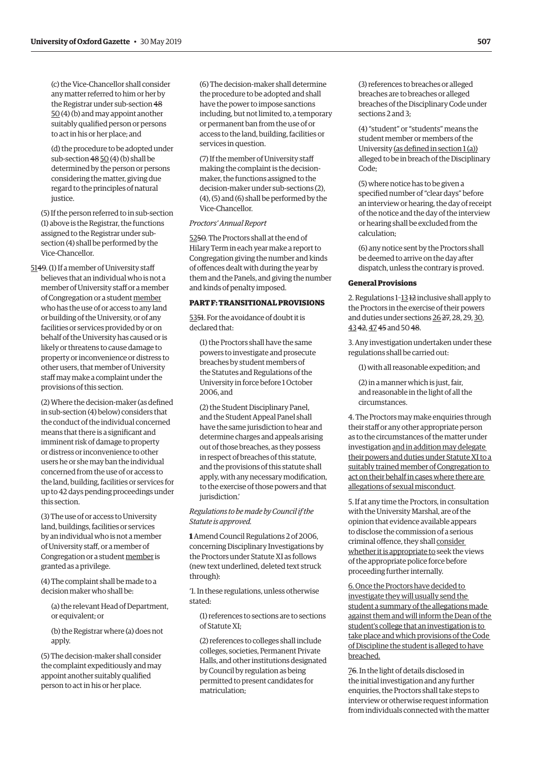(c) the Vice-Chancellor shall consider any matter referred to him or her by the Registrar under sub-section 48 50 (4) (b) and may appoint another suitably qualified person or persons to act in his or her place; and

(d) the procedure to be adopted under sub-section  $48\overline{50}$  (4) (b) shall be determined by the person or persons considering the matter, giving due regard to the principles of natural justice.

(5) If the person referred to in sub-section (1) above is the Registrar, the functions assigned to the Registrar under subsection (4) shall be performed by the Vice-Chancellor.

5149. (1) If a member of University staff believes that an individual who is not a member of University staff or a member of Congregation or a student member who has the use of or access to any land or building of the University, or of any facilities or services provided by or on behalf of the University has caused or is likely or threatens to cause damage to property or inconvenience or distress to other users, that member of University staff may make a complaint under the provisions of this section.

(2) Where the decision-maker (as defined in sub-section (4) below) considers that the conduct of the individual concerned means that there is a significant and imminent risk of damage to property or distress or inconvenience to other users he or she may ban the individual concerned from the use of or access to the land, building, facilities or services for up to 42 days pending proceedings under this section.

(3) The use of or access to University land, buildings, facilities or services by an individual who is not a member of University staff, or a member of Congregation or a student member is granted as a privilege.

(4) The complaint shall be made to a decision maker who shall be:

(a) the relevant Head of Department, or equivalent; or

(b) the Registrar where (a) does not apply.

(5) The decision-maker shall consider the complaint expeditiously and may appoint another suitably qualified person to act in his or her place.

(6) The decision-maker shall determine the procedure to be adopted and shall have the power to impose sanctions including, but not limited to, a temporary or permanent ban from the use of or access to the land, building, facilities or services in question.

(7) If the member of University staff making the complaint is the decisionmaker, the functions assigned to the decision-maker under sub-sections (2), (4), (5) and (6) shall be performed by the Vice-Chancellor.

# *Proctors' Annual Report*

5250. The Proctors shall at the end of Hilary Term in each year make a report to Congregation giving the number and kinds of offences dealt with during the year by them and the Panels, and giving the number and kinds of penalty imposed.

# **PART F: TRANSITIONAL PROVISIONS**

5351. For the avoidance of doubt it is declared that:

(1) the Proctors shall have the same powers to investigate and prosecute breaches by student members of the Statutes and Regulations of the University in force before 1 October 2006, and

(2) the Student Disciplinary Panel, and the Student Appeal Panel shall have the same jurisdiction to hear and determine charges and appeals arising out of those breaches, as they possess in respect of breaches of this statute, and the provisions of this statute shall apply, with any necessary modification, to the exercise of those powers and that jurisdiction.'

# *Regulations to be made by Council if the Statute is approved.*

**1** Amend Council Regulations 2 of 2006, concerning Disciplinary Investigations by the Proctors under Statute XI as follows (new text underlined, deleted text struck through):

'1. In these regulations, unless otherwise stated:

(1) references to sections are to sections of Statute XI;

(2) references to colleges shall include colleges, societies, Permanent Private Halls, and other institutions designated by Council by regulation as being permitted to present candidates for matriculation;

(3) references to breaches or alleged breaches are to breaches or alleged breaches of the Disciplinary Code under sections 2 and 3;

(4) "student" or "students" means the student member or members of the University (as defined in section 1 (a)) alleged to be in breach of the Disciplinary Code;

(5) where notice has to be given a specified number of "clear days" before an interview or hearing, the day of receipt of the notice and the day of the interview or hearing shall be excluded from the calculation;

(6) any notice sent by the Proctors shall be deemed to arrive on the day after dispatch, unless the contrary is proved.

# **General Provisions**

2. Regulations 1–13 12 inclusive shall apply to the Proctors in the exercise of their powers and duties under sections 26 27, 28, 29, 30, 43 42, 47 45 and 50 48.

3. Any investigation undertaken under these regulations shall be carried out:

(1) with all reasonable expedition; and

(2) in a manner which is just, fair, and reasonable in the light of all the circumstances.

4. The Proctors may make enquiries through their staff or any other appropriate person as to the circumstances of the matter under investigation and in addition may delegate their powers and duties under Statute XI to a suitably trained member of Congregation to act on their behalf in cases where there are allegations of sexual misconduct.

5. If at any time the Proctors, in consultation with the University Marshal, are of the opinion that evidence available appears to disclose the commission of a serious criminal offence, they shall consider whether it is appropriate to seek the views of the appropriate police force before proceeding further internally.

6. Once the Proctors have decided to investigate they will usually send the student a summary of the allegations made against them and will inform the Dean of the student's college that an investigation is to take place and which provisions of the Code of Discipline the student is alleged to have breached.

76. In the light of details disclosed in the initial investigation and any further enquiries, the Proctors shall take steps to interview or otherwise request information from individuals connected with the matter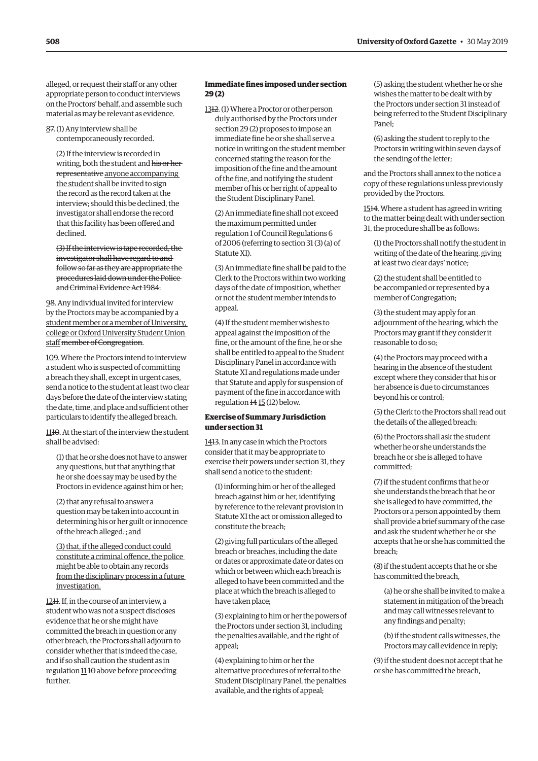alleged, or request their staff or any other appropriate person to conduct interviews on the Proctors' behalf, and assemble such material as may be relevant as evidence.

87. (1) Any interview shall be contemporaneously recorded.

(2) If the interview is recorded in writing, both the student and his or her representative anyone accompanying the student shall be invited to sign the record as the record taken at the interview; should this be declined, the investigator shall endorse the record that this facility has been offered and declined.

(3) If the interview is tape recorded, the investigator shall have regard to and follow so far as they are appropriate the procedures laid down under the Police and Criminal Evidence Act 1984.

98. Any individual invited for interview by the Proctors may be accompanied by a student member or a member of University, college or Oxford University Student Union staff member of Congregation.

109. Where the Proctors intend to interview a student who is suspected of committing a breach they shall, except in urgent cases, send a notice to the student at least two clear days before the date of the interview stating the date, time, and place and sufficient other particulars to identify the alleged breach.

1110. At the start of the interview the student shall be advised:

(1) that he or she does not have to answer any questions, but that anything that he or she does say may be used by the Proctors in evidence against him or her;

(2) that any refusal to answer a question may be taken into account in determining his or her guilt or innocence of the breach alleged. ; and

(3) that, if the alleged conduct could constitute a criminal offence, the police might be able to obtain any records from the disciplinary process in a future investigation.

1211. If, in the course of an interview, a student who was not a suspect discloses evidence that he or she might have committed the breach in question or any other breach, the Proctors shall adjourn to consider whether that is indeed the case, and if so shall caution the student as in regulation  $1110$  above before proceeding further.

# **Immediate fines imposed under section 29 (2)**

1312. (1) Where a Proctor or other person duly authorised by the Proctors under section 29 (2) proposes to impose an immediate fine he or she shall serve a notice in writing on the student member concerned stating the reason for the imposition of the fine and the amount of the fine, and notifying the student member of his or her right of appeal to the Student Disciplinary Panel.

(2) An immediate fine shall not exceed the maximum permitted under regulation 1 of Council Regulations 6 of 2006 (referring to section 31 (3) (a) of Statute XI).

(3) An immediate fine shall be paid to the Clerk to the Proctors within two working days of the date of imposition, whether or not the student member intends to appeal.

(4) If the student member wishes to appeal against the imposition of the fine, or the amount of the fine, he or she shall be entitled to appeal to the Student Disciplinary Panel in accordance with Statute XI and regulations made under that Statute and apply for suspension of payment of the fine in accordance with regulation 14 15 (12) below.

# **Exercise of Summary Jurisdiction under section 31**

1413. In any case in which the Proctors consider that it may be appropriate to exercise their powers under section 31, they shall send a notice to the student:

(1) informing him or her of the alleged breach against him or her, identifying by reference to the relevant provision in Statute XI the act or omission alleged to constitute the breach;

(2) giving full particulars of the alleged breach or breaches, including the date or dates or approximate date or dates on which or between which each breach is alleged to have been committed and the place at which the breach is alleged to have taken place;

(3) explaining to him or her the powers of the Proctors under section 31, including the penalties available, and the right of appeal;

(4) explaining to him or her the alternative procedures of referral to the Student Disciplinary Panel, the penalties available, and the rights of appeal;

(5) asking the student whether he or she wishes the matter to be dealt with by the Proctors under section 31 instead of being referred to the Student Disciplinary Panel;

(6) asking the student to reply to the Proctors in writing within seven days of the sending of the letter;

and the Proctors shall annex to the notice a copy of these regulations unless previously provided by the Proctors.

1514. Where a student has agreed in writing to the matter being dealt with under section 31, the procedure shall be as follows:

(1) the Proctors shall notify the student in writing of the date of the hearing, giving at least two clear days' notice;

(2) the student shall be entitled to be accompanied or represented by a member of Congregation;

(3) the student may apply for an adjournment of the hearing, which the Proctors may grant if they consider it reasonable to do so;

(4) the Proctors may proceed with a hearing in the absence of the student except where they consider that his or her absence is due to circumstances beyond his or control;

(5) the Clerk to the Proctors shall read out the details of the alleged breach;

(6) the Proctors shall ask the student whether he or she understands the breach he or she is alleged to have committed;

(7) if the student confirms that he or she understands the breach that he or she is alleged to have committed, the Proctors or a person appointed by them shall provide a brief summary of the case and ask the student whether he or she accepts that he or she has committed the breach;

(8) if the student accepts that he or she has committed the breach,

(a) he or she shall be invited to make a statement in mitigation of the breach and may call witnesses relevant to any findings and penalty;

(b) if the student calls witnesses, the Proctors may call evidence in reply;

(9) if the student does not accept that he or she has committed the breach,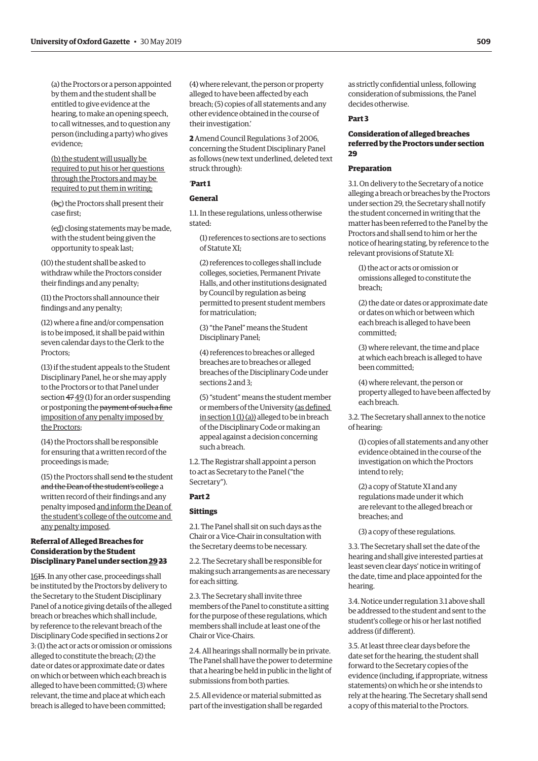(a) the Proctors or a person appointed by them and the student shall be entitled to give evidence at the hearing, to make an opening speech, to call witnesses, and to question any person (including a party) who gives evidence;

(b) the student will usually be required to put his or her questions through the Proctors and may be required to put them in writing;

(bc) the Proctors shall present their case first;

(cd) closing statements may be made, with the student being given the opportunity to speak last;

(10) the student shall be asked to withdraw while the Proctors consider their findings and any penalty;

(11) the Proctors shall announce their findings and any penalty;

(12) where a fine and/or compensation is to be imposed, it shall be paid within seven calendar days to the Clerk to the Proctors;

(13) if the student appeals to the Student Disciplinary Panel, he or she may apply to the Proctors or to that Panel under section 47 49 (1) for an order suspending or postponing the payment of such a fine imposition of any penalty imposed by the Proctors;

(14) the Proctors shall be responsible for ensuring that a written record of the proceedings is made;

(15) the Proctors shall send to the student and the Dean of the student's college a written record of their findings and any penalty imposed and inform the Dean of the student's college of the outcome and any penalty imposed.

# **Referral of Alleged Breaches for Consideration by the Student Disciplinary Panel under section 2923**

1615. In any other case, proceedings shall be instituted by the Proctors by delivery to the Secretary to the Student Disciplinary Panel of a notice giving details of the alleged breach or breaches which shall include, by reference to the relevant breach of the Disciplinary Code specified in sections 2 or 3: (1) the act or acts or omission or omissions alleged to constitute the breach; (2) the date or dates or approximate date or dates on which or between which each breach is alleged to have been committed; (3) where relevant, the time and place at which each breach is alleged to have been committed;

(4) where relevant, the person or property alleged to have been affected by each breach; (5) copies of all statements and any other evidence obtained in the course of their investigation.'

**2** Amend Council Regulations 3 of 2006, concerning the Student Disciplinary Panel as follows (new text underlined, deleted text struck through):

# '**Part 1**

# **General**

1.1. In these regulations, unless otherwise stated:

(1) references to sections are to sections of Statute XI;

(2) references to colleges shall include colleges, societies, Permanent Private Halls, and other institutions designated by Council by regulation as being permitted to present student members for matriculation;

(3) "the Panel" means the Student Disciplinary Panel;

(4) references to breaches or alleged breaches are to breaches or alleged breaches of the Disciplinary Code under sections 2 and 3;

(5) "student" means the student member or members of the University (as defined  $\frac{\sin\arccos(1)}{1)}$  alleged to be in breach of the Disciplinary Code or making an appeal against a decision concerning such a breach.

1.2. The Registrar shall appoint a person to act as Secretary to the Panel ("the Secretary").

# **Part 2**

#### **Sittings**

2.1. The Panel shall sit on such days as the Chair or a Vice-Chair in consultation with the Secretary deems to be necessary.

2.2. The Secretary shall be responsible for making such arrangements as are necessary for each sitting.

2.3. The Secretary shall invite three members of the Panel to constitute a sitting for the purpose of these regulations, which members shall include at least one of the Chair or Vice-Chairs.

2.4. All hearings shall normally be in private. The Panel shall have the power to determine that a hearing be held in public in the light of submissions from both parties.

2.5. All evidence or material submitted as part of the investigation shall be regarded as strictly confidential unless, following consideration of submissions, the Panel decides otherwise.

#### **Part 3**

# **Consideration of alleged breaches referred by the Proctors under section 29**

# **Preparation**

3.1. On delivery to the Secretary of a notice alleging a breach or breaches by the Proctors under section 29, the Secretary shall notify the student concerned in writing that the matter has been referred to the Panel by the Proctors and shall send to him or her the notice of hearing stating, by reference to the relevant provisions of Statute XI:

(1) the act or acts or omission or omissions alleged to constitute the breach;

(2) the date or dates or approximate date or dates on which or between which each breach is alleged to have been committed;

(3) where relevant, the time and place at which each breach is alleged to have been committed;

(4) where relevant, the person or property alleged to have been affected by each breach.

3.2. The Secretary shall annex to the notice of hearing:

(1) copies of all statements and any other evidence obtained in the course of the investigation on which the Proctors intend to rely;

(2) a copy of Statute XI and any regulations made under it which are relevant to the alleged breach or breaches; and

(3) a copy of these regulations.

3.3. The Secretary shall set the date of the hearing and shall give interested parties at least seven clear days' notice in writing of the date, time and place appointed for the hearing.

3.4. Notice under regulation 3.1 above shall be addressed to the student and sent to the student's college or his or her last notified address (if different).

3.5. At least three clear days before the date set for the hearing, the student shall forward to the Secretary copies of the evidence (including, if appropriate, witness statements) on which he or she intends to rely at the hearing. The Secretary shall send a copy of this material to the Proctors.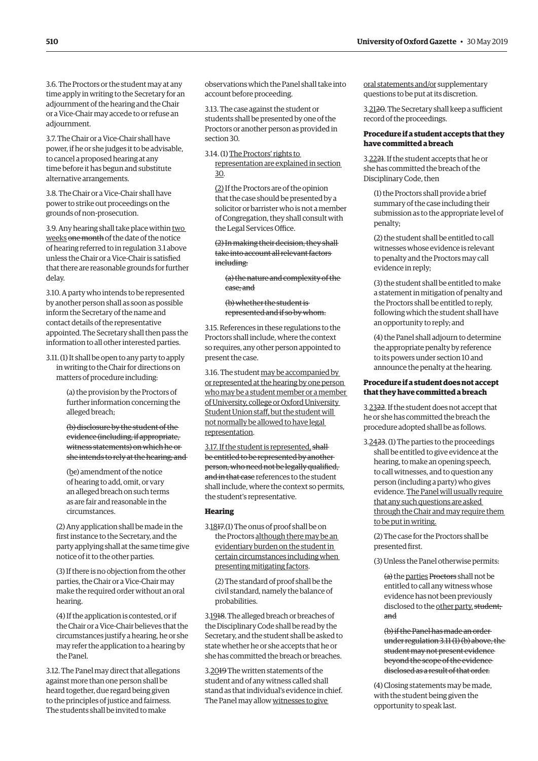3.6. The Proctors or the student may at any time apply in writing to the Secretary for an adjournment of the hearing and the Chair or a Vice-Chair may accede to or refuse an adjournment.

3.7. The Chair or a Vice-Chair shall have power, if he or she judges it to be advisable, to cancel a proposed hearing at any time before it has begun and substitute alternative arrangements.

3.8. The Chair or a Vice-Chair shall have power to strike out proceedings on the grounds of non-prosecution.

3.9. Any hearing shall take place within two weeks one month of the date of the notice of hearing referred to in regulation 3.1 above unless the Chair or a Vice-Chair is satisfied that there are reasonable grounds for further delay.

3.10. A party who intends to be represented by another person shall as soon as possible inform the Secretary of the name and contact details of the representative appointed. The Secretary shall then pass the information to all other interested parties.

3.11. (1) It shall be open to any party to apply in writing to the Chair for directions on matters of procedure including:

> (a) the provision by the Proctors of further information concerning the alleged breach;

(b) disclosure by the student of the evidence (including, if appropriate, witness statements) on which he or she intends to rely at the hearing; and

(bc) amendment of the notice of hearing to add, omit, or vary an alleged breach on such terms as are fair and reasonable in the circumstances.

(2) Any application shall be made in the first instance to the Secretary, and the party applying shall at the same time give notice of it to the other parties.

(3) If there is no objection from the other parties, the Chair or a Vice-Chair may make the required order without an oral hearing.

(4) If the application is contested, or if the Chair or a Vice-Chair believes that the circumstances justify a hearing, he or she may refer the application to a hearing by the Panel.

3.12. The Panel may direct that allegations against more than one person shall be heard together, due regard being given to the principles of justice and fairness. The students shall be invited to make

observations which the Panel shall take into account before proceeding.

3.13. The case against the student or students shall be presented by one of the Proctors or another person as provided in section 30.

3.14. (1) The Proctors' rights to representation are explained in section 30.

(2) If the Proctors are of the opinion that the case should be presented by a solicitor or barrister who is not a member of Congregation, they shall consult with the Legal Services Office.

(2) In making their decision, they shall take into account all relevant factors including:

(a) the nature and complexity of the case; and

(b) whether the student is represented and if so by whom.

3.15. References in these regulations to the Proctors shall include, where the context so requires, any other person appointed to present the case.

3.16. The student may be accompanied by or represented at the hearing by one person who may be a student member or a member of University, college or Oxford University Student Union staff, but the student will not normally be allowed to have legal representation.

3.17. If the student is represented, shallbe entitled to be represented by another person, who need not be legally qualified, and in that case references to the student shall include, where the context so permits, the student's representative.

#### **Hearing**

3.1817.(1) The onus of proof shall be on the Proctors although there may be an evidentiary burden on the student in certain circumstances including when presenting mitigating factors.

(2) The standard of proof shall be the civil standard, namely the balance of probabilities.

3.1918. The alleged breach or breaches of the Disciplinary Code shall be read by the Secretary, and the student shall be asked to state whether he or she accepts that he or she has committed the breach or breaches.

3.2019 The written statements of the student and of any witness called shall stand as that individual's evidence in chief. The Panel may allow witnesses to give

oral statements and/or supplementary questions to be put at its discretion.

3.2120. The Secretary shall keep a sufficient record of the proceedings.

# **Procedure if a student accepts that they have committed a breach**

3.2221. If the student accepts that he or she has committed the breach of the Disciplinary Code, then

(1) the Proctors shall provide a brief summary of the case including their submission as to the appropriate level of penalty;

(2) the student shall be entitled to call witnesses whose evidence is relevant to penalty and the Proctors may call evidence in reply;

(3) the student shall be entitled to make a statement in mitigation of penalty and the Proctors shall be entitled to reply, following which the student shall have an opportunity to reply; and

(4) the Panel shall adjourn to determine the appropriate penalty by reference to its powers under section 10 and announce the penalty at the hearing.

# **Procedure if a student does not accept that they have committed a breach**

3.2322. If the student does not accept that he or she has committed the breach the procedure adopted shall be as follows.

3.2423. (1) The parties to the proceedings shall be entitled to give evidence at the hearing, to make an opening speech, to call witnesses, and to question any person (including a party) who gives evidence. The Panel will usually require that any such questions are asked through the Chair and may require them to be put in writing.

(2) The case for the Proctors shall be presented first.

(3) Unless the Panel otherwise permits:

(a) the parties Proctors shall not be entitled to call any witness whose evidence has not been previously disclosed to the other party. student; and

(b) if the Panel has made an order under regulation 3.11 (1) (b) above, the student may not present evidence beyond the scope of the evidence disclosed as a result of that order.

(4) Closing statements may be made, with the student being given the opportunity to speak last.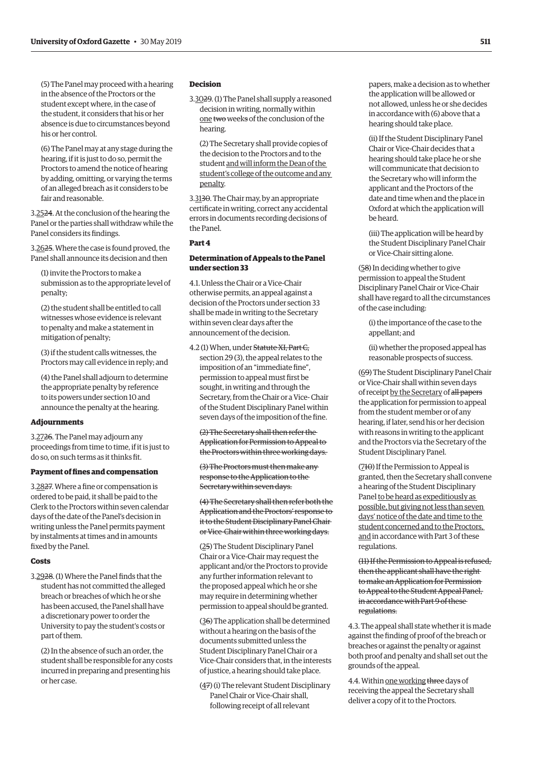(5) The Panel may proceed with a hearing in the absence of the Proctors or the student except where, in the case of the student, it considers that his or her absence is due to circumstances beyond his or her control.

(6) The Panel may at any stage during the hearing, if it is just to do so, permit the Proctors to amend the notice of hearing by adding, omitting, or varying the terms of an alleged breach as it considers to be fair and reasonable.

3.2524. At the conclusion of the hearing the Panel or the parties shall withdraw while the Panel considers its findings.

3.2625. Where the case is found proved, the Panel shall announce its decision and then

(1) invite the Proctors to make a submission as to the appropriate level of penalty;

(2) the student shall be entitled to call witnesses whose evidence is relevant to penalty and make a statement in mitigation of penalty;

(3) if the student calls witnesses, the Proctors may call evidence in reply; and

(4) the Panel shall adjourn to determine the appropriate penalty by reference to its powers under section 10 and announce the penalty at the hearing.

#### **Adjournments**

3.2726. The Panel may adjourn any proceedings from time to time, if it is just to do so, on such terms as it thinks fit.

#### **Payment of fines and compensation**

3.2827. Where a fine or compensation is ordered to be paid, it shall be paid to the Clerk to the Proctors within seven calendar days of the date of the Panel's decision in writing unless the Panel permits payment by instalments at times and in amounts fixed by the Panel.

#### **Costs**

3.2928. (1) Where the Panel finds that the student has not committed the alleged breach or breaches of which he or she has been accused, the Panel shall have a discretionary power to order the University to pay the student's costs or part of them.

(2) In the absence of such an order, the student shall be responsible for any costs incurred in preparing and presenting his or her case.

# **Decision**

3.3029. (1) The Panel shall supply a reasoned decision in writing, normally within one two weeks of the conclusion of the hearing.

(2) The Secretary shall provide copies of the decision to the Proctors and to the student and will inform the Dean of the student's college of the outcome and any penalty.

3.3130. The Chair may, by an appropriate certificate in writing, correct any accidental errors in documents recording decisions of the Panel.

#### **Part 4**

# **Determination of Appeals to the Panel under section 33**

4.1. Unless the Chair or a Vice-Chair otherwise permits, an appeal against a decision of the Proctors under section 33 shall be made in writing to the Secretary within seven clear days after the announcement of the decision.

4.2 (1) When, under Statute XI, Part C, section 29 (3), the appeal relates to the imposition of an "immediate fine", permission to appeal must first be sought, in writing and through the Secretary, from the Chair or a Vice- Chair of the Student Disciplinary Panel within seven days of the imposition of the fine.

(2) The Secretary shall then refer the Application for Permission to Appeal to the Proctors within three working days.

(3) The Proctors must then make any response to the Application to the Secretary within seven days.

(4) The Secretary shall then refer both the Application and the Proctors' response to it to the Student Disciplinary Panel Chair or Vice-Chair within three working days.

(25) The Student Disciplinary Panel Chair or a Vice-Chair may request the applicant and/or the Proctors to provide any further information relevant to the proposed appeal which he or she may require in determining whether permission to appeal should be granted.

(36) The application shall be determined without a hearing on the basis of the documents submitted unless the Student Disciplinary Panel Chair or a Vice-Chair considers that, in the interests of justice, a hearing should take place.

(47) (i) The relevant Student Disciplinary Panel Chair or Vice-Chair shall, following receipt of all relevant

papers, make a decision as to whether the application will be allowed or not allowed, unless he or she decides in accordance with (6) above that a hearing should take place.

(ii) If the Student Disciplinary Panel Chair or Vice-Chair decides that a hearing should take place he or she will communicate that decision to the Secretary who will inform the applicant and the Proctors of the date and time when and the place in Oxford at which the application will be heard.

(iii) The application will be heard by the Student Disciplinary Panel Chair or Vice-Chair sitting alone.

(58) In deciding whether to give permission to appeal the Student Disciplinary Panel Chair or Vice-Chair shall have regard to all the circumstances of the case including:

(i) the importance of the case to the appellant; and

(ii) whether the proposed appeal has reasonable prospects of success.

(69) The Student Disciplinary Panel Chair or Vice-Chair shall within seven days of receipt by the Secretary of all papers the application for permission to appeal from the student member or of any hearing, if later, send his or her decision with reasons in writing to the applicant and the Proctors via the Secretary of the Student Disciplinary Panel.

(710) If the Permission to Appeal is granted, then the Secretary shall convene a hearing of the Student Disciplinary Panel to be heard as expeditiously as possible, but giving not less than seven days' notice of the date and time to the student concerned and to the Proctors, and in accordance with Part 3 of these regulations.

(11) If the Permission to Appeal is refused, then the applicant shall have the right to make an Application for Permission to Appeal to the Student Appeal Panel, in accordance with Part 9 of these regulations.

4.3. The appeal shall state whether it is made against the finding of proof of the breach or breaches or against the penalty or against both proof and penalty and shall set out the grounds of the appeal.

4.4. Within one working three days of receiving the appeal the Secretary shall deliver a copy of it to the Proctors.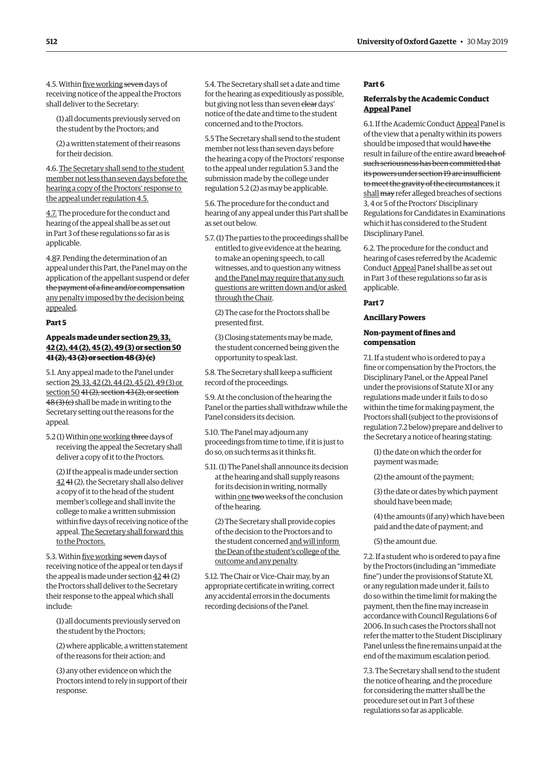4.5. Within five working seven days of receiving notice of the appeal the Proctors shall deliver to the Secretary:

(1) all documents previously served on the student by the Proctors; and

(2) a written statement of their reasons for their decision.

4.6. The Secretary shall send to the student member not less than seven days before the hearing a copy of the Proctors' response to the appeal under regulation 4.5.

4.7. The procedure for the conduct and hearing of the appeal shall be as set out in Part 3 of these regulations so far as is applicable.

4.87. Pending the determination of an appeal under this Part, the Panel may on the application of the appellant suspend or defer the payment of a fine and/or compensation any penalty imposed by the decision being appealed.

#### **Part 5**

# **Appeals made under section 29, 33, 42 (2), 44 (2), 45 (2), 49 (3) or section 50 41 (2), 43 (2) or section 48 (3) (c)**

5.1. Any appeal made to the Panel under section 29, 33, 42 (2), 44 (2), 45 (2), 49 (3) or section 50  $41(2)$ , section  $43(2)$ , or section 48(3)(e) shall be made in writing to the Secretary setting out the reasons for the appeal.

5.2 (1) Within one working three days of receiving the appeal the Secretary shall deliver a copy of it to the Proctors.

(2) If the appeal is made under section 42 41 (2), the Secretary shall also deliver a copy of it to the head of the student member's college and shall invite the college to make a written submission within five days of receiving notice of the appeal. The Secretary shall forward this to the Proctors.

5.3. Within five working seven days of receiving notice of the appeal or ten days if the appeal is made under section 42 41 (2) the Proctors shall deliver to the Secretary their response to the appeal which shall include:

(1) all documents previously served on the student by the Proctors;

(2) where applicable, a written statement of the reasons for their action; and

(3) any other evidence on which the Proctors intend to rely in support of their response.

5.4. The Secretary shall set a date and time for the hearing as expeditiously as possible, but giving not less than seven clear days' notice of the date and time to the student concerned and to the Proctors.

5.5 The Secretary shall send to the student member not less than seven days before the hearing a copy of the Proctors' response to the appeal under regulation 5.3 and the submission made by the college under regulation 5.2 (2) as may be applicable.

5.6. The procedure for the conduct and hearing of any appeal under this Part shall be as set out below.

5.7. (1) The parties to the proceedings shall be entitled to give evidence at the hearing, to make an opening speech, to call witnesses, and to question any witness and the Panel may require that any such questions are written down and/or asked through the Chair.

(2) The case for the Proctors shall be presented first.

(3) Closing statements may be made, the student concerned being given the opportunity to speak last.

5.8. The Secretary shall keep a sufficient record of the proceedings.

5.9. At the conclusion of the hearing the Panel or the parties shall withdraw while the Panel considers its decision.

5.10. The Panel may adjourn any proceedings from time to time, if it is just to do so, on such terms as it thinks fit.

5.11. (1) The Panel shall announce its decision at the hearing and shall supply reasons for its decision in writing, normally within one two weeks of the conclusion of the hearing.

(2) The Secretary shall provide copies of the decision to the Proctors and to the student concerned and will inform the Dean of the student's college of the outcome and any penalty.

5.12. The Chair or Vice-Chair may, by an appropriate certificate in writing, correct any accidental errors in the documents recording decisions of the Panel.

# **Part 6**

# **Referrals by the Academic Conduct Appeal Panel**

6.1. If the Academic Conduct Appeal Panel is of the view that a penalty within its powers should be imposed that would have the result in failure of the entire award breach of such seriousness has been committed that its powers under section 19 are insufficient to meet the gravity of the circumstances, it shall may refer alleged breaches of sections 3, 4 or 5 of the Proctors' Disciplinary Regulations for Candidates in Examinations which it has considered to the Student Disciplinary Panel.

6.2. The procedure for the conduct and hearing of cases referred by the Academic Conduct Appeal Panel shall be as set out in Part 3 of these regulations so far as is applicable.

# **Part 7**

**Ancillary Powers**

# **Non-payment of fines and compensation**

7.1. If a student who is ordered to pay a fine or compensation by the Proctors, the Disciplinary Panel, or the Appeal Panel under the provisions of Statute XI or any regulations made under it fails to do so within the time for making payment, the Proctors shall (subject to the provisions of regulation 7.2 below) prepare and deliver to the Secretary a notice of hearing stating:

(1) the date on which the order for payment was made;

(2) the amount of the payment;

(3) the date or dates by which payment should have been made;

(4) the amounts (if any) which have been paid and the date of payment; and

(5) the amount due.

7.2. If a student who is ordered to pay a fine by the Proctors (including an "immediate fine") under the provisions of Statute XI, or any regulation made under it, fails to do so within the time limit for making the payment, then the fine may increase in accordance with Council Regulations 6 of 2006. In such cases the Proctors shall not refer the matter to the Student Disciplinary Panel unless the fine remains unpaid at the end of the maximum escalation period.

7.3. The Secretary shall send to the student the notice of hearing, and the procedure for considering the matter shall be the procedure set out in Part 3 of these regulations so far as applicable.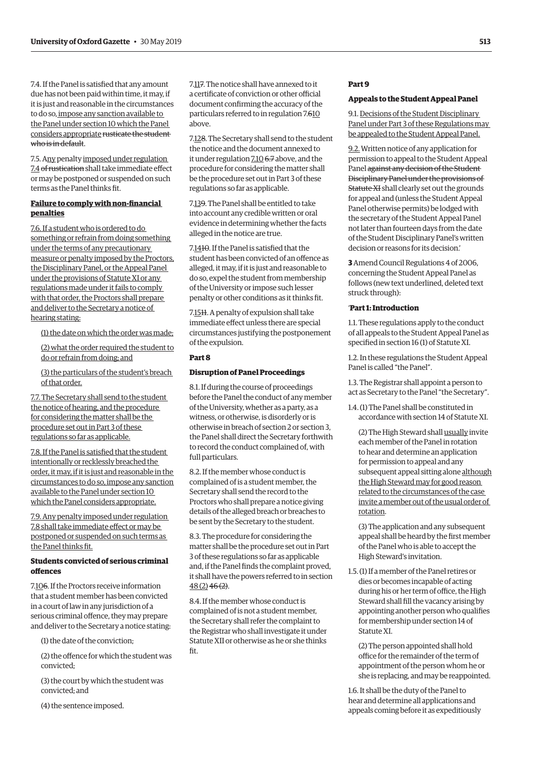7.4. If the Panel is satisfied that any amount due has not been paid within time, it may, if it is just and reasonable in the circumstances to do so, impose any sanction available to the Panel under section 10 which the Panel considers appropriate rusticate the student who is in default.

7.5. Any penalty imposed under regulation 7.4 of rustication shall take immediate effect or may be postponed or suspended on such terms as the Panel thinks fit.

# **Failure to comply with non-financial penalties**

7.6. If a student who is ordered to do something or refrain from doing something under the terms of any precautionary measure or penalty imposed by the Proctors, the Disciplinary Panel, or the Appeal Panel under the provisions of Statute XI or any regulations made under it fails to comply with that order, the Proctors shall prepare and deliver to the Secretary a notice of hearing stating:

(1) the date on which the order was made;

(2) what the order required the student to do or refrain from doing; and

(3) the particulars of the student's breach of that order.

7.7. The Secretary shall send to the student the notice of hearing, and the procedure for considering the matter shall be the procedure set out in Part 3 of these regulations so far as applicable.

7.8. If the Panel is satisfied that the student intentionally or recklessly breached the order, it may, if it is just and reasonable in the circumstances to do so, impose any sanction available to the Panel under section 10 which the Panel considers appropriate.

7.9. Any penalty imposed under regulation 7.8 shall take immediate effect or may be postponed or suspended on such terms as the Panel thinks fit.

# **Students convicted of serious criminal offences**

7.106. If the Proctors receive information that a student member has been convicted in a court of law in any jurisdiction of a serious criminal offence, they may prepare and deliver to the Secretary a notice stating:

(1) the date of the conviction;

(2) the offence for which the student was convicted;

(3) the court by which the student was convicted; and

(4) the sentence imposed.

7.117. The notice shall have annexed to it a certificate of conviction or other official document confirming the accuracy of the particulars referred to in regulation 7.610 above.

7.128. The Secretary shall send to the student the notice and the document annexed to it under regulation 7.10 6.7 above, and the procedure for considering the matter shall be the procedure set out in Part 3 of these regulations so far as applicable.

7.139. The Panel shall be entitled to take into account any credible written or oral evidence in determining whether the facts alleged in the notice are true.

7.1410. If the Panel is satisfied that the student has been convicted of an offence as alleged, it may, if it is just and reasonable to do so, expel the student from membership of the University or impose such lesser penalty or other conditions as it thinks fit.

7.15<sub>H</sub>. A penalty of expulsion shall take immediate effect unless there are special circumstances justifying the postponement of the expulsion.

#### **Part 8**

# **Disruption of Panel Proceedings**

8.1. If during the course of proceedings before the Panel the conduct of any member of the University, whether as a party, as a witness, or otherwise, is disorderly or is otherwise in breach of section 2 or section 3, the Panel shall direct the Secretary forthwith to record the conduct complained of, with full particulars.

8.2. If the member whose conduct is complained of is a student member, the Secretary shall send the record to the Proctors who shall prepare a notice giving details of the alleged breach or breaches to be sent by the Secretary to the student.

8.3. The procedure for considering the matter shall be the procedure set out in Part 3 of these regulations so far as applicable and, if the Panel finds the complaint proved, it shall have the powers referred to in section  $48(2)$   $46(2)$ .

8.4. If the member whose conduct is complained of is not a student member, the Secretary shall refer the complaint to the Registrar who shall investigate it under Statute XII or otherwise as he or she thinks fit.

# **Part 9**

# **Appeals to the Student Appeal Panel**

9.1. Decisions of the Student Disciplinary Panel under Part 3 of these Regulations may be appealed to the Student Appeal Panel.

9.2. Written notice of any application for permission to appeal to the Student Appeal Panel against any decision of the Student Disciplinary Panel under the provisions of Statute XI shall clearly set out the grounds for appeal and (unless the Student Appeal Panel otherwise permits) be lodged with the secretary of the Student Appeal Panel not later than fourteen days from the date of the Student Disciplinary Panel's written decision or reasons for its decision.'

**3** Amend Council Regulations 4 of 2006, concerning the Student Appeal Panel as follows (new text underlined, deleted text struck through):

# '**Part 1: Introduction**

1.1. These regulations apply to the conduct of all appeals to the Student Appeal Panel as specified in section 16 (1) of Statute XI.

1.2. In these regulations the Student Appeal Panel is called "the Panel".

1.3. The Registrar shall appoint a person to act as Secretary to the Panel "the Secretary".

1.4. (1) The Panel shall be constituted in accordance with section 14 of Statute XI.

(2) The High Steward shall usually invite each member of the Panel in rotation to hear and determine an application for permission to appeal and any subsequent appeal sitting alone although the High Steward may for good reason related to the circumstances of the case invite a member out of the usual order of rotation.

(3) The application and any subsequent appeal shall be heard by the first member of the Panel who is able to accept the High Steward's invitation.

1.5. (1) If a member of the Panel retires or dies or becomes incapable of acting during his or her term of office, the High Steward shall fill the vacancy arising by appointing another person who qualifies for membership under section 14 of Statute XI.

(2) The person appointed shall hold office for the remainder of the term of appointment of the person whom he or she is replacing, and may be reappointed.

1.6. It shall be the duty of the Panel to hear and determine all applications and appeals coming before it as expeditiously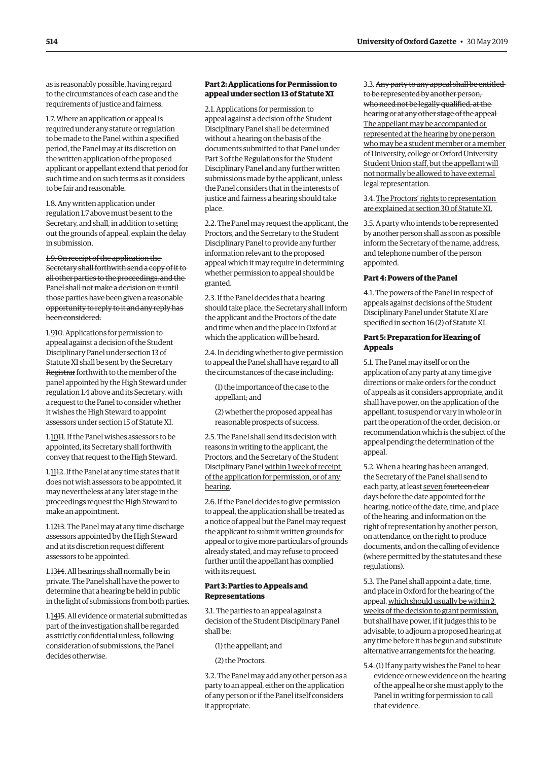as is reasonably possible, having regard to the circumstances of each case and the requirements of justice and fairness.

1.7. Where an application or appeal is required under any statute or regulation to be made to the Panel within a specified period, the Panel may at its discretion on the written application of the proposed applicant or appellant extend that period for such time and on such terms as it considers to be fair and reasonable.

1.8. Any written application under regulation 1.7 above must be sent to the Secretary, and shall, in addition to setting out the grounds of appeal, explain the delay in submission.

1.9. On receipt of the application the Secretary shall forthwith send a copy of it to all other parties to the proceedings, and the Panel shall not make a decision on it until those parties have been given a reasonable opportunity to reply to it and any reply has been considered.

1.910. Applications for permission to appeal against a decision of the Student Disciplinary Panel under section 13 of Statute XI shall be sent by the Secretary Registrar forthwith to the member of the panel appointed by the High Steward under regulation 1.4 above and its Secretary, with a request to the Panel to consider whether it wishes the High Steward to appoint assessors under section 15 of Statute XI.

1.1011. If the Panel wishes assessors to be appointed, its Secretary shall forthwith convey that request to the High Steward.

1.1112. If the Panel at any time states that it does not wish assessors to be appointed, it may nevertheless at any later stage in the proceedings request the High Steward to make an appointment.

1.12<sub>1</sub>3. The Panel may at any time discharge assessors appointed by the High Steward and at its discretion request different assessors to be appointed.

1.1314. All hearings shall normally be in private. The Panel shall have the power to determine that a hearing be held in public in the light of submissions from both parties.

1.1415. All evidence or material submitted as part of the investigation shall be regarded as strictly confidential unless, following consideration of submissions, the Panel decides otherwise.

# **Part 2: Applications for Permission to appeal under section 13 of Statute XI**

2.1. Applications for permission to appeal against a decision of the Student Disciplinary Panel shall be determined without a hearing on the basis of the documents submitted to that Panel under Part 3 of the Regulations for the Student Disciplinary Panel and any further written submissions made by the applicant, unless the Panel considers that in the interests of justice and fairness a hearing should take place.

2.2. The Panel may request the applicant, the Proctors, and the Secretary to the Student Disciplinary Panel to provide any further information relevant to the proposed appeal which it may require in determining whether permission to appeal should be granted.

2.3. If the Panel decides that a hearing should take place, the Secretary shall inform the applicant and the Proctors of the date and time when and the place in Oxford at which the application will be heard.

2.4. In deciding whether to give permission to appeal the Panel shall have regard to all the circumstances of the case including:

(1) the importance of the case to the appellant; and

(2) whether the proposed appeal has reasonable prospects of success.

2.5. The Panel shall send its decision with reasons in writing to the applicant, the Proctors, and the Secretary of the Student Disciplinary Panel within 1 week of receipt of the application for permission, or of any hearing.

2.6. If the Panel decides to give permission to appeal, the application shall be treated as a notice of appeal but the Panel may request the applicant to submit written grounds for appeal or to give more particulars of grounds already stated, and may refuse to proceed further until the appellant has complied with its request.

# **Part 3: Parties to Appeals and Representations**

3.1. The parties to an appeal against a decision of the Student Disciplinary Panel shall be:

(1) the appellant; and

(2) the Proctors.

3.2. The Panel may add any other person as a party to an appeal, either on the application of any person or if the Panel itself considers it appropriate.

3.3. Any party to any appeal shall be entitled to be represented by another person, who need not be legally qualified, at the hearing or at any other stage of the appeal The appellant may be accompanied or represented at the hearing by one person who may be a student member or a member of University, college or Oxford University Student Union staff, but the appellant will not normally be allowed to have external legal representation.

3.4. The Proctors' rights to representation are explained at section 30 of Statute XI.

3.5. A party who intends to be represented by another person shall as soon as possible inform the Secretary of the name, address, and telephone number of the person appointed.

#### **Part 4: Powers of the Panel**

4.1. The powers of the Panel in respect of appeals against decisions of the Student Disciplinary Panel under Statute XI are specified in section 16 (2) of Statute XI.

# **Part 5: Preparation for Hearing of Appeals**

5.1. The Panel may itself or on the application of any party at any time give directions or make orders for the conduct of appeals as it considers appropriate, and it shall have power, on the application of the appellant, to suspend or vary in whole or in part the operation of the order, decision, or recommendation which is the subject of the appeal pending the determination of the appeal.

5.2. When a hearing has been arranged, the Secretary of the Panel shall send to each party, at least seven fourteen clear days before the date appointed for the hearing, notice of the date, time, and place of the hearing, and information on the right of representation by another person, on attendance, on the right to produce documents, and on the calling of evidence (where permitted by the statutes and these regulations).

5.3. The Panel shall appoint a date, time, and place in Oxford for the hearing of the appeal, which should usually be within 2 weeks of the decision to grant permission, but shall have power, if it judges this to be advisable, to adjourn a proposed hearing at any time before it has begun and substitute alternative arrangements for the hearing.

5.4. (1) If any party wishes the Panel to hear evidence or new evidence on the hearing of the appeal he or she must apply to the Panel in writing for permission to call that evidence.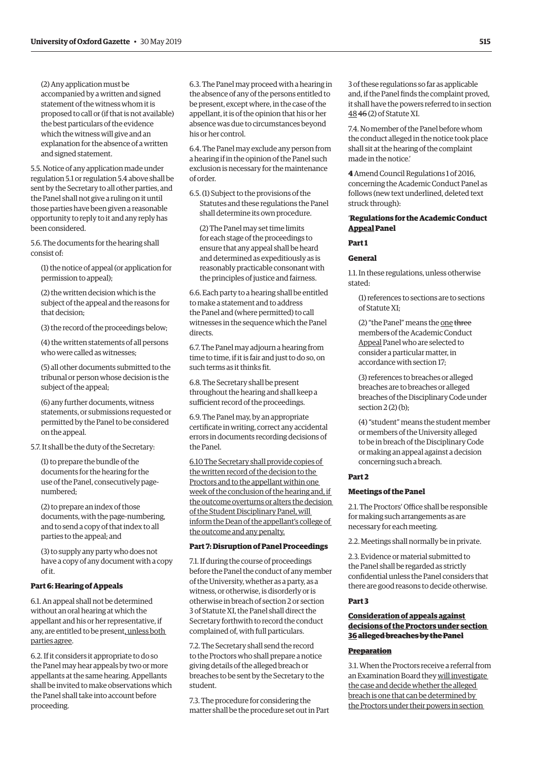(2) Any application must be accompanied by a written and signed statement of the witness whom it is proposed to call or (if that is not available) the best particulars of the evidence which the witness will give and an explanation for the absence of a written and signed statement.

5.5. Notice of any application made under regulation 5.1 or regulation 5.4 above shall be sent by the Secretary to all other parties, and the Panel shall not give a ruling on it until those parties have been given a reasonable opportunity to reply to it and any reply has been considered.

5.6. The documents for the hearing shall consist of:

(1) the notice of appeal (or application for permission to appeal);

(2) the written decision which is the subject of the appeal and the reasons for that decision;

(3) the record of the proceedings below;

(4) the written statements of all persons who were called as witnesses;

(5) all other documents submitted to the tribunal or person whose decision is the subject of the appeal;

(6) any further documents, witness statements, or submissions requested or permitted by the Panel to be considered on the appeal.

5.7. It shall be the duty of the Secretary:

(1) to prepare the bundle of the documents for the hearing for the use of the Panel, consecutively pagenumbered;

(2) to prepare an index of those documents, with the page-numbering, and to send a copy of that index to all parties to the appeal; and

(3) to supply any party who does not have a copy of any document with a copy of it.

#### **Part 6: Hearing of Appeals**

6.1. An appeal shall not be determined without an oral hearing at which the appellant and his or her representative, if any, are entitled to be present, unless both parties agree.

6.2. If it considers it appropriate to do so the Panel may hear appeals by two or more appellants at the same hearing. Appellants shall be invited to make observations which the Panel shall take into account before proceeding.

6.3. The Panel may proceed with a hearing in the absence of any of the persons entitled to be present, except where, in the case of the appellant, it is of the opinion that his or her absence was due to circumstances beyond his or her control.

6.4. The Panel may exclude any person from a hearing if in the opinion of the Panel such exclusion is necessary for the maintenance of order.

6.5. (1) Subject to the provisions of the Statutes and these regulations the Panel shall determine its own procedure.

(2) The Panel may set time limits for each stage of the proceedings to ensure that any appeal shall be heard and determined as expeditiously as is reasonably practicable consonant with the principles of justice and fairness.

6.6. Each party to a hearing shall be entitled to make a statement and to address the Panel and (where permitted) to call witnesses in the sequence which the Panel directs.

6.7. The Panel may adjourn a hearing from time to time, if it is fair and just to do so, on such terms as it thinks fit.

6.8. The Secretary shall be present throughout the hearing and shall keep a sufficient record of the proceedings.

6.9. The Panel may, by an appropriate certificate in writing, correct any accidental errors in documents recording decisions of the Panel.

6.10 The Secretary shall provide copies of the written record of the decision to the Proctors and to the appellant within one week of the conclusion of the hearing and, if the outcome overturns or alters the decision of the Student Disciplinary Panel, will inform the Dean of the appellant's college of the outcome and any penalty.

#### **Part 7: Disruption of Panel Proceedings**

7.1. If during the course of proceedings before the Panel the conduct of any member of the University, whether as a party, as a witness, or otherwise, is disorderly or is otherwise in breach of section 2 or section 3 of Statute XI, the Panel shall direct the Secretary forthwith to record the conduct complained of, with full particulars.

7.2. The Secretary shall send the record to the Proctors who shall prepare a notice giving details of the alleged breach or breaches to be sent by the Secretary to the student.

7.3. The procedure for considering the matter shall be the procedure set out in Part 3 of these regulations so far as applicable and, if the Panel finds the complaint proved, it shall have the powers referred to in section 48 46 (2) of Statute XI.

7.4. No member of the Panel before whom the conduct alleged in the notice took place shall sit at the hearing of the complaint made in the notice.'

**4** Amend Council Regulations 1 of 2016, concerning the Academic Conduct Panel as follows (new text underlined, deleted text struck through):

# '**Regulations for the Academic Conduct Appeal Panel**

# **Part 1**

#### **General**

1.1. In these regulations, unless otherwise stated:

(1) references to sections are to sections of Statute XI;

(2) "the Panel" means the one three members of the Academic Conduct Appeal Panel who are selected to consider a particular matter, in accordance with section 17;

(3) references to breaches or alleged breaches are to breaches or alleged breaches of the Disciplinary Code under section 2 (2) (b);

(4) "student" means the student member or members of the University alleged to be in breach of the Disciplinary Code or making an appeal against a decision concerning such a breach.

#### **Part 2**

# **Meetings of the Panel**

2.1. The Proctors' Office shall be responsible for making such arrangements as are necessary for each meeting.

2.2. Meetings shall normally be in private.

2.3. Evidence or material submitted to the Panel shall be regarded as strictly confidential unless the Panel considers that there are good reasons to decide otherwise.

#### **Part 3**

# **Consideration of appeals against decisions of the Proctors under section 36alleged breaches by the Panel**

# **Preparation**

3.1. When the Proctors receive a referral from an Examination Board they will investigate the case and decide whether the alleged breach is one that can be determined by the Proctors under their powers in section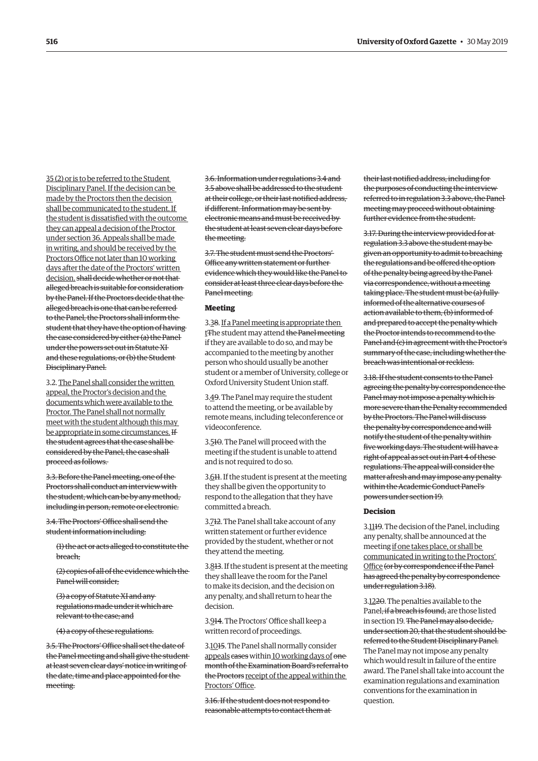35 (2) or is to be referred to the Student Disciplinary Panel. If the decision can be made by the Proctors then the decision shall be communicated to the student. If the student is dissatisfied with the outcome they can appeal a decision of the Proctor under section 36. Appeals shall be made in writing, and should be received by the Proctors Office not later than 10 working days after the date of the Proctors' written decision. shall decide whether or not that alleged breach is suitable for consideration by the Panel. If the Proctors decide that the alleged breach is one that can be referred to the Panel, the Proctors shall inform the student that they have the option of having the case considered by either (a) the Panel under the powers set out in Statute XI and these regulations, or (b) the Student Disciplinary Panel.

3.2. The Panel shall consider the written appeal, the Proctor's decision and the documents which were available to the Proctor. The Panel shall not normally meet with the student although this may be appropriate in some circumstances. If the student agrees that the case shall be considered by the Panel, the case shall proceed as follows.

3.3. Before the Panel meeting, one of the Proctors shall conduct an interview with the student, which can be by any method, including in person, remote or electronic.

3.4. The Proctors' Office shall send the student information including:

(1) the act or acts alleged to constitute the breach;

(2) copies of all of the evidence which the Panel will consider;

(3) a copy of Statute XI and any regulations made under it which are relevant to the case; and

(4) a copy of these regulations.

3.5. The Proctors' Office shall set the date of the Panel meeting and shall give the student at least seven clear days' notice in writing of the date, time and place appointed for the meeting.

3.6. Information under regulations 3.4 and 3.5 above shall be addressed to the student at their college, or their last notified address, if different. Information may be sent by electronic means and must be received by the student at least seven clear days before the meeting.

3.7. The student must send the Proctors' Office any written statement or further evidence which they would like the Panel to consider at least three clear days before the Panel meeting.

#### **Meeting**

3.38. If a Panel meeting is appropriate then t<del>T</del>he student may attend <del>the Panel meeting</del> if they are available to do so, and may be accompanied to the meeting by another person who should usually be another student or a member of University, college or Oxford University Student Union staff.

3.49. The Panel may require the student to attend the meeting, or be available by remote means, including teleconference or videoconference.

3.510. The Panel will proceed with the meeting if the student is unable to attend and is not required to do so.

3.611. If the student is present at the meeting they shall be given the opportunity to respond to the allegation that they have committed a breach.

3.712. The Panel shall take account of any written statement or further evidence provided by the student, whether or not they attend the meeting.

3.813. If the student is present at the meeting they shall leave the room for the Panel to make its decision, and the decision on any penalty, and shall return to hear the decision.

3.914. The Proctors' Office shall keep a written record of proceedings.

3.1015. The Panel shall normally consider appeals cases within 10 working days of onemonth of the Examination Board's referral to the Proctors receipt of the appeal within the Proctors' Office.

3.16. If the student does not respond to reasonable attempts to contact them at

their last notified address, including for the purposes of conducting the interview referred to in regulation 3.3 above, the Panel meeting may proceed without obtaining further evidence from the student.

3.17. During the interview provided for at regulation 3.3 above the student may be given an opportunity to admit to breaching the regulations and be offered the option of the penalty being agreed by the Panel via correspondence, without a meeting taking place. The student must be (a) fully informed of the alternative courses of action available to them, (b) informed of and prepared to accept the penalty which the Proctor intends to recommend to the Panel and (c) in agreement with the Proctor's summary of the case, including whether the breach was intentional or reckless.

3.18. If the student consents to the Panel agreeing the penalty by correspondence the Panel may not impose a penalty which is more severe than the Penalty recommended by the Proctors. The Panel will discuss the penalty by correspondence and will notify the student of the penalty within five working days. The student will have a right of appeal as set out in Part 4 of these regulations. The appeal will consider the matter afresh and may impose any penalty within the Academic Conduct Panel's powers under section 19.

#### **Decision**

3.1119. The decision of the Panel, including any penalty, shall be announced at the meeting if one takes place, or shall be communicated in writing to the Proctors' Office (or by correspondence if the Panel has agreed the penalty by correspondence under regulation 3.18).

3.1220. The penalties available to the Panel, if a breach is found, are those listed in section 19. The Panel may also decide. under section 20, that the student should be referred to the Student Disciplinary Panel. The Panel may not impose any penalty which would result in failure of the entire award. The Panel shall take into account the examination regulations and examination conventions for the examination in question.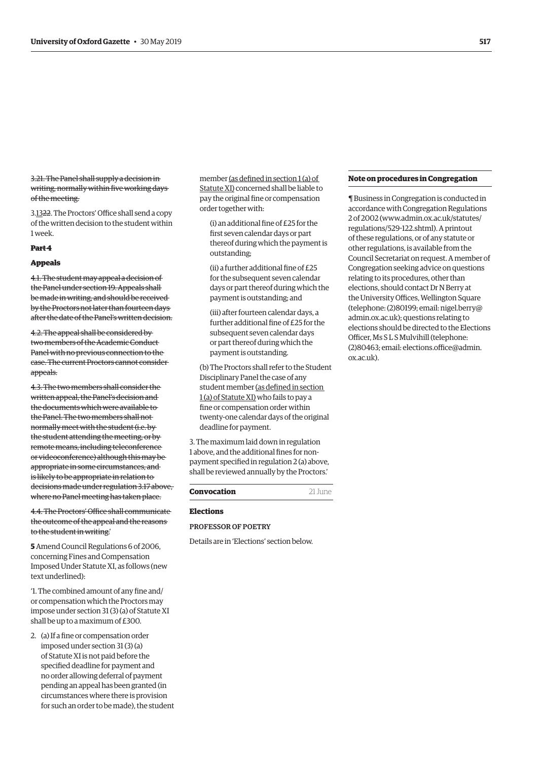3.21. The Panel shall supply a decision in writing, normally within five working days of the meeting.

3.1322. The Proctors' Office shall send a copy of the written decision to the student within 1 week.

#### **Part 4**

#### **Appeals**

4.1. The student may appeal a decision of the Panel under section 19. Appeals shall be made in writing, and should be received by the Proctors not later than fourteen days after the date of the Panel's written decision.

4.2. The appeal shall be considered by two members of the Academic Conduct Panel with no previous connection to the case. The current Proctors cannot consider appeals.

4.3. The two members shall consider the written appeal, the Panel's decision and the documents which were available to the Panel. The two members shall not normally meet with the student (i.e. by the student attending the meeting, or by remote means, including teleconference or videoconference) although this may be appropriate in some circumstances, and is likely to be appropriate in relation to decisions made under regulation 3.17 above, where no Panel meeting has taken place.

4.4. The Proctors' Office shall communicate the outcome of the appeal and the reasons to the student in writing.'

**5** Amend Council Regulations 6 of 2006, concerning Fines and Compensation Imposed Under Statute XI, as follows (new text underlined):

'1. The combined amount of any fine and/ or compensation which the Proctors may impose under section 31 (3) (a) of Statute XI shall be up to a maximum of £300.

2. (a) If a fine or compensation order imposed under section 31 (3) (a) of Statute XI is not paid before the specified deadline for payment and no order allowing deferral of payment pending an appeal has been granted (in circumstances where there is provision for such an order to be made), the student member (as defined in section 1 (a) of Statute XI) concerned shall be liable to pay the original fine or compensation order together with:

(i) an additional fine of £25 for the first seven calendar days or part thereof during which the payment is outstanding;

(ii) a further additional fine of £25 for the subsequent seven calendar days or part thereof during which the payment is outstanding; and

(iii) after fourteen calendar days, a further additional fine of £25 for the subsequent seven calendar days or part thereof during which the payment is outstanding.

(b) The Proctors shall refer to the Student Disciplinary Panel the case of any student member (as defined in section 1 (a) of Statute XI) who fails to pay a fine or compensation order within twenty-one calendar days of the original deadline for payment.

3. The maximum laid down in regulation 1 above, and the additional fines for nonpayment specified in regulation 2 (a) above, shall be reviewed annually by the Proctors.'

# **Convocation** 21 June

# **Elections**

PROFESSOR OF POETRY

Details are in 'Elections' section below.

#### **Note on procedures in Congregation**

¶ Business in Congregation is conducted in accordance with Congregation Regulations [2 of 2002 \(www.admin.ox.ac.uk/statutes/](https://www.admin.ox.ac.uk/statutes/regulations/529-122.shtml) regulations/529-122.shtml). A printout of these regulations, or of any statute or other regulations, is available from the Council Secretariat on request. A member of Congregation seeking advice on questions relating to its procedures, other than elections, should contact Dr N Berry at the University Offices, Wellington Square [\(telephone: \(2\)80199; email: nigel.berry@](mailto:nigel.berry@admin.ox.ac.uk) admin.ox.ac.uk); questions relating to elections should be directed to the Elections Officer, Ms S L S Mulvihill (telephone: [\(2\)80463; email: elections.office@admin.](mailto:elections.office@admin.ox.ac.uk) ox.ac.uk).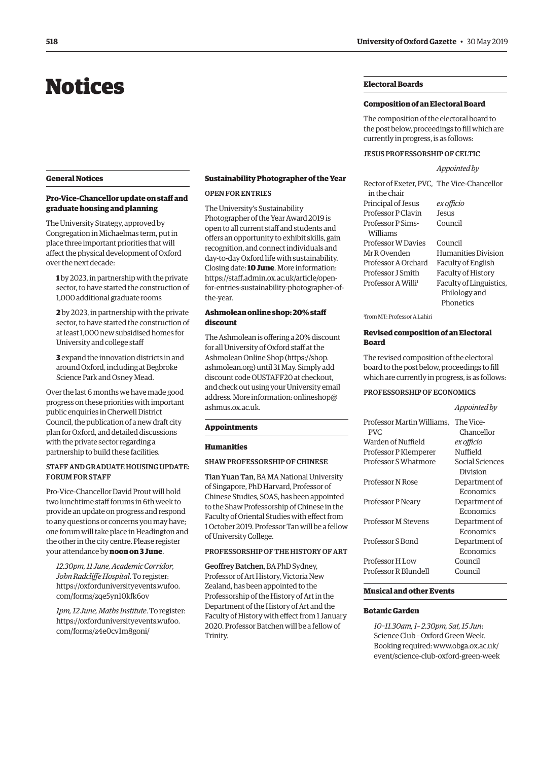# <span id="page-23-0"></span>Notices

#### **General Notices**

# **Pro-Vice-Chancellor update on staff and graduate housing and planning**

The University Strategy, approved by Congregation in Michaelmas term, put in place three important priorities that will affect the physical development of Oxford over the next decade:

**1** by 2023, in partnership with the private sector, to have started the construction of 1,000 additional graduate rooms

**2** by 2023, in partnership with the private sector, to have started the construction of at least 1,000 new subsidised homes for University and college staff

**3** expand the innovation districts in and around Oxford, including at Begbroke Science Park and Osney Mead.

Over the last 6 months we have made good progress on these priorities with important public enquiries in Cherwell District Council, the publication of a new draft city plan for Oxford, and detailed discussions with the private sector regarding a partnership to build these facilities.

# STAFF AND GRADUATE HOUSING UPDATE: FORUM FOR STAFF

Pro-Vice-Chancellor David Prout will hold two lunchtime staff forums in 6th week to provide an update on progress and respond to any questions or concerns you may have; one forum will take place in Headington and the other in the city centre. Please register your attendance by **noon on 3 June**.

*12.30pm, 11 June, Academic Corridor, John Radcliffe Hospital*. To register: [https://oxforduniversityevents.wufoo.](https://oxforduniversityevents.wufoo.com/forms/zqe5ynl0kfk6ov) com/forms/zqe5yn10kfk6ov

*1pm, 12 June, Maths Institute*. To register: [https://oxforduniversityevents.wufoo.](https://oxforduniversityevents.wufoo.com/forms/z4e0cvlm8goni/) com/forms/z4e0cv1m8goni/

# **Sustainability Photographer of the Year**

# OPEN FOR ENTRIES

The University's Sustainability Photographer of the Year Award 2019 is open to all current staff and students and offers an opportunity to exhibit skills, gain recognition, and connect individuals and day-to-day Oxford life with sustainability. Closing date: **10 June**. More information: https://staff.admin.ox.ac.uk/article/open[for-entries-sustainability-photographer-of](https://staff.admin.ox.ac.uk/article/open-for-entries-sustainability-photographer-of-the-year)the-year.

# **Ashmolean online shop: 20% staff discount**

The Ashmolean is offering a 20% discount for all University of Oxford staff at the Ashmolean Online Shop [\(https://shop.](https://shop.ashmolean.org) [ashmolean.org\) un](https://shop.ashmolean.org)til 31 May. Simply add discount code OUSTAFF20 at checkout, and check out using your University email [address. More information: onlineshop@](mailto:onlineshop@ashmus.ox.ac.uk) ashmus.ox.ac.uk.

#### **Appointments**

#### **Humanities**

#### SHAW PROFESSORSHIP OF CHINESE

Tian Yuan Tan, BA MA National University of Singapore, PhD Harvard, Professor of Chinese Studies, SOAS, has been appointed to the Shaw Professorship of Chinese in the Faculty of Oriental Studies with effect from 1 October 2019. Professor Tan will be a fellow of University College.

# PROFESSORSHIP OF THE HISTORY OF ART

Geoffrey Batchen, BA PhD Sydney, Professor of Art History, Victoria New Zealand, has been appointed to the Professorship of the History of Art in the Department of the History of Art and the Faculty of History with effect from 1 January 2020. Professor Batchen will be a fellow of Trinity.

# **Electoral Boards**

#### **Composition of an Electoral Board**

The composition of the electoral board to the post below, proceedings to fill which are currently in progress, is as follows:

# JESUS PROFESSORSHIP OF CELTIC

*Appointed by*

| Rector of Exeter, PVC, The Vice-Chancellor |                           |
|--------------------------------------------|---------------------------|
| in the chair                               |                           |
| Principal of Jesus                         | ex officio                |
| Professor P Clavin                         | <b>Jesus</b>              |
| <b>Professor P Sims-</b>                   | Council                   |
| Williams                                   |                           |
| Professor W Davies                         | Council                   |
| Mr R Ovenden                               | Humanities Division       |
| Professor A Orchard                        | Faculty of English        |
| Professor J Smith                          | <b>Faculty of History</b> |
| Professor A Willi <sup>1</sup>             | Faculty of Linguistics,   |
|                                            | Philology and             |
|                                            | Phonetics                 |

1 from MT: Professor A Lahiri

## **Revised composition of an Electoral Board**

The revised composition of the electoral board to the post below, proceedings to fill which are currently in progress, is as follows:

#### PROFESSORSHIP OF ECONOMICS

|                                    | Appointed by            |
|------------------------------------|-------------------------|
| Professor Martin Williams,<br>PVC. | The Vice-<br>Chancellor |
| Warden of Nuffield                 | ex officio              |
| Professor P Klemperer              | Nuffield                |
| Professor S Whatmore               | Social Sciences         |
|                                    | Division                |
| Professor N Rose                   | Department of           |
|                                    | Economics               |
| Professor P Neary                  | Department of           |
|                                    | Economics               |
| Professor M Stevens                | Department of           |
|                                    | Economics               |
| Professor S Bond                   | Department of           |
|                                    | Economics               |
| Professor H Low                    | Council                 |
| Professor R Blundell               | Council                 |
|                                    |                         |

# **Musical and other Events**

# **Botanic Garden**

*10–11.30am, 1– 2.30pm, Sat, 15 Jun*: Science Club – Oxford Green Week. Booking required: www.obga.ox.ac.uk/ [event/science-club-oxford-green-week](www.obga.ox.ac.uk/event/science-club-oxford-green-week)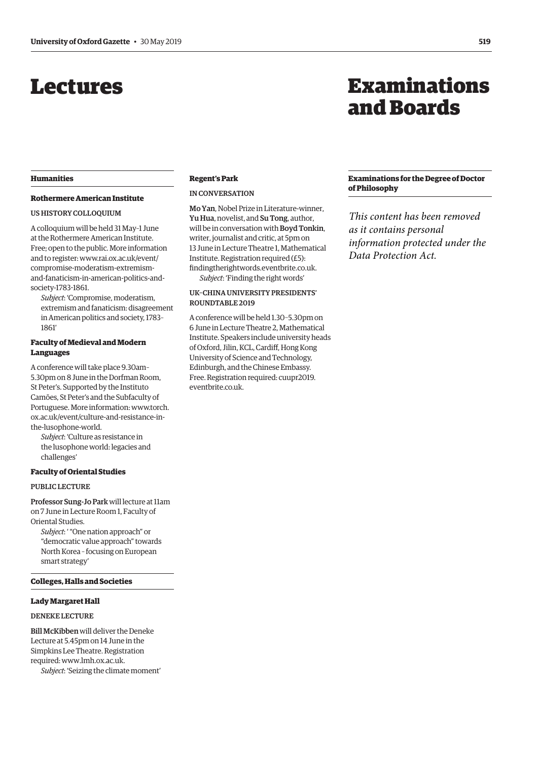# <span id="page-24-0"></span>Lectures

# **Humanities**

# **Rothermere American Institute**

# US HISTORY COLLOQUIUM

A colloquium will be held 31 May–1 June at the Rothermere American Institute. Free; open to the public. More information and to register: www.rai.ox.ac.uk/event/ compromise-moderatism-extremism[and-fanaticism-in-american-politics-and](www.rai.ox.ac.uk/event/compromise-moderatism-extremism-and-fanaticism-in-american-politics-and-society-1783-1861)society-1783-1861.

*Subject*: 'Compromise, moderatism, extremism and fanaticism: disagreement in American politics and society, 1783– 1861'

# **Faculty of Medieval and Modern Languages**

A conference will take place 9.30am– 5.30pm on 8 June in the Dorfman Room, St Peter's. Supported by the Instituto Camões, St Peter's and the Subfaculty of [Portuguese. More information: www.torch.](www.torch.ox.ac.uk/event/culture-and-resistance-in-the-lusophone-world) ox.ac.uk/event/culture-and-resistance-inthe-lusophone-world.

*Subject*: 'Culture as resistance in the lusophone world: legacies and challenges'

# **Faculty of Oriental Studies**

#### PUBLIC LECTURE

Professor Sung-Jo Park will lecture at 11am on 7 June in Lecture Room 1, Faculty of Oriental Studies.

*Subject*: ' "One nation approach" or "democratic value approach" towards North Korea – focusing on European smart strategy'

# **Colleges, Halls and Societies**

#### **Lady Margaret Hall**

#### DENEKE LECTURE

Bill McKibben will deliver the Deneke Lecture at 5.45pm on 14 June in the Simpkins Lee Theatre. Registration required: [www.lmh.ox.ac.uk.](http://www.lmh.ox.ac.uk)

*Subject*: 'Seizing the climate moment'

# **Regent's Park**

# IN CONVERSATION

Mo Yan, Nobel Prize in Literature-winner, Yu Hua, novelist, and Su Tong, author, will be in conversation with Boyd Tonkin, writer, journalist and critic, at 5pm on 13 June in Lecture Theatre 1, Mathematical Institute. Registration required (£5): [findingtherightwords.eventbrite.co.uk.](https://www.eventbrite.co.uk/e/in-conversation-with-mo-yan-yu-hua-su-tong-and-boyd-tonkin-tickets-61883500215) *Subject*: 'Finding the right words'

# UK–CHINA UNIVERSITY PRESIDENTS' ROUNDTABLE 2019

A conference will be held 1.30–5.30pm on 6 June in Lecture Theatre 2, Mathematical Institute. Speakers include university heads of Oxford, Jilin, KCL, Cardiff, Hong Kong University of Science and Technology, Edinburgh, and the Chinese Embassy. [Free. Registration required: cuupr2019.](https://www.eventbrite.co.uk/e/uk-china-university-presidents-round-table-2019-tickets-61638484366) eventbrite.co.uk.

# Examinations and Boards

# **Examinations for the Degree of Doctor of Philosophy**

*This content has been removed as it contains personal information protected under the Data Protection Act.*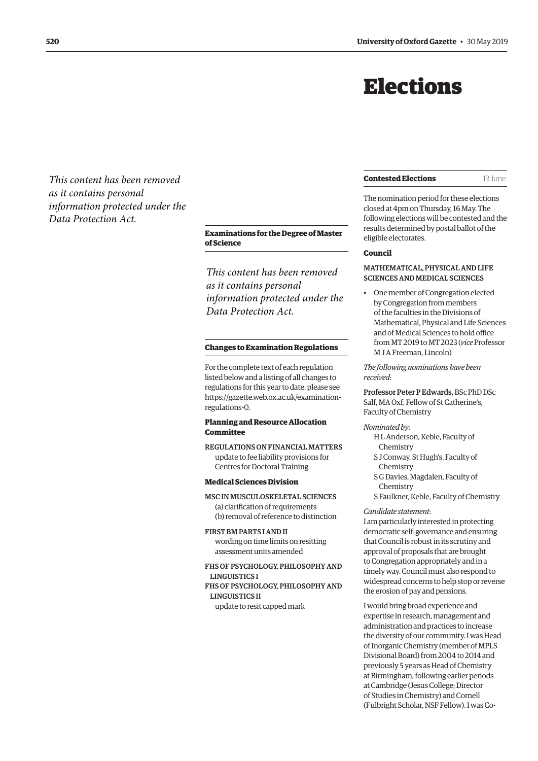# Elections

<span id="page-25-0"></span>*This content has been removed as it contains personal information protected under the Data Protection Act.*

> **Examinations for the Degree of Master of Science**

*This content has been removed as it contains personal information protected under the Data Protection Act.*

#### **Changes to Examination Regulations**

For the complete text of each regulation listed below and a listing of all changes to regulations for this year to date, please see [https://gazette.web.ox.ac.uk/examination](https://gazette.web.ox.ac.uk/examination-regulations-0)regulations-0.

# **Planning and Resource Allocation Committee**

REGULATIONS ON FINANCIAL MATTERS update to fee liability provisions for Centres for Doctoral Training

#### **Medical Sciences Division**

MSC IN MUSCULOSKELETAL SCIENCES (a) clarification of requirements (b) removal of reference to distinction

FIRST BM PARTS I AND II wording on time limits on resitting assessment units amended

FHS OF PSYCHOLOGY, PHILOSOPHY AND LINGUISTICS I

FHS OF PSYCHOLOGY, PHILOSOPHY AND LINGUISTICS II

update to resit capped mark

#### **Contested Elections** 13 June

The nomination period for these elections closed at 4pm on Thursday, 16 May. The following elections will be contested and the results determined by postal ballot of the eligible electorates.

# **Council**

# MATHEMATICAL, PHYSICAL AND LIFE SCIENCES AND MEDICAL SCIENCES

• One member of Congregation elected by Congregation from members of the faculties in the Divisions of Mathematical, Physical and Life Sciences and of Medical Sciences to hold office from MT 2019 to MT 2023 (*vice* Professor M J A Freeman, Lincoln)

*The following nominations have been received*:

Professor Peter P Edwards, BSc PhD DSc Salf, MA Oxf, Fellow of St Catherine's, Faculty of Chemistry

*Nominated by*:

- H L Anderson, Keble, Faculty of Chemistry
- S J Conway, St Hugh's, Faculty of Chemistry
- S G Davies, Magdalen, Faculty of Chemistry
- S Faulkner, Keble, Faculty of Chemistry

#### *Candidate statement*:

I am particularly interested in protecting democratic self-governance and ensuring that Council is robust in its scrutiny and approval of proposals that are brought to Congregation appropriately and in a timely way. Council must also respond to widespread concerns to help stop or reverse the erosion of pay and pensions.

I would bring broad experience and expertise in research, management and administration and practices to increase the diversity of our community. I was Head of Inorganic Chemistry (member of MPLS Divisional Board) from 2004 to 2014 and previously 5 years as Head of Chemistry at Birmingham, following earlier periods at Cambridge (Jesus College; Director of Studies in Chemistry) and Cornell (Fulbright Scholar, NSF Fellow). I was Co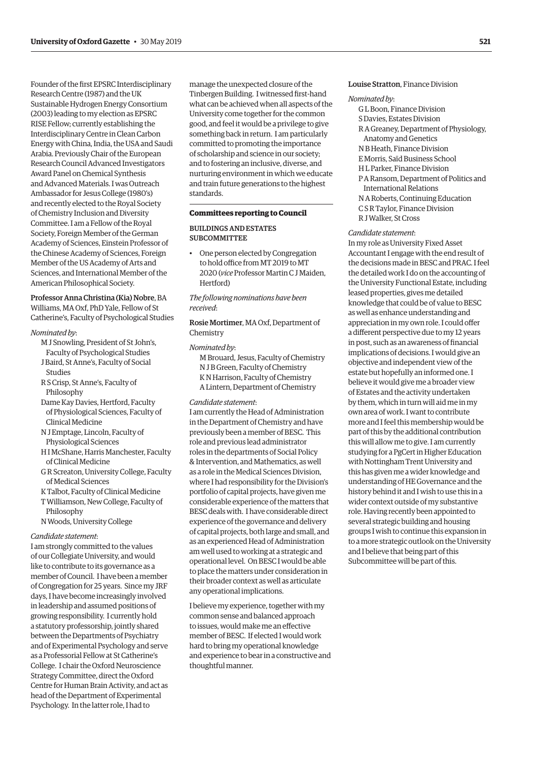Founder of the first EPSRC Interdisciplinary Research Centre (1987) and the UK Sustainable Hydrogen Energy Consortium (2003) leading to my election as EPSRC RISE Fellow; currently establishing the Interdisciplinary Centre in Clean Carbon Energy with China, India, the USA and Saudi Arabia. Previously Chair of the European Research Council Advanced Investigators Award Panel on Chemical Synthesis and Advanced Materials. I was Outreach Ambassador for Jesus College (1980's) and recently elected to the Royal Society of Chemistry Inclusion and Diversity Committee. I am a Fellow of the Royal Society, Foreign Member of the German Academy of Sciences, Einstein Professor of the Chinese Academy of Sciences, Foreign Member of the US Academy of Arts and Sciences, and International Member of the American Philosophical Society.

#### Professor Anna Christina (Kia) Nobre, BA Williams, MA Oxf, PhD Yale, Fellow of St Catherine's, Faculty of Psychological Studies

#### *Nominated by*:

- M J Snowling, President of St John's, Faculty of Psychological Studies J Baird, St Anne's, Faculty of Social Studies
- R S Crisp, St Anne's, Faculty of Philosophy
- Dame Kay Davies, Hertford, Faculty of Physiological Sciences, Faculty of Clinical Medicine
- N J Emptage, Lincoln, Faculty of Physiological Sciences
- H I McShane, Harris Manchester, Faculty of Clinical Medicine
- G R Screaton, University College, Faculty of Medical Sciences
- K Talbot, Faculty of Clinical Medicine
- T Williamson, New College, Faculty of Philosophy
- N Woods, University College

# *Candidate statement*:

I am strongly committed to the values of our Collegiate University, and would like to contribute to its governance as a member of Council. I have been a member of Congregation for 25 years. Since my JRF days, I have become increasingly involved in leadership and assumed positions of growing responsibility. I currently hold a statutory professorship, jointly shared between the Departments of Psychiatry and of Experimental Psychology and serve as a Professorial Fellow at St Catherine's College. I chair the Oxford Neuroscience Strategy Committee, direct the Oxford Centre for Human Brain Activity, and act as head of the Department of Experimental Psychology. In the latter role, I had to

manage the unexpected closure of the Tinbergen Building. I witnessed first-hand what can be achieved when all aspects of the University come together for the common good, and feel it would be a privilege to give something back in return. I am particularly committed to promoting the importance of scholarship and science in our society; and to fostering an inclusive, diverse, and nurturing environment in which we educate and train future generations to the highest standards.

# **Committees reporting to Council**

# BUILDINGS AND ESTATES SUBCOMMITTEE

• One person elected by Congregation to hold office from MT 2019 to MT 2020 (*vice* Professor Martin C J Maiden, Hertford)

*The following nominations have been received*:

Rosie Mortimer, MA Oxf, Department of Chemistry

#### *Nominated by*:

M Brouard, Jesus, Faculty of Chemistry N J B Green, Faculty of Chemistry K N Harrison, Faculty of Chemistry A Lintern, Department of Chemistry

#### *Candidate statement*:

I am currently the Head of Administration in the Department of Chemistry and have previously been a member of BESC. This role and previous lead administrator roles in the departments of Social Policy & Intervention, and Mathematics, as well as a role in the Medical Sciences Division, where I had responsibility for the Division's portfolio of capital projects, have given me considerable experience of the matters that BESC deals with. I have considerable direct experience of the governance and delivery of capital projects, both large and small, and as an experienced Head of Administration am well used to working at a strategic and operational level. On BESC I would be able to place the matters under consideration in their broader context as well as articulate any operational implications.

I believe my experience, together with my common sense and balanced approach to issues, would make me an effective member of BESC. If elected I would work hard to bring my operational knowledge and experience to bear in a constructive and thoughtful manner.

# Louise Stratton, Finance Division

#### *Nominated by*:

- G L Boon, Finance Division
- S Davies, Estates Division
- R A Greaney, Department of Physiology, Anatomy and Genetics
- N B Heath, Finance Division
- E Morris, Saïd Business School
- H L Parker, Finance Division
- P A Ransom, Department of Politics and International Relations N A Roberts, Continuing Education
- C S R Taylor, Finance Division
- R J Walker, St Cross

#### *Candidate statement*:

In my role as University Fixed Asset Accountant I engage with the end result of the decisions made in BESC and PRAC. I feel the detailed work I do on the accounting of the University Functional Estate, including leased properties, gives me detailed knowledge that could be of value to BESC as well as enhance understanding and appreciation in my own role. I could offer a different perspective due to my 12 years in post, such as an awareness of financial implications of decisions. I would give an objective and independent view of the estate but hopefully an informed one. I believe it would give me a broader view of Estates and the activity undertaken by them, which in turn will aid me in my own area of work. I want to contribute more and I feel this membership would be part of this by the additional contribution this will allow me to give. I am currently studying for a PgCert in Higher Education with Nottingham Trent University and this has given me a wider knowledge and understanding of HE Governance and the history behind it and I wish to use this in a wider context outside of my substantive role. Having recently been appointed to several strategic building and housing groups I wish to continue this expansion in to a more strategic outlook on the University and I believe that being part of this Subcommittee will be part of this.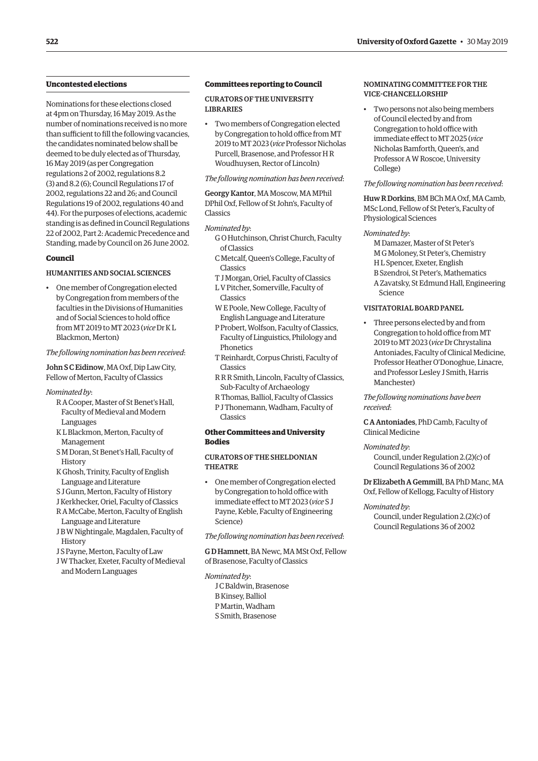# **Uncontested elections**

Nominations for these elections closed at 4pm on Thursday, 16 May 2019. As the number of nominations received is no more than sufficient to fill the following vacancies, the candidates nominated below shall be deemed to be duly elected as of Thursday, 16 May 2019 (as per Congregation regulations 2 of 2002, regulations 8.2 (3) and 8.2 (6); Council Regulations 17 of 2002, regulations 22 and 26; and Council Regulations 19 of 2002, regulations 40 and 44). For the purposes of elections, academic standing is as defined in Council Regulations 22 of 2002, Part 2: Academic Precedence and Standing, made by Council on 26 June 2002.

#### **Council**

# HUMANITIES AND SOCIAL SCIENCES

• One member of Congregation elected by Congregation from members of the faculties in the Divisions of Humanities and of Social Sciences to hold office from MT 2019 to MT 2023 (*vice* Dr K L Blackmon, Merton)

*The following nomination has been received*:

John S C Eidinow, MA Oxf, Dip Law City, Fellow of Merton, Faculty of Classics

#### *Nominated by*:

- R A Cooper, Master of St Benet's Hall, Faculty of Medieval and Modern Languages
- K L Blackmon, Merton, Faculty of Management
- S M Doran, St Benet's Hall, Faculty of **History**
- K Ghosh, Trinity, Faculty of English Language and Literature
- S J Gunn, Merton, Faculty of History
- J Kerkhecker, Oriel, Faculty of Classics
- R A McCabe, Merton, Faculty of English Language and Literature
- J B W Nightingale, Magdalen, Faculty of **History**
- J S Payne, Merton, Faculty of Law
- J W Thacker, Exeter, Faculty of Medieval and Modern Languages

#### **Committees reporting to Council**

CURATORS OF THE UNIVERSITY LIBRARIES

• Two members of Congregation elected by Congregation to hold office from MT 2019 to MT 2023 (*vice* Professor Nicholas Purcell, Brasenose, and Professor H R Woudhuysen, Rector of Lincoln)

*The following nomination has been received*:

Georgy Kantor, MA Moscow, MA MPhil DPhil Oxf, Fellow of St John's, Faculty of Classics

#### *Nominated by*:

- G O Hutchinson, Christ Church, Faculty of Classics
- C Metcalf, Queen's College, Faculty of Classics
- T J Morgan, Oriel, Faculty of Classics
- L V Pitcher, Somerville, Faculty of Classics
- W E Poole, New College, Faculty of English Language and Literature
- P Probert, Wolfson, Faculty of Classics, Faculty of Linguistics, Philology and **Phonetics**
- T Reinhardt, Corpus Christi, Faculty of Classics
- R R R Smith, Lincoln, Faculty of Classics, Sub-Faculty of Archaeology
- R Thomas, Balliol, Faculty of Classics
- P J Thonemann, Wadham, Faculty of Classics

# **Other Committees and University Bodies**

# CURATORS OF THE SHELDONIAN THEATRE

• One member of Congregation elected by Congregation to hold office with immediate effect to MT 2023 (*vice* S J Payne, Keble, Faculty of Engineering Science)

*The following nomination has been received*:

G D Hamnett, BA Newc, MA MSt Oxf, Fellow of Brasenose, Faculty of Classics

- *Nominated by*:
	- J C Baldwin, Brasenose B Kinsey, Balliol P Martin, Wadham S Smith, Brasenose

# NOMINATING COMMITTEE FOR THE VICE-CHANCELLORSHIP

• Two persons not also being members of Council elected by and from Congregation to hold office with immediate effect to MT 2025 (*vice* Nicholas Bamforth, Queen's, and Professor A W Roscoe, University College)

#### *The following nomination has been received*:

Huw R Dorkins, BM BCh MA Oxf, MA Camb, MSc Lond, Fellow of St Peter's, Faculty of Physiological Sciences

# *Nominated by*:

M Damazer, Master of St Peter's M G Moloney, St Peter's, Chemistry H L Spencer, Exeter, English B Szendroi, St Peter's, Mathematics A Zavatsky, St Edmund Hall, Engineering Science

# VISITATORIAL BOARD PANEL

• Three persons elected by and from Congregation to hold office from MT 2019 to MT 2023 (*vice* Dr Chrystalina Antoniades, Faculty of Clinical Medicine, Professor Heather O'Donoghue, Linacre, and Professor Lesley J Smith, Harris Manchester)

*The following nominations have been received*:

C A Antoniades, PhD Camb, Faculty of Clinical Medicine

#### *Nominated by*:

Council, under Regulation 2.(2)(c) of Council Regulations 36 of 2002

Dr Elizabeth A Gemmill, BA PhD Manc, MA Oxf, Fellow of Kellogg, Faculty of History

#### *Nominated by*:

Council, under Regulation 2.(2)(c) of Council Regulations 36 of 2002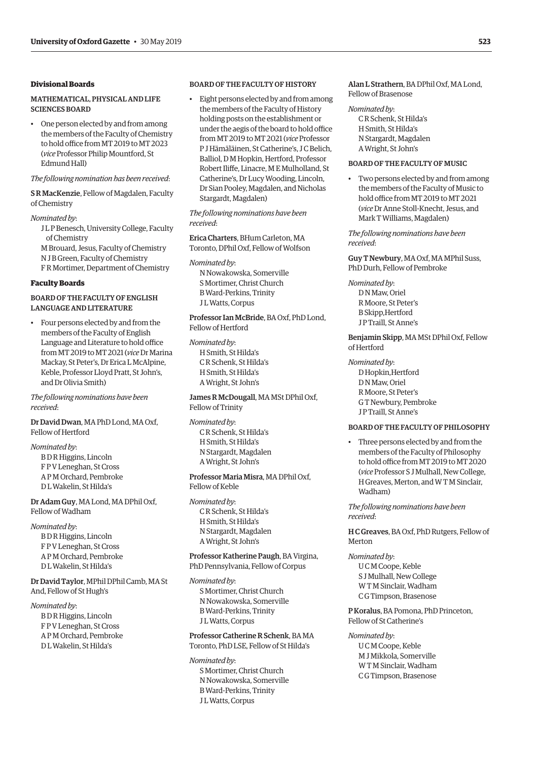# **Divisional Boards**

# MATHEMATICAL, PHYSICAL AND LIFE SCIENCES BOARD

• One person elected by and from among the members of the Faculty of Chemistry to hold office from MT 2019 to MT 2023 (*vice* Professor Philip Mountford, St Edmund Hall)

# *The following nomination has been received*:

# S R MacKenzie, Fellow of Magdalen, Faculty of Chemistry

#### *Nominated by*:

- J L P Benesch, University College, Faculty of Chemistry
- M Brouard, Jesus, Faculty of Chemistry N J B Green, Faculty of Chemistry
- F R Mortimer, Department of Chemistry

# **Faculty Boards**

# BOARD OF THE FACULTY OF ENGLISH LANGUAGE AND LITERATURE

• Four persons elected by and from the members of the Faculty of English Language and Literature to hold office from MT 2019 to MT 2021 (*vice* Dr Marina Mackay, St Peter's, Dr Erica L McAlpine, Keble, Professor Lloyd Pratt, St John's, and Dr Olivia Smith)

#### *The following nominations have been received*:

# Dr David Dwan, MA PhD Lond, MA Oxf, Fellow of Hertford

#### *Nominated by*:

B D R Higgins, Lincoln F P V Leneghan, St Cross A P M Orchard, Pembroke D L Wakelin, St Hilda's

Dr Adam Guy, MA Lond, MA DPhil Oxf, Fellow of Wadham

*Nominated by*: B D R Higgins, Lincoln F P V Leneghan, St Cross A P M Orchard, Pembroke D L Wakelin, St Hilda's

Dr David Taylor, MPhil DPhil Camb, MA St And, Fellow of St Hugh's

#### *Nominated by*:

B D R Higgins, Lincoln F P V Leneghan, St Cross A P M Orchard, Pembroke D L Wakelin, St Hilda's

# BOARD OF THE FACULTY OF HISTORY

• Eight persons elected by and from among the members of the Faculty of History holding posts on the establishment or under the aegis of the board to hold office from MT 2019 to MT 2021 (*vice* Professor P J Hämäläinen, St Catherine's, J C Belich, Balliol, D M Hopkin, Hertford, Professor Robert Iliffe, Linacre, M E Mulholland, St Catherine's, Dr Lucy Wooding, Lincoln, Dr Sian Pooley, Magdalen, and Nicholas Stargardt, Magdalen)

*The following nominations have been received*:

Erica Charters, BHum Carleton, MA Toronto, DPhil Oxf, Fellow of Wolfson

*Nominated by*: N Nowakowska, Somerville S Mortimer, Christ Church B Ward-Perkins, Trinity J L Watts, Corpus

Professor Ian McBride, BA Oxf, PhD Lond, Fellow of Hertford

*Nominated by*: H Smith, St Hilda's C R Schenk, St Hilda's H Smith, St Hilda's A Wright, St John's

James R McDougall, MA MSt DPhil Oxf, Fellow of Trinity

*Nominated by*: C R Schenk, St Hilda's H Smith, St Hilda's N Stargardt, Magdalen A Wright, St John's

Professor Maria Misra, MA DPhil Oxf, Fellow of Keble

*Nominated by*: C R Schenk, St Hilda's H Smith, St Hilda's N Stargardt, Magdalen A Wright, St John's

# Professor Katherine Paugh, BA Virgina, PhD Pennsylvania, Fellow of Corpus

*Nominated by*: S Mortimer, Christ Church N Nowakowska, Somerville B Ward-Perkins, Trinity J L Watts, Corpus

# Professor Catherine R Schenk, BA MA Toronto, PhD LSE, Fellow of St Hilda's

*Nominated by*: S Mortimer, Christ Church N Nowakowska, Somerville B Ward-Perkins, Trinity J L Watts, Corpus

# Alan L Strathern, BA DPhil Oxf, MA Lond, Fellow of Brasenose

*Nominated by*: C R Schenk, St Hilda's H Smith, St Hilda's N Stargardt, Magdalen A Wright, St John's

# BOARD OF THE FACULTY OF MUSIC

• Two persons elected by and from among the members of the Faculty of Music to hold office from MT 2019 to MT 2021 (*vice* Dr Anne Stoll-Knecht, Jesus, and Mark T Williams, Magdalen)

*The following nominations have been received*:

Guy T Newbury, MA Oxf, MA MPhil Suss, PhD Durh, Fellow of Pembroke

*Nominated by*: D N Maw, Oriel R Moore, St Peter's B Skipp,Hertford J P Traill, St Anne's

# Benjamin Skipp, MA MSt DPhil Oxf, Fellow of Hertford

*Nominated by*: D Hopkin,Hertford D N Maw, Oriel R Moore, St Peter's G T Newbury, Pembroke J P Traill, St Anne's

#### BOARD OF THE FACULTY OF PHILOSOPHY

• Three persons elected by and from the members of the Faculty of Philosophy to hold office from MT 2019 to MT 2020 (*vice* Professor S J Mulhall, New College, H Greaves, Merton, and W T M Sinclair, Wadham)

*The following nominations have been received*:

H C Greaves, BA Oxf, PhD Rutgers, Fellow of Merton

#### *Nominated by*:

U C M Coope, Keble S J Mulhall, New College W T M Sinclair, Wadham C G Timpson, Brasenose

P Koralus, BA Pomona, PhD Princeton, Fellow of St Catherine's

#### *Nominated by*:

U C M Coope, Keble M J Mikkola, Somerville W T M Sinclair, Wadham C G Timpson, Brasenose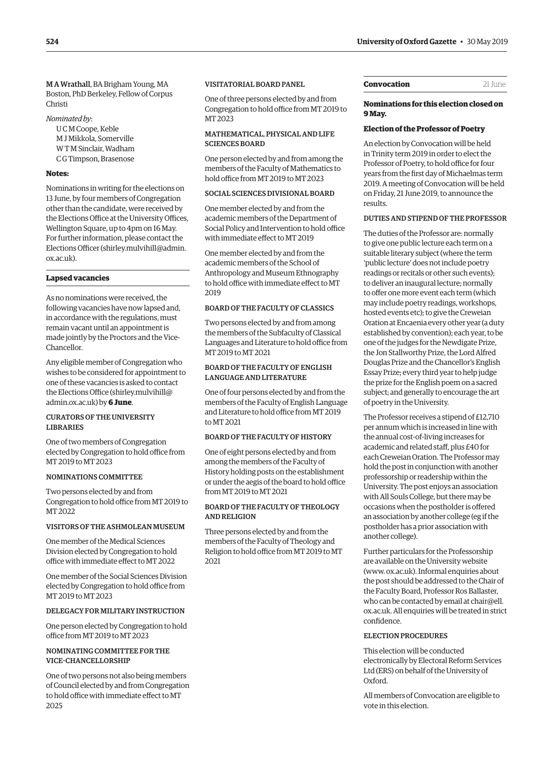<span id="page-29-0"></span>M A Wrathall, BA Brigham Young, MA Boston, PhD Berkeley, Fellow of Corpus Christi

*Nominated by*:

U C M Coope, Keble M J Mikkola, Somerville W T M Sinclair, Wadham C G Timpson, Brasenose

#### **Notes:**

Nominations in writing for the elections on 13 June, by four members of Congregation other than the candidate, were received by the Elections Office at the University Offices, Wellington Square, up to 4pm on 16 May. For further information, please contact the Elections Officer [\(shirley.mulvihill@admin.](mailto:shirley.mulvihill@admin.ox.ac.uk) [ox.ac.uk\).](mailto:shirley.mulvihill@admin.ox.ac.uk)

# **Lapsed vacancies**

As no nominations were received, the following vacancies have now lapsed and, in accordance with the regulations, must remain vacant until an appointment is made jointly by the Proctors and the Vice-Chancellor.

Any eligible member of Congregation who wishes to be considered for appointment to one of these vacancies is asked to contact the Elections Office [\(shirley.mulvihill@](mailto:shirley.mulvihill@admin.ox.ac.uk) [admin.ox.ac.uk\) by](mailto:shirley.mulvihill@admin.ox.ac.uk) **6 June**.

# CURATORS OF THE UNIVERSITY LIBRARIES

One of two members of Congregation elected by Congregation to hold office from MT 2019 to MT 2023

# NOMINATIONS COMMITTEE

Two persons elected by and from Congregation to hold office from MT 2019 to MT 2022

# VISITORS OF THE ASHMOLEAN MUSEUM

One member of the Medical Sciences Division elected by Congregation to hold office with immediate effect to MT 2022

One member of the Social Sciences Division elected by Congregation to hold office from MT 2019 to MT 2023

# DELEGACY FOR MILITARY INSTRUCTION

One person elected by Congregation to hold office from MT 2019 to MT 2023

# NOMINATING COMMITTEE FOR THE VICE-CHANCELLORSHIP

One of two persons not also being members of Council elected by and from Congregation to hold office with immediate effect to MT 2025

# VISITATORIAL BOARD PANEL

One of three persons elected by and from Congregation to hold office from MT 2019 to MT 2023

# MATHEMATICAL, PHYSICAL AND LIFE SCIENCES BOARD

One person elected by and from among the members of the Faculty of Mathematics to hold office from MT 2019 to MT 2023

# SOCIAL SCIENCES DIVISIONAL BOARD

One member elected by and from the academic members of the Department of Social Policy and Intervention to hold office with immediate effect to MT 2019

One member elected by and from the academic members of the School of Anthropology and Museum Ethnography to hold office with immediate effect to MT 2019

# BOARD OF THE FACULTY OF CLASSICS

Two persons elected by and from among the members of the Subfaculty of Classical Languages and Literature to hold office from MT 2019 to MT 2021

# BOARD OF THE FACULTY OF ENGLISH LANGUAGE AND LITERATURE

One of four persons elected by and from the members of the Faculty of English Language and Literature to hold office from MT 2019 to MT 2021

# BOARD OF THE FACULTY OF HISTORY

One of eight persons elected by and from among the members of the Faculty of History holding posts on the establishment or under the aegis of the board to hold office from MT 2019 to MT 2021

## BOARD OF THE FACULTY OF THEOLOGY AND RELIGION

Three persons elected by and from the members of the Faculty of Theology and Religion to hold office from MT 2019 to MT 2021

#### **Convocation** 21 June

# **Nominations for this election closed on 9 May.**

#### **Election of the Professor of Poetry**

An election by Convocation will be held in Trinity term 2019 in order to elect the Professor of Poetry, to hold office for four years from the first day of Michaelmas term 2019. A meeting of Convocation will be held on Friday, 21 June 2019, to announce the results.

# DUTIES AND STIPEND OF THE PROFESSOR

The duties of the Professor are: normally to give one public lecture each term on a suitable literary subject (where the term 'public lecture' does not include poetry readings or recitals or other such events); to deliver an inaugural lecture; normally to offer one more event each term (which may include poetry readings, workshops, hosted events etc); to give the Creweian Oration at Encaenia every other year (a duty established by convention); each year, to be one of the judges for the Newdigate Prize, the Jon Stallworthy Prize, the Lord Alfred Douglas Prize and the Chancellor's English Essay Prize; every third year to help judge the prize for the English poem on a sacred subject; and generally to encourage the art of poetry in the University.

The Professor receives a stipend of £12,710 per annum which is increased in line with the annual cost-of-living increases for academic and related staff, plus £40 for each Creweian Oration. The Professor may hold the post in conjunction with another professorship or readership within the University. The post enjoys an association with All Souls College, but there may be occasions when the postholder is offered an association by another college (eg if the postholder has a prior association with another college).

Further particulars for the Professorship are available on the University website [\(www. ox.ac.uk\). Inf](www.ox.ac.uk)ormal enquiries about the post should be addressed to the Chair of the Faculty Board, Professor Ros Ballaster, who can be contacted by email at chair@ell. [ox.ac.uk. All enquiries will be treated in strict](mailto:chair@ell.ox.ac.uk)  confidence.

#### ELECTION PROCEDURES

This election will be conducted electronically by Electoral Reform Services Ltd (ERS) on behalf of the University of Oxford.

All members of Convocation are eligible to vote in this election.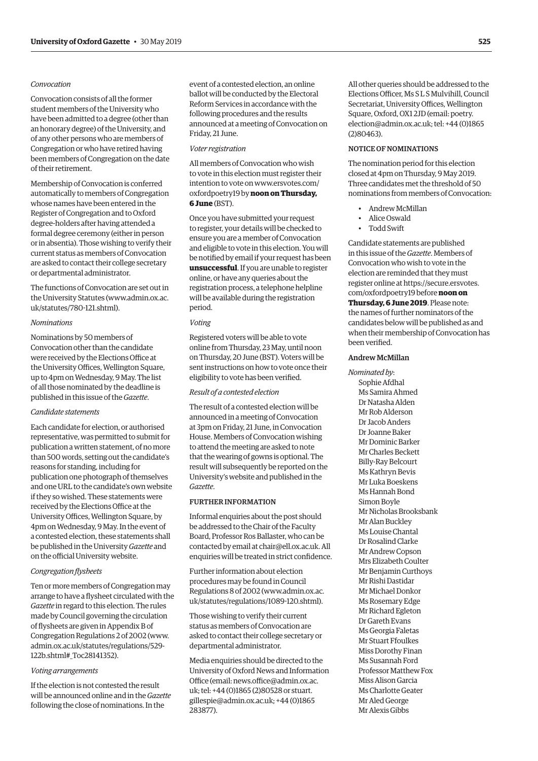# *Convocation*

Convocation consists of all the former student members of the University who have been admitted to a degree (other than an honorary degree) of the University, and of any other persons who are members of Congregation or who have retired having been members of Congregation on the date of their retirement.

Membership of Convocation is conferred automatically to members of Congregation whose names have been entered in the Register of Congregation and to Oxford degree-holders after having attended a formal degree ceremony (either in person or in absentia). Those wishing to verify their current status as members of Convocation are asked to contact their college secretary or departmental administrator.

The functions of Convocation are set out in [the University Statutes \(www.admin.ox.ac.](www.admin.ox.ac.uk/statutes/780-121.shtml)  uk/statutes/780-121.shtml).

# *Nominations*

Nominations by 50 members of Convocation other than the candidate were received by the Elections Office at the University Offices, Wellington Square, up to 4pm on Wednesday, 9 May. The list of all those nominated by the deadline is published in this issue of the *Gazette*.

# *Candidate statements*

Each candidate for election, or authorised representative, was permitted to submit for publication a written statement, of no more than 500 words, setting out the candidate's reasons for standing, including for publication one photograph of themselves and one URL to the candidate's own website if they so wished. These statements were received by the Elections Office at the University Offices, Wellington Square, by 4pm on Wednesday, 9 May. In the event of a contested election, these statements shall be published in the University *Gazette* and on the official University website.

#### *Congregation flysheets*

Ten or more members of Congregation may arrange to have a flysheet circulated with the *Gazette* in regard to this election. The rules made by Council governing the circulation of flysheets are given in Appendix B of Congregation Regulations 2 of 2002 [\(www.](http://www.admin.ox.ac.uk/statutes/regulations/529-122b.shtml#_Toc28141352) [admin.ox.ac.uk/statutes/regulations/529-](http://www.admin.ox.ac.uk/statutes/regulations/529-122b.shtml#_Toc28141352) [122b.shtml#\\_Toc28141352\).](http://www.admin.ox.ac.uk/statutes/regulations/529-122b.shtml#_Toc28141352)

#### *Voting arrangements*

If the election is not contested the result will be announced online and in the *Gazette* following the close of nominations. In the

event of a contested election, an online ballot will be conducted by the Electoral Reform Services in accordance with the following procedures and the results announced at a meeting of Convocation on Friday, 21 June.

#### *Voter registration*

All members of Convocation who wish to vote in this election must register their intention to vote on [www.ersvotes.com/](http://www.ersvotes.com/) oxfordpoetry19 by **noon on Thursday, 6 June** (BST).

Once you have submitted your request to register, your details will be checked to ensure you are a member of Convocation and eligible to vote in this election. You will be notified by email if your request has been **unsuccessful**. If you are unable to register online, or have any queries about the registration process, a telephone helpline will be available during the registration period.

# *Voting*

Registered voters will be able to vote online from Thursday, 23 May, until noon on Thursday, 20 June (BST). Voters will be sent instructions on how to vote once their eligibility to vote has been verified.

#### *Result of a contested election*

The result of a contested election will be announced in a meeting of Convocation at 3pm on Friday, 21 June, in Convocation House. Members of Convocation wishing to attend the meeting are asked to note that the wearing of gowns is optional. The result will subsequently be reported on the University's website and published in the *Gazette*.

#### FURTHER INFORMATION

Informal enquiries about the post should be addressed to the Chair of the Faculty Board, Professor Ros Ballaster, who can be contacted by email at [chair@ell.ox.ac.uk.](mailto:chair@ell.ox.ac.uk) All enquiries will be treated in strict confidence.

Further information about election procedures may be found in Council [Regulations 8 of 2002 \(www.admin.ox.ac.](www.admin.ox.ac.uk/statutes/regulations/1089-120.shtml)  uk/statutes/regulations/1089-120.shtml).

Those wishing to verify their current status as members of Convocation are asked to contact their college secretary or departmental administrator.

Media enquiries should be directed to the University of Oxford News and Information Office (email: [news.office@admin.ox.ac.](mailto:news.office@admin.ox.ac) uk; tel: +44 (0)1865 (2)80528 or stuart. [gillespie@admin.ox.ac.uk](mailto:gillespie@admin.ox.ac.uk); +44 (0)1865 283877).

All other queries should be addressed to the Elections Officer, Ms S L S Mulvihill, Council Secretariat, University Offices, Wellington Square, Oxford, OX1 2JD (email: poetry. [election@admin.ox.ac.uk](mailto:election@admin.ox.ac.uk); tel: +44 (0)1865 (2)80463).

# NOTICE OF NOMINATIONS

The nomination period for this election closed at 4pm on Thursday, 9 May 2019. Three candidates met the threshold of 50 nominations from members of Convocation:

- Andrew McMillan
- Alice Oswald
- Todd Swift

Candidate statements are published in this issue of the *Gazette*. Members of Convocation who wish to vote in the election are reminded that they must register online at [https://secure.ersvotes.](https://secure.ersvotes.com/oxfordpoetry19) [com/oxfordpoetry19](https://secure.ersvotes.com/oxfordpoetry19) before **noon on Thursday, 6 June 2019**. Please note: the names of further nominators of the candidates below will be published as and when their membership of Convocation has been verified.

#### Andrew McMillan

*Nominated by*: Sophie Afdhal Ms Samira Ahmed Dr Natasha Alden Mr Rob Alderson Dr Jacob Anders Dr Joanne Baker Mr Dominic Barker Mr Charles Beckett Billy-Ray Belcourt Ms Kathryn Bevis Mr Luka Boeskens Ms Hannah Bond Simon Boyle Mr Nicholas Brooksbank Mr Alan Buckley Ms Louise Chantal Dr Rosalind Clarke Mr Andrew Copson Mrs Elizabeth Coulter Mr Benjamin Curthoys Mr Rishi Dastidar Mr Michael Donkor Ms Rosemary Edge Mr Richard Egleton Dr Gareth Evans Ms Georgia Faletas Mr Stuart Ffoulkes Miss Dorothy Finan Ms Susannah Ford Professor Matthew Fox Miss Alison Garcia Ms Charlotte Geater Mr Aled George Mr Alexis Gibbs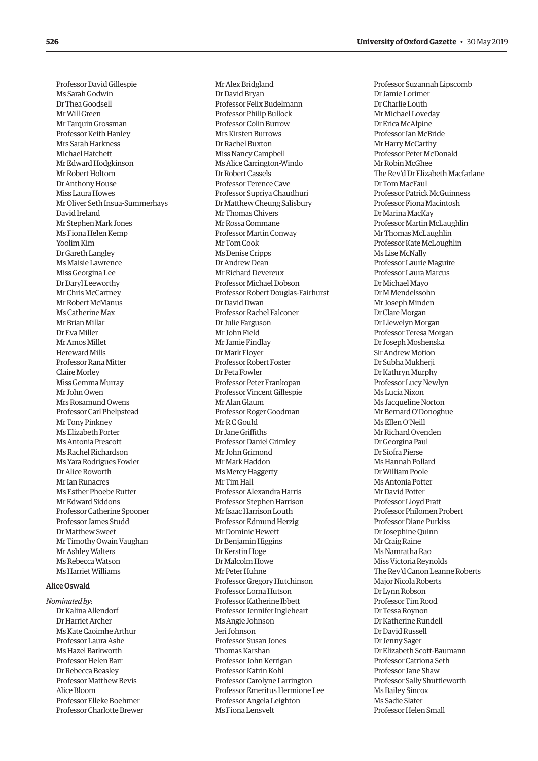Professor David Gillespie Ms Sarah Godwin Dr Thea Goodsell Mr Will Green Mr Tarquin Grossman Professor Keith Hanley Mrs Sarah Harkness Michael Hatchett Mr Edward Hodgkinson Mr Robert Holtom Dr Anthony House Miss Laura Howes Mr Oliver Seth Insua-Summerhays David Ireland Mr Stephen Mark Jones Ms Fiona Helen Kemp Yoolim Kim Dr Gareth Langley Ms Maisie Lawrence Miss Georgina Lee Dr Daryl Leeworthy Mr Chris McCartney Mr Robert McManus Ms Catherine Max Mr Brian Millar Dr Eva Miller Mr Amos Millet Hereward Mills Professor Rana Mitter Claire Morley Miss Gemma Murray Mr John Owen Mrs Rosamund Owens Professor Carl Phelpstead Mr Tony Pinkney Ms Elizabeth Porter Ms Antonia Prescott Ms Rachel Richardson Ms Yara Rodrigues Fowler Dr Alice Roworth Mr Ian Runacres Ms Esther Phoebe Rutter Mr Edward Siddons Professor Catherine Spooner Professor James Studd Dr Matthew Sweet Mr Timothy Owain Vaughan Mr Ashley Walters Ms Rebecca Watson Ms Harriet Williams

# Alice Oswald

*Nominated by*: Dr Kalina Allendorf Dr Harriet Archer Ms Kate Caoimhe Arthur Professor Laura Ashe Ms Hazel Barkworth Professor Helen Barr Dr Rebecca Beasley Professor Matthew Bevis Alice Bloom Professor Elleke Boehmer Professor Charlotte Brewer

Mr Alex Bridgland Dr David Bryan Professor Felix Budelmann Professor Philip Bullock Professor Colin Burrow Mrs Kirsten Burrows Dr Rachel Buxton Miss Nancy Campbell Ms Alice Carrington-Windo Dr Robert Cassels Professor Terence Cave Professor Supriya Chaudhuri Dr Matthew Cheung Salisbury Mr Thomas Chivers Mr Rossa Commane Professor Martin Conway Mr Tom Cook Ms Denise Cripps Dr Andrew Dean Mr Richard Devereux Professor Michael Dobson Professor Robert Douglas-Fairhurst Dr David Dwan Professor Rachel Falconer Dr Julie Farguson Mr John Field Mr Jamie Findlay Dr Mark Floyer Professor Robert Foster Dr Peta Fowler Professor Peter Frankopan Professor Vincent Gillespie Mr Alan Glaum Professor Roger Goodman Mr R C Gould Dr Jane Griffiths Professor Daniel Grimley Mr John Grimond Mr Mark Haddon Ms Mercy Haggerty Mr Tim Hall Professor Alexandra Harris Professor Stephen Harrison Mr Isaac Harrison Louth Professor Edmund Herzig Mr Dominic Hewett Dr Benjamin Higgins Dr Kerstin Hoge Dr Malcolm Howe Mr Peter Huhne Professor Gregory Hutchinson Professor Lorna Hutson Professor Katherine Ibbett Professor Jennifer Ingleheart Ms Angie Johnson Jeri Johnson Professor Susan Jones Thomas Karshan Professor John Kerrigan Professor Katrin Kohl Professor Carolyne Larrington Professor Emeritus Hermione Lee Professor Angela Leighton Ms Fiona Lensvelt

Professor Suzannah Lipscomb Dr Jamie Lorimer Dr Charlie Louth Mr Michael Loveday Dr Erica McAlpine Professor Ian McBride Mr Harry McCarthy Professor Peter McDonald Mr Robin McGhee The Rev'd Dr Elizabeth Macfarlane Dr Tom MacFaul Professor Patrick McGuinness Professor Fiona Macintosh Dr Marina MacKay Professor Martin McLaughlin Mr Thomas McLaughlin Professor Kate McLoughlin Ms Lise McNally Professor Laurie Maguire Professor Laura Marcus Dr Michael Mayo Dr M Mendelssohn Mr Joseph Minden Dr Clare Morgan Dr Llewelyn Morgan Professor Teresa Morgan Dr Joseph Moshenska Sir Andrew Motion Dr Subha Mukherji Dr Kathryn Murphy Professor Lucy Newlyn Ms Lucia Nixon Ms Jacqueline Norton Mr Bernard O'Donoghue Ms Ellen O'Neill Mr Richard Ovenden Dr Georgina Paul Dr Siofra Pierse Ms Hannah Pollard Dr William Poole Ms Antonia Potter Mr David Potter Professor Lloyd Pratt Professor Philomen Probert Professor Diane Purkiss Dr Josephine Quinn Mr Craig Raine Ms Namratha Rao Miss Victoria Reynolds The Rev'd Canon Leanne Roberts Major Nicola Roberts Dr Lynn Robson Professor Tim Rood Dr Tessa Roynon Dr Katherine Rundell Dr David Russell Dr Jenny Sager Dr Elizabeth Scott-Baumann Professor Catriona Seth Professor Jane Shaw Professor Sally Shuttleworth Ms Bailey Sincox Ms Sadie Slater Professor Helen Small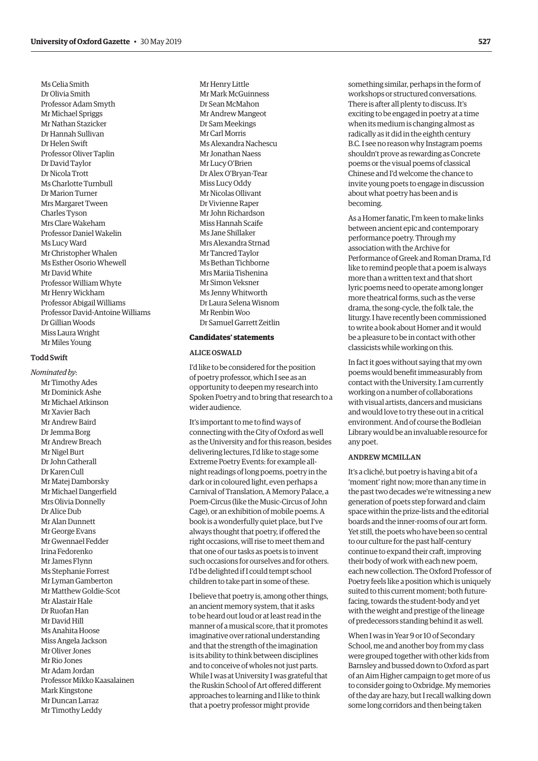Ms Celia Smith Dr Olivia Smith Professor Adam Smyth Mr Michael Spriggs Mr Nathan Stazicker Dr Hannah Sullivan Dr Helen Swift Professor Oliver Taplin Dr David Taylor Dr Nicola Trott Ms Charlotte Turnbull Dr Marion Turner Mrs Margaret Tween Charles Tyson Mrs Clare Wakeham Professor Daniel Wakelin Ms Lucy Ward Mr Christopher Whalen Ms Esther Osorio Whewell Mr David White Professor William Whyte Mr Henry Wickham Professor Abigail Williams Professor David-Antoine Williams Dr Gillian Woods Miss Laura Wright Mr Miles Young

#### Todd Swift

*Nominated by*: Mr Timothy Ades Mr Dominick Ashe Mr Michael Atkinson Mr Xavier Bach Mr Andrew Baird Dr Jemma Borg Mr Andrew Breach Mr Nigel Burt Dr John Catherall Dr Karen Cull Mr Matej Damborsky Mr Michael Dangerfield Mrs Olivia Donnelly Dr Alice Dub Mr Alan Dunnett Mr George Evans Mr Gwennael Fedder Irina Fedorenko Mr James Flynn Ms Stephanie Forrest Mr Lyman Gamberton Mr Matthew Goldie-Scot Mr Alastair Hale Dr Ruofan Han Mr David Hill Ms Anahita Hoose Miss Angela Jackson Mr Oliver Jones Mr Rio Jones Mr Adam Jordan Professor Mikko Kaasalainen Mark Kingstone Mr Duncan Larraz Mr Timothy Leddy

Mr Henry Little Mr Mark McGuinness Dr Sean McMahon Mr Andrew Mangeot Dr Sam Meekings Mr Carl Morris Ms Alexandra Nachescu Mr Jonathan Naess Mr Lucy O'Brien Dr Alex O'Bryan-Tear Miss Lucy Oddy Mr Nicolas Ollivant Dr Vivienne Raper Mr John Richardson Miss Hannah Scaife Ms Jane Shillaker Mrs Alexandra Strnad Mr Tancred Taylor Ms Bethan Tichborne Mrs Mariia Tishenina Mr Simon Veksner Ms Jenny Whitworth Dr Laura Selena Wisnom Mr Renbin Woo Dr Samuel Garrett Zeitlin

#### **Candidates' statements**

# ALICE OSWALD

I'd like to be considered for the position of poetry professor, which I see as an opportunity to deepen my research into Spoken Poetry and to bring that research to a wider audience.

It's important to me to find ways of connecting with the City of Oxford as well as the University and for this reason, besides delivering lectures, I'd like to stage some Extreme Poetry Events: for example allnight readings of long poems, poetry in the dark or in coloured light, even perhaps a Carnival of Translation, A Memory Palace, a Poem-Circus (like the Music-Circus of John Cage), or an exhibition of mobile poems. A book is a wonderfully quiet place, but I've always thought that poetry, if offered the right occasions, will rise to meet them and that one of our tasks as poets is to invent such occasions for ourselves and for others. I'd be delighted if I could tempt school children to take part in some of these.

I believe that poetry is, among other things, an ancient memory system, that it asks to be heard out loud or at least read in the manner of a musical score, that it promotes imaginative over rational understanding and that the strength of the imagination is its ability to think between disciplines and to conceive of wholes not just parts. While I was at University I was grateful that the Ruskin School of Art offered different approaches to learning and I like to think that a poetry professor might provide

something similar, perhaps in the form of workshops or structured conversations. There is after all plenty to discuss. It's exciting to be engaged in poetry at a time when its medium is changing almost as radically as it did in the eighth century B.C. I see no reason why Instagram poems shouldn't prove as rewarding as Concrete poems or the visual poems of classical Chinese and I'd welcome the chance to invite young poets to engage in discussion about what poetry has been and is becoming.

As a Homer fanatic, I'm keen to make links between ancient epic and contemporary performance poetry. Through my association with the Archive for Performance of Greek and Roman Drama, I'd like to remind people that a poem is always more than a written text and that short lyric poems need to operate among longer more theatrical forms, such as the verse drama, the song-cycle, the folk tale, the liturgy. I have recently been commissioned to write a book about Homer and it would be a pleasure to be in contact with other classicists while working on this.

In fact it goes without saying that my own poems would benefit immeasurably from contact with the University. I am currently working on a number of collaborations with visual artists, dancers and musicians and would love to try these out in a critical environment. And of course the Bodleian Library would be an invaluable resource for any poet.

# ANDREW MCMILLAN

It's a cliché, but poetry is having a bit of a 'moment' right now; more than any time in the past two decades we're witnessing a new generation of poets step forward and claim space within the prize-lists and the editorial boards and the inner-rooms of our art form. Yet still, the poets who have been so central to our culture for the past half-century continue to expand their craft, improving their body of work with each new poem, each new collection. The Oxford Professor of Poetry feels like a position which is uniquely suited to this current moment; both futurefacing, towards the student-body and yet with the weight and prestige of the lineage of predecessors standing behind it as well.

When I was in Year 9 or 10 of Secondary School, me and another boy from my class were grouped together with other kids from Barnsley and bussed down to Oxford as part of an Aim Higher campaign to get more of us to consider going to Oxbridge. My memories of the day are hazy, but I recall walking down some long corridors and then being taken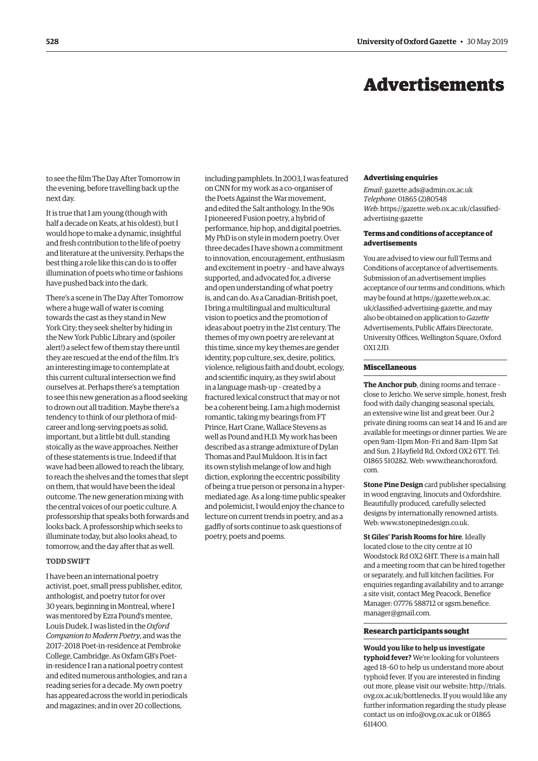# Advertisements

<span id="page-33-0"></span>to see the film The Day After Tomorrow in the evening, before travelling back up the next day.

It is true that I am young (though with half a decade on Keats, at his oldest), but I would hope to make a dynamic, insightful and fresh contribution to the life of poetry and literature at the university. Perhaps the best thing a role like this can do is to offer illumination of poets who time or fashions have pushed back into the dark.

There's a scene in The Day After Tomorrow where a huge wall of water is coming towards the cast as they stand in New York City; they seek shelter by hiding in the New York Public Library and (spoiler alert!) a select few of them stay there until they are rescued at the end of the film. It's an interesting image to contemplate at this current cultural intersection we find ourselves at. Perhaps there's a temptation to see this new generation as a flood seeking to drown out all tradition. Maybe there's a tendency to think of our plethora of midcareer and long-serving poets as solid, important, but a little bit dull, standing stoically as the wave approaches. Neither of these statements is true. Indeed if that wave had been allowed to reach the library, to reach the shelves and the tomes that slept on them, that would have been the ideal outcome. The new generation mixing with the central voices of our poetic culture. A professorship that speaks both forwards and looks back. A professorship which seeks to illuminate today, but also looks ahead, to tomorrow, and the day after that as well.

# TODD SWIFT

I have been an international poetry activist, poet, small press publisher, editor, anthologist, and poetry tutor for over 30 years, beginning in Montreal, where I was mentored by Ezra Pound's mentee, Louis Dudek. I was listed in the *Oxford Companion to Modern Poetry*, and was the 2017–2018 Poet-in-residence at Pembroke College, Cambridge. As Oxfam GB's Poetin-residence I ran a national poetry contest and edited numerous anthologies, and ran a reading series for a decade. My own poetry has appeared across the world in periodicals and magazines; and in over 20 collections,

including pamphlets. In 2003, I was featured on CNN for my work as a co-organiser of the Poets Against the War movement, and edited the Salt anthology. In the 90s I pioneered Fusion poetry, a hybrid of performance, hip hop, and digital poetries. My PhD is on style in modern poetry. Over three decades I have shown a commitment to innovation, encouragement, enthusiasm and excitement in poetry – and have always supported, and advocated for, a diverse and open understanding of what poetry is, and can do. As a Canadian-British poet, I bring a multilingual and multicultural vision to poetics and the promotion of ideas about poetry in the 21st century. The themes of my own poetry are relevant at this time, since my key themes are gender identity, pop culture, sex, desire, politics, violence, religious faith and doubt, ecology, and scientific inquiry, as they swirl about in a language mash-up – created by a fractured lexical construct that may or not be a coherent being. I am a high modernist romantic, taking my bearings from FT Prince, Hart Crane, Wallace Stevens as well as Pound and H.D. My work has been described as a strange admixture of Dylan Thomas and Paul Muldoon. It is in fact its own stylish melange of low and high diction, exploring the eccentric possibility of being a true person or persona in a hypermediated age. As a long-time public speaker and polemicist, I would enjoy the chance to lecture on current trends in poetry, and as a gadfly of sorts continue to ask questions of poetry, poets and poems.

#### **Advertising enquiries**

*Email*: [gazette.ads@admin.ox.ac.uk](mailto:gazette.ads@admin.ox.ac.uk) *Telephone*: 01865 (2)80548 *Web*[: https://gazette.web.ox.ac.uk/classified](https://gazette.web.ox.ac.uk/classified-advertising-gazette)advertising-gazette

# **Terms and conditions of acceptance of advertisements**

You are advised to view our full Terms and Conditions of acceptance of advertisements. Submission of an advertisement implies acceptance of our terms and conditions, which may be found at https://gazette.web.ox.ac. [uk/classified-advertising-gazette, and may](https://gazette.web.ox.ac.uk/classified-advertising-gazette)  also be obtained on application to *Gazette* Advertisements, Public Affairs Directorate, University Offices, Wellington Square, Oxford OX1 2JD.

#### **Miscellaneous**

**The Anchor pub**, dining rooms and terrace – close to Jericho. We serve simple, honest, fresh food with daily changing seasonal specials, an extensive wine list and great beer. Our 2 private dining rooms can seat 14 and 16 and are available for meetings or dinner parties. We are open 9am–11pm Mon–Fri and 8am–11pm Sat and Sun. 2 Hayfield Rd, Oxford OX2 6TT. Tel: [01865 510282. Web: www.theanchoroxford.](www.theanchoroxford.com) com.

**Stone Pine Design** card publisher specialising in wood engraving, linocuts and Oxfordshire. Beautifully produced, carefully selected designs by internationally renowned artists. Web: [www.stonepinedesign.co.uk.](http://www.stonepinedesign.co.uk)

**St Giles' Parish Rooms for hire**. Ideally located close to the city centre at 10 Woodstock Rd OX2 6HT. There is a main hall and a meeting room that can be hired together or separately, and full kitchen facilities. For enquiries regarding availability and to arrange a site visit, contact Meg Peacock, Benefice Manager: 07776 588712 or sgsm.benefice. [manager@gmail.com.](mailto:manager@gmail.com)

#### **Research participants sought**

**Would you like to help us investigate typhoid fever?** We're looking for volunteers aged 18–60 to help us understand more about typhoid fever. If you are interested in finding out more, please visit our website: http://trials. [ovg.ox.ac.uk/bottlenecks. If you would like any](https://trials.ovg.ox.ac.uk/bottlenecks)  further information regarding the study please contact us on [info@ovg.ox.ac.uk or](mailto:info@ovg.ox.ac.uk) 01865 611400.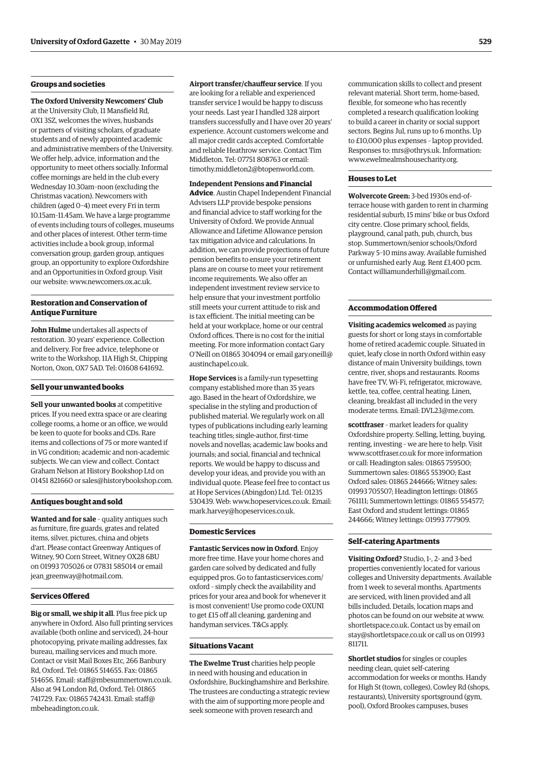# **Groups and societies**

**The Oxford University Newcomers' Club** at the University Club, 11 Mansfield Rd, OX1 3SZ, welcomes the wives, husbands or partners of visiting scholars, of graduate students and of newly appointed academic and administrative members of the University. We offer help, advice, information and the opportunity to meet others socially. Informal coffee mornings are held in the club every Wednesday 10.30am–noon (excluding the Christmas vacation). Newcomers with children (aged 0–4) meet every Fri in term 10.15am–11.45am. We have a large programme of events including tours of colleges, museums and other places of interest. Other term-time activities include a book group, informal conversation group, garden group, antiques group, an opportunity to explore Oxfordshire and an Opportunities in Oxford group. Visit our website: www.newcomers.ox.ac.u[k.](http://www.newcomers.ox.ac.uk) 

# **Restoration and Conservation of Antique Furniture**

**John Hulme** undertakes all aspects of restoration. 30 years' experience. Collection and delivery. For free advice, telephone or write to the Workshop, 11A High St, Chipping Norton, Oxon, OX7 5AD. Tel: 01608 641692.

#### **Sell your unwanted books**

**Sell your unwanted books** at competitive prices. If you need extra space or are clearing college rooms, a home or an office, we would be keen to quote for books and CDs. Rare items and collections of 75 or more wanted if in VG condition; academic and non-academic subjects. We can view and collect. Contact Graham Nelson at History Bookshop Ltd on 01451 821660 or [sales@historybookshop.com.](mailto:sales@historybookshop.com)

#### **Antiques bought and sold**

**Wanted and for sale** – quality antiques such as furniture, fire guards, grates and related items, silver, pictures, china and objets d'art. Please contact Greenway Antiques of Witney, 90 Corn Street, Witney OX28 6BU on 01993 705026 or 07831 585014 or email [jean\\_greenway@hotmail.com.](mailto:jean_greenway@hotmail.com)

#### **Services Offered**

**Big or small, we ship it all**. Plus free pick up anywhere in Oxford. Also full printing services available (both online and serviced), 24-hour photocopying, private mailing addresses, fax bureau, mailing services and much more. Contact or visit Mail Boxes Etc, 266 Banbury Rd, Oxford. Tel: 01865 514655. Fax: 01865 514656. Email: [staff@mbesummertown.co.uk.](mailto:staff@mbesummertown.co.uk)  Also at 94 London Rd, Oxford. Tel: 01865 741729. Fax: 01865 742431. Email: staff@ mbeheadington.co.uk.

**Airport transfer/chauffeur service**. If you are looking for a reliable and experienced transfer service I would be happy to discuss your needs. Last year I handled 328 airport transfers successfully and I have over 20 years' experience. Account customers welcome and all major credit cards accepted. Comfortable and reliable Heathrow service. Contact Tim Middleton. Tel: 07751 808763 or email: [timothy.middleton2@btopenworld.com.](mailto:timothy.middleton2@btopenworld.com)

#### **Independent Pensions and Financial**

**Advice**. Austin Chapel Independent Financial Advisers LLP provide bespoke pensions and financial advice to staff working for the University of Oxford. We provide Annual Allowance and Lifetime Allowance pension tax mitigation advice and calculations. In addition, we can provide projections of future pension benefits to ensure your retirement plans are on course to meet your retirement income requirements. We also offer an independent investment review service to help ensure that your investment portfolio still meets your current attitude to risk and is tax efficient. The initial meeting can be held at your workplace, home or our central Oxford offices. There is no cost for the initial meeting. For more information contact Gary [O'Neill on 01865 304094 or email gary.oneill@](mailto:gary.oneill@austinchapel.co.uk) austinchapel.co.uk.

**Hope Services** is a family-run typesetting company established more than 35 years ago. Based in the heart of Oxfordshire, we specialise in the styling and production of published material. We regularly work on all types of publications including early learning teaching titles; single-author, first-time novels and novellas; academic law books and journals; and social, financial and technical reports. We would be happy to discuss and develop your ideas, and provide you with an individual quote. Please feel free to contact us at Hope Services (Abingdon) Ltd. Tel: 01235 530439. Web: [www.hopeservices.co.uk. Em](http://www.hopeservices.co.uk)ail: [mark.harvey@hopeservices.co.uk.](mailto:mark.harvey@hopeservices.co.uk)

#### **Domestic Services**

**Fantastic Services now in Oxford**. Enjoy more free time. Have your home chores and garden care solved by dedicated and fully [equipped pros. Go to fantasticservices.com/](https://www.fantasticservices.com/oxford/) oxford – simply check the availability and prices for your area and book for whenever it is most convenient! Use promo code OXUNI to get £15 off all cleaning, gardening and handyman services. T&Cs apply.

#### **Situations Vacant**

**The Ewelme Trust** charities help people in need with housing and education in Oxfordshire, Buckinghamshire and Berkshire. The trustees are conducting a strategic review with the aim of supporting more people and seek someone with proven research and

communication skills to collect and present relevant material. Short term, home-based, flexible, for someone who has recently completed a research qualification looking to build a career in charity or social support sectors. Begins Jul, runs up to 6 months. Up to £10,000 plus expenses – laptop provided. Responses to: [mrs@othrys.uk. In](mailto:mrs@othrys.uk)formation: [www.ewelmealmshousecharity.org.](http://www.ewelmealmshousecharity.org)

#### **Houses to Let**

**Wolvercote Green:** 3-bed 1930s end-ofterrace house with garden to rent in charming residential suburb, 15 mins' bike or bus Oxford city centre. Close primary school, fields, playground, canal path, pub, church, bus stop. Summertown/senior schools/Oxford Parkway 5–10 mins away. Available furnished or unfurnished early Aug. Rent £1,400 pcm. Contact [williamunderhill@gmail.com.](mailto:williamunderhill@gmail.com)

#### **Accommodation Offered**

**Visiting academics welcomed** as paying guests for short or long stays in comfortable home of retired academic couple. Situated in quiet, leafy close in north Oxford within easy distance of main University buildings, town centre, river, shops and restaurants. Rooms have free TV, Wi-Fi, refrigerator, microwave, kettle, tea, coffee, central heating. Linen, cleaning, breakfast all included in the very moderate terms. Email: [DVL23@me.com.](mailto:DVL23@me.com)

**scottfraser** – market leaders for quality Oxfordshire property. Selling, letting, buying, renting, investing – we are here to help. Visit [www.scottfraser.co.uk for](http://www.scottfraser.co.uk) more information or call: Headington sales: 01865 759500; Summertown sales: 01865 553900; East Oxford sales: 01865 244666; Witney sales: 01993 705507; Headington lettings: 01865 761111; Summertown lettings: 01865 554577; East Oxford and student lettings: 01865 244666; Witney lettings: 01993 777909.

#### **Self-catering Apartments**

**Visiting Oxford?** Studio, 1-, 2- and 3-bed properties conveniently located for various colleges and University departments. Available from 1 week to several months. Apartments are serviced, with linen provided and all bills included. Details, location maps and photos can be found on our website at [www.](http://www.shortletspace.co.uk) [shortletspace.co.uk. Co](http://www.shortletspace.co.uk)ntact us by email on [stay@shortletspace.co.uk or](mailto:stay@shortletspace.co.uk) call us on 01993 811711.

**Shortlet studios** for singles or couples needing clean, quiet self-catering accommodation for weeks or months. Handy for High St (town, colleges), Cowley Rd (shops, restaurants), University sportsground (gym, pool), Oxford Brookes campuses, buses